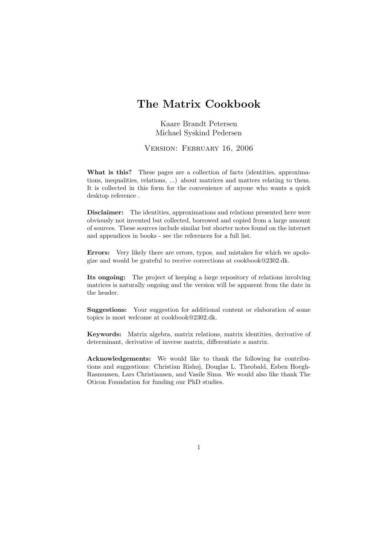# The Matrix Cookbook

Kaare Brandt Petersen Michael Syskind Pedersen

Version: February 16, 2006

What is this? These pages are a collection of facts (identities, approximations, inequalities, relations, ...) about matrices and matters relating to them. It is collected in this form for the convenience of anyone who wants a quick desktop reference .

Disclaimer: The identities, approximations and relations presented here were obviously not invented but collected, borrowed and copied from a large amount of sources. These sources include similar but shorter notes found on the internet and appendices in books - see the references for a full list.

Errors: Very likely there are errors, typos, and mistakes for which we apologize and would be grateful to receive corrections at cookbook@2302.dk.

Its ongoing: The project of keeping a large repository of relations involving matrices is naturally ongoing and the version will be apparent from the date in the header.

Suggestions: Your suggestion for additional content or elaboration of some topics is most welcome at cookbook@2302.dk.

Keywords: Matrix algebra, matrix relations, matrix identities, derivative of determinant, derivative of inverse matrix, differentiate a matrix.

Acknowledgements: We would like to thank the following for contributions and suggestions: Christian Rishøj, Douglas L. Theobald, Esben Hoegh-Rasmussen, Lars Christiansen, and Vasile Sima. We would also like thank The Oticon Foundation for funding our PhD studies.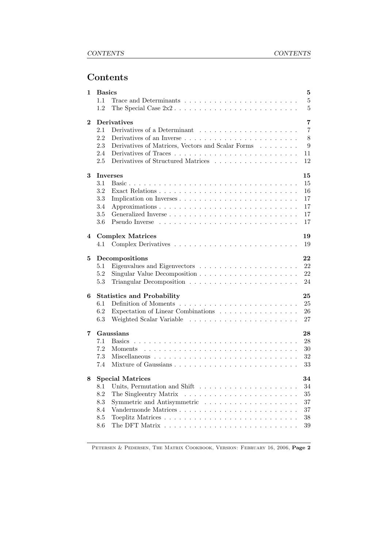# Contents

| 1                       | <b>Basics</b><br>5                                                                              |  |  |  |  |  |
|-------------------------|-------------------------------------------------------------------------------------------------|--|--|--|--|--|
|                         | $\overline{5}$<br>1.1                                                                           |  |  |  |  |  |
|                         | 1.2<br>$\overline{5}$                                                                           |  |  |  |  |  |
|                         |                                                                                                 |  |  |  |  |  |
| <b>Derivatives</b><br>2 |                                                                                                 |  |  |  |  |  |
|                         | $\overline{7}$<br>2.1                                                                           |  |  |  |  |  |
|                         | 8<br>2.2<br>Derivatives of an Inverse $\ldots \ldots \ldots \ldots \ldots \ldots \ldots \ldots$ |  |  |  |  |  |
|                         | Derivatives of Matrices, Vectors and Scalar Forms<br>2.3<br>9                                   |  |  |  |  |  |
|                         | 2.4<br>11                                                                                       |  |  |  |  |  |
|                         | Derivatives of Structured Matrices<br>2.5<br>12                                                 |  |  |  |  |  |
|                         |                                                                                                 |  |  |  |  |  |
| 3                       | 15<br><b>Inverses</b>                                                                           |  |  |  |  |  |
|                         | 3.1<br>15                                                                                       |  |  |  |  |  |
|                         | 3.2<br>16                                                                                       |  |  |  |  |  |
|                         | 3.3<br>17                                                                                       |  |  |  |  |  |
|                         | 3.4<br>17                                                                                       |  |  |  |  |  |
|                         | 3.5<br>17                                                                                       |  |  |  |  |  |
|                         | 3.6<br>17                                                                                       |  |  |  |  |  |
|                         |                                                                                                 |  |  |  |  |  |
| 4                       | <b>Complex Matrices</b><br>19                                                                   |  |  |  |  |  |
|                         | 19<br>4.1                                                                                       |  |  |  |  |  |
|                         |                                                                                                 |  |  |  |  |  |
| 5                       | 22<br>Decompositions                                                                            |  |  |  |  |  |
|                         | 22<br>5.1                                                                                       |  |  |  |  |  |
|                         | Singular Value Decomposition $\ldots \ldots \ldots \ldots \ldots \ldots$<br>22<br>5.2           |  |  |  |  |  |
|                         | 5.3<br>24                                                                                       |  |  |  |  |  |
|                         |                                                                                                 |  |  |  |  |  |
| 6                       | <b>Statistics and Probability</b><br>25                                                         |  |  |  |  |  |
|                         | 6.1<br>25                                                                                       |  |  |  |  |  |
|                         | 6.2<br>Expectation of Linear Combinations<br>26                                                 |  |  |  |  |  |
|                         | 6.3<br>27                                                                                       |  |  |  |  |  |
|                         |                                                                                                 |  |  |  |  |  |
| 7                       | Gaussians<br>28                                                                                 |  |  |  |  |  |
|                         | 28<br>7.1<br><b>Basics</b>                                                                      |  |  |  |  |  |
|                         | 7.2<br>30<br>Moments                                                                            |  |  |  |  |  |
|                         | 7.3<br>32                                                                                       |  |  |  |  |  |
|                         | 7.4<br>33                                                                                       |  |  |  |  |  |
|                         |                                                                                                 |  |  |  |  |  |
| 8                       | <b>Special Matrices</b><br>34                                                                   |  |  |  |  |  |
|                         | 8.1<br>34                                                                                       |  |  |  |  |  |
|                         | 8.2<br>35                                                                                       |  |  |  |  |  |
|                         | $\!\!\!\!\!8.3$<br>$37\,$                                                                       |  |  |  |  |  |
|                         | 8.4<br>$37\,$                                                                                   |  |  |  |  |  |
|                         |                                                                                                 |  |  |  |  |  |
|                         | $8.5\,$<br>$38\,$                                                                               |  |  |  |  |  |
|                         | 8.6<br>39                                                                                       |  |  |  |  |  |

Petersen & Pedersen, The Matrix Cookbook, Version: February 16, 2006, Page 2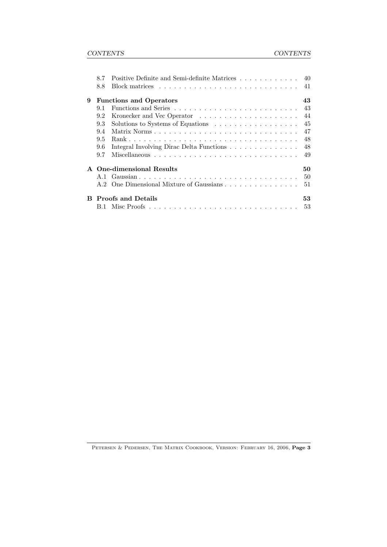|   | 8.7<br>8.8     |                                          | 41 |
|---|----------------|------------------------------------------|----|
| 9 |                | <b>Functions and Operators</b>           | 43 |
|   | 9.1            |                                          | 43 |
|   | 9.2            | Kronecker and Vec Operator               | 44 |
|   | 9.3            | Solutions to Systems of Equations        | 45 |
|   | 9.4            |                                          | 47 |
|   | 9.5            |                                          | 48 |
|   | 9.6            | Integral Involving Dirac Delta Functions | 48 |
|   | 9.7            |                                          | 49 |
|   |                | A One-dimensional Results                | 50 |
|   | A 1            |                                          | 50 |
|   | A <sub>2</sub> | One Dimensional Mixture of Gaussians     | 51 |
| R |                | <b>Proofs and Details</b>                | 53 |
|   |                |                                          | 53 |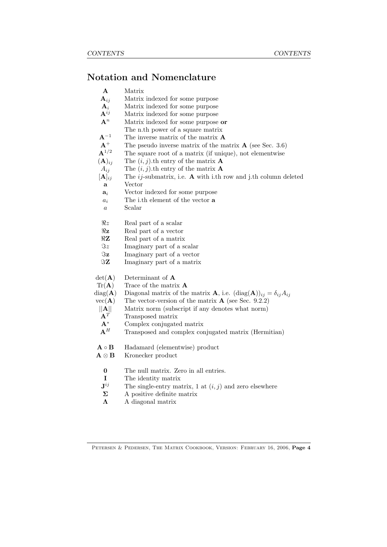# Notation and Nomenclature

- A Matrix
- A*ij* Matrix indexed for some purpose
- $\mathbf{A}_i$  Matrix indexed for some purpose<br> $\mathbf{A}^{ij}$  Matrix indexed for some purpose
- A*ij* Matrix indexed for some purpose
- A*<sup>n</sup>* Matrix indexed for some purpose or
- The n.th power of a square matrix
- $A^{-1}$  The inverse matrix of the matrix **A**<br> $A^{+}$  The pseudo inverse matrix of the m
- $A^+$  The pseudo inverse matrix of the matrix **A** (see Sec. 3.6)<br> $A^{1/2}$  The square root of a matrix (if unique), not elementwise
- The square root of a matrix (if unique), not elementwise  $(A)_{ij}$  The  $(i, j)$ .th entry of the matrix **A**
- $A_{ij}$  The  $(i, j)$ .th entry of the matrix **A**
- $[\mathbf{A}]_{ij}$  The *ij*-submatrix, i.e. **A** with i.th row and j.th column deleted
- a Vector
- a*<sup>i</sup>* Vector indexed for some purpose
- *a<sup>i</sup>* The i.th element of the vector a
- *a* Scalar
- $\Re z$  Real part of a scalar<br> $\Re z$  Real part of a vector
- $\Re$ **z** Real part of a vector<br> $\Re$ **Z** Real part of a matrix
- $\Re$ **Z** Real part of a matrix<br> $\Im z$  Imaginary part of a set
- $\Im z$  Imaginary part of a scalar<br> $\Im z$  Imaginary part of a vector
- $\Im$ **z** Imaginary part of a vector<br> $\Im$ **Z** Imaginary part of a matrix
- Imaginary part of a matrix
- $det(\mathbf{A})$  Determinant of  $\mathbf{A}$
- $Tr(A)$  Trace of the matrix **A**
- diag(**A**) Diagonal matrix of the matrix **A**, i.e.  $(\text{diag}(\mathbf{A}))_{ij} = \delta_{ij} A_{ij}$
- $vec(\mathbf{A})$  The vector-version of the matrix **A** (see Sec. 9.2.2)
- *|*|**A***|*| Matrix norm (subscript if any denotes what norm)  $A<sup>T</sup>$  Transposed matrix
- $A^T$  Transposed matrix<br> $A^*$  Complex conjugate
- 
- $\begin{array}{ll} \mathbf{A}^{*} & \text{Complex conjugated matrix}\\ \mathbf{A}^{H} & \text{Transposed and complex constants} \end{array}$ A*<sup>H</sup>* Transposed and complex conjugated matrix (Hermitian)
- $A \circ B$  Hadamard (elementwise) product<br> $A \otimes B$  Kronecker product
- Kronecker product
	- 0 The null matrix. Zero in all entries.
	- I The identity matrix
	- $J^{ij}$  The single-entry matrix, 1 at  $(i, j)$  and zero elsewhere
- $\Sigma$  A positive definite matrix
- $\Lambda$  A diagonal matrix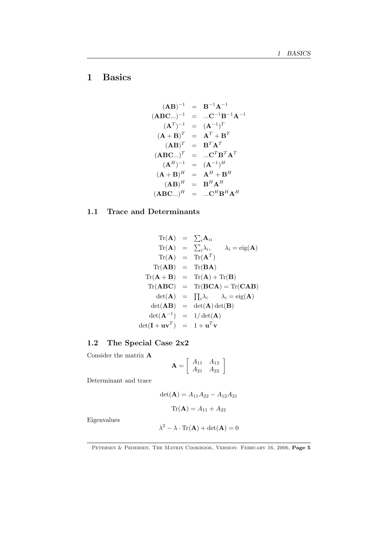# 1 Basics

$$
(\mathbf{AB})^{-1} = \mathbf{B}^{-1} \mathbf{A}^{-1}
$$
  
\n
$$
(\mathbf{ABC...})^{-1} = ... \mathbf{C}^{-1} \mathbf{B}^{-1} \mathbf{A}^{-1}
$$
  
\n
$$
(\mathbf{A}^{T})^{-1} = (\mathbf{A}^{-1})^{T}
$$
  
\n
$$
(\mathbf{A} + \mathbf{B})^{T} = \mathbf{A}^{T} + \mathbf{B}^{T}
$$
  
\n
$$
(\mathbf{ABC...})^{T} = ... \mathbf{C}^{T} \mathbf{B}^{T} \mathbf{A}^{T}
$$
  
\n
$$
(\mathbf{A}^{H})^{-1} = (\mathbf{A}^{-1})^{H}
$$
  
\n
$$
(\mathbf{A} + \mathbf{B})^{H} = \mathbf{A}^{H} + \mathbf{B}^{H}
$$
  
\n
$$
(\mathbf{ABC...})^{H} = \mathbf{B}^{H} \mathbf{A}^{H}
$$
  
\n
$$
(\mathbf{ABC...})^{H} = ... \mathbf{C}^{H} \mathbf{B}^{H} \mathbf{A}^{H}
$$

# 1.1 Trace and Determinants

$$
\text{Tr}(\mathbf{A}) = \sum_{i} \mathbf{A}_{ii}
$$
\n
$$
\text{Tr}(\mathbf{A}) = \sum_{i} \lambda_{i}, \qquad \lambda_{i} = \text{eig}(\mathbf{A})
$$
\n
$$
\text{Tr}(\mathbf{A}) = \text{Tr}(\mathbf{A}^{T})
$$
\n
$$
\text{Tr}(\mathbf{A}\mathbf{B}) = \text{Tr}(\mathbf{B}\mathbf{A})
$$
\n
$$
\text{Tr}(\mathbf{A} + \mathbf{B}) = \text{Tr}(\mathbf{A}) + \text{Tr}(\mathbf{B})
$$
\n
$$
\text{Tr}(\mathbf{A}\mathbf{B}\mathbf{C}) = \text{Tr}(\mathbf{B}\mathbf{C}\mathbf{A}) = \text{Tr}(\mathbf{C}\mathbf{A}\mathbf{B})
$$
\n
$$
\text{det}(\mathbf{A}) = \prod_{i} \lambda_{i} \qquad \lambda_{i} = \text{eig}(\mathbf{A})
$$
\n
$$
\text{det}(\mathbf{A}\mathbf{B}) = \text{det}(\mathbf{A})\text{det}(\mathbf{B})
$$
\n
$$
\text{det}(\mathbf{I} + \mathbf{u}\mathbf{v}^{T}) = 1 + \mathbf{u}^{T}\mathbf{v}
$$

# 1.2 The Special Case 2x2

Consider the matrix A

$$
\mathbf{A} = \left[ \begin{array}{cc} A_{11} & A_{12} \\ A_{21} & A_{22} \end{array} \right]
$$

Determinant and trace

$$
det(\mathbf{A}) = A_{11}A_{22} - A_{12}A_{21}
$$

$$
Tr(\mathbf{A}) = A_{11} + A_{22}
$$

Eigenvalues

$$
\lambda^2 - \lambda \cdot \text{Tr}(\mathbf{A}) + \det(\mathbf{A}) = 0
$$

PETERSEN & PEDERSEN, THE MATRIX COOKBOOK, VERSION: FEBRUARY 16, 2006, Page 5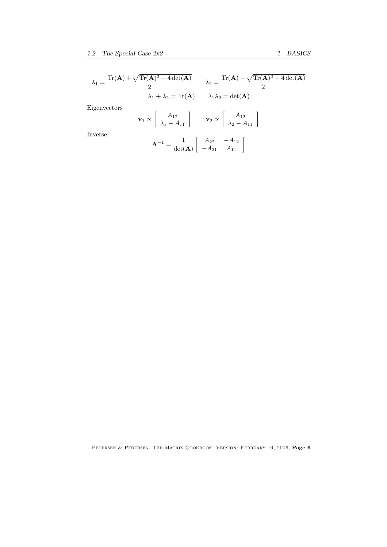$$
\lambda_1 = \frac{\text{Tr}(\mathbf{A}) + \sqrt{\text{Tr}(\mathbf{A})^2 - 4 \det(\mathbf{A})}}{2} \qquad \lambda_2 = \frac{\text{Tr}(\mathbf{A}) - \sqrt{\text{Tr}(\mathbf{A})^2 - 4 \det(\mathbf{A})}}{2}
$$
  
 
$$
\lambda_1 + \lambda_2 = \text{Tr}(\mathbf{A}) \qquad \lambda_1 \lambda_2 = \det(\mathbf{A})
$$
  
Eigenvectors  

$$
\mathbf{v}_1 \propto \begin{bmatrix} A_{12} \\ \lambda_1 - A_{11} \end{bmatrix} \qquad \mathbf{v}_2 \propto \begin{bmatrix} A_{12} \\ \lambda_2 - A_{11} \end{bmatrix}
$$
  
Inverse  

$$
\mathbf{A}^{-1} = \frac{1}{\det(\mathbf{A})} \begin{bmatrix} A_{22} & -A_{12} \\ -A_{21} & A_{11} \end{bmatrix}
$$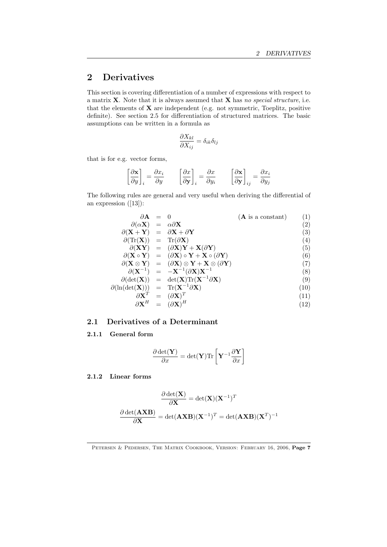# 2 Derivatives

This section is covering differentiation of a number of expressions with respect to a matrix X. Note that it is always assumed that X has *no special structure*, i.e. that the elements of  $X$  are independent (e.g. not symmetric, Toeplitz, positive definite). See section 2.5 for differentiation of structured matrices. The basic assumptions can be written in a formula as

$$
\frac{\partial X_{kl}}{\partial X_{ij}} = \delta_{ik}\delta_{lj}
$$

that is for e.g. vector forms,

$$
\left[\frac{\partial \mathbf{x}}{\partial y}\right]_i = \frac{\partial x_i}{\partial y} \qquad \left[\frac{\partial x}{\partial \mathbf{y}}\right]_i = \frac{\partial x}{\partial y_i} \qquad \left[\frac{\partial \mathbf{x}}{\partial \mathbf{y}}\right]_{ij} = \frac{\partial x_i}{\partial y_j}
$$

The following rules are general and very useful when deriving the differential of an expression ([13]):

| $\partial \mathbf{A} = 0$                                                        |                                                                                                                            | $(A$ is a constant) | (1)  |
|----------------------------------------------------------------------------------|----------------------------------------------------------------------------------------------------------------------------|---------------------|------|
| $\partial(\alpha X) = \alpha \partial X$                                         |                                                                                                                            |                     | (2)  |
| $\partial (X + Y) = \partial X + \partial Y$                                     |                                                                                                                            |                     | (3)  |
| $\partial(\text{Tr}(\mathbf{X})) = \text{Tr}(\partial \mathbf{X})$               |                                                                                                                            |                     | (4)  |
|                                                                                  | $\partial (XY) = (\partial X)Y + X(\partial Y)$                                                                            |                     | (5)  |
|                                                                                  | $\partial (\mathbf{X} \circ \mathbf{Y}) = (\partial \mathbf{X}) \circ \mathbf{Y} + \mathbf{X} \circ (\partial \mathbf{Y})$ |                     | (6)  |
|                                                                                  | $\partial (X \otimes Y) = (\partial X) \otimes Y + X \otimes (\partial Y)$                                                 |                     | (7)  |
|                                                                                  | $\partial (X^{-1}) = -X^{-1}(\partial X)X^{-1}$                                                                            |                     | (8)  |
|                                                                                  | $\partial(\det(\mathbf{X})) = \det(\mathbf{X}) \text{Tr}(\mathbf{X}^{-1} \partial \mathbf{X})$                             |                     | (9)  |
| $\partial(\ln(\det(\mathbf{X}))) = \text{Tr}(\mathbf{X}^{-1}\partial\mathbf{X})$ |                                                                                                                            |                     | (10) |
| $\partial \textbf{X}^T$                                                          | $= (\partial \mathbf{X})^T$                                                                                                |                     | (11) |
| $\partial \textbf{X}^{H}$                                                        | $= (\partial \mathbf{X})^H$                                                                                                |                     | (12) |

# 2.1 Derivatives of a Determinant

# 2.1.1 General form

$$
\frac{\partial \det(\mathbf{Y})}{\partial x} = \det(\mathbf{Y}) \text{Tr} \left[ \mathbf{Y}^{-1} \frac{\partial \mathbf{Y}}{\partial x} \right]
$$

# 2.1.2 Linear forms

$$
\frac{\partial \det(\mathbf{X})}{\partial \mathbf{X}} = \det(\mathbf{X})(\mathbf{X}^{-1})^T
$$

$$
\frac{\partial \det(\mathbf{A}\mathbf{X}\mathbf{B})}{\partial \mathbf{X}} = \det(\mathbf{A}\mathbf{X}\mathbf{B})(\mathbf{X}^{-1})^T = \det(\mathbf{A}\mathbf{X}\mathbf{B})(\mathbf{X}^T)^{-1}
$$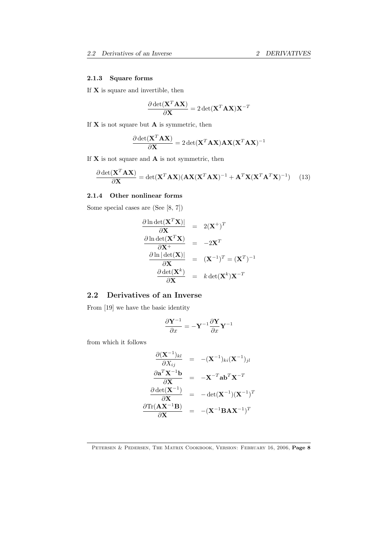# 2.1.3 Square forms

If  $X$  is square and invertible, then

$$
\frac{\partial \det(\mathbf{X}^T \mathbf{A} \mathbf{X})}{\partial \mathbf{X}} = 2 \det(\mathbf{X}^T \mathbf{A} \mathbf{X}) \mathbf{X}^{-T}
$$

If  $\mathbf X$  is not square but  $\mathbf A$  is symmetric, then

$$
\frac{\partial \det(\mathbf{X}^T \mathbf{A} \mathbf{X})}{\partial \mathbf{X}} = 2 \det(\mathbf{X}^T \mathbf{A} \mathbf{X}) \mathbf{A} \mathbf{X} (\mathbf{X}^T \mathbf{A} \mathbf{X})^{-1}
$$

If  $X$  is not square and  $A$  is not symmetric, then

$$
\frac{\partial \det(\mathbf{X}^T \mathbf{A} \mathbf{X})}{\partial \mathbf{X}} = \det(\mathbf{X}^T \mathbf{A} \mathbf{X}) (\mathbf{A} \mathbf{X} (\mathbf{X}^T \mathbf{A} \mathbf{X})^{-1} + \mathbf{A}^T \mathbf{X} (\mathbf{X}^T \mathbf{A}^T \mathbf{X})^{-1}) \tag{13}
$$

# 2.1.4 Other nonlinear forms

Some special cases are (See [8, 7])

$$
\frac{\partial \ln \det(\mathbf{X}^T \mathbf{X})|}{\partial \mathbf{X}} = 2(\mathbf{X}^+)^T
$$
\n
$$
\frac{\partial \ln \det(\mathbf{X}^T \mathbf{X})}{\partial \mathbf{X}^+} = -2\mathbf{X}^T
$$
\n
$$
\frac{\partial \ln |\det(\mathbf{X})|}{\partial \mathbf{X}} = (\mathbf{X}^{-1})^T = (\mathbf{X}^T)^{-1}
$$
\n
$$
\frac{\partial \det(\mathbf{X}^k)}{\partial \mathbf{X}} = k \det(\mathbf{X}^k) \mathbf{X}^{-T}
$$

# 2.2 Derivatives of an Inverse

From [19] we have the basic identity

$$
\frac{\partial \mathbf{Y}^{-1}}{\partial x} = -\mathbf{Y}^{-1} \frac{\partial \mathbf{Y}}{\partial x} \mathbf{Y}^{-1}
$$

from which it follows

$$
\frac{\partial (\mathbf{X}^{-1})_{kl}}{\partial X_{ij}} = -(\mathbf{X}^{-1})_{ki} (\mathbf{X}^{-1})_{jl}
$$
\n
$$
\frac{\partial \mathbf{a}^T \mathbf{X}^{-1} \mathbf{b}}{\partial \mathbf{X}} = -\mathbf{X}^{-T} \mathbf{a} \mathbf{b}^T \mathbf{X}^{-T}
$$
\n
$$
\frac{\partial \det(\mathbf{X}^{-1})}{\partial \mathbf{X}} = -\det(\mathbf{X}^{-1})(\mathbf{X}^{-1})^T
$$
\n
$$
\frac{\partial \text{Tr}(\mathbf{A} \mathbf{X}^{-1} \mathbf{B})}{\partial \mathbf{X}} = -(\mathbf{X}^{-1} \mathbf{B} \mathbf{A} \mathbf{X}^{-1})^T
$$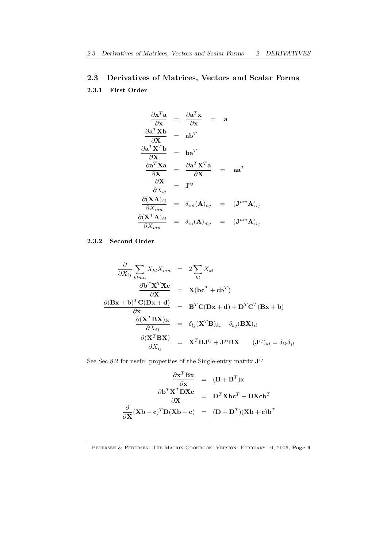# 2.3 Derivatives of Matrices, Vectors and Scalar Forms

# 2.3.1 First Order

$$
\frac{\partial \mathbf{x}^{T} \mathbf{a}}{\partial \mathbf{x}} = \frac{\partial \mathbf{a}^{T} \mathbf{x}}{\partial \mathbf{x}} = \mathbf{a}
$$
\n
$$
\frac{\partial \mathbf{a}^{T} \mathbf{X} \mathbf{b}}{\partial \mathbf{X}} = \mathbf{a} \mathbf{b}^{T}
$$
\n
$$
\frac{\partial \mathbf{a}^{T} \mathbf{X}^{T} \mathbf{b}}{\partial \mathbf{X}} = \mathbf{b} \mathbf{a}^{T}
$$
\n
$$
\frac{\partial \mathbf{a}^{T} \mathbf{X} \mathbf{a}}{\partial \mathbf{X}} = \frac{\partial \mathbf{a}^{T} \mathbf{X}^{T} \mathbf{a}}{\partial \mathbf{X}} = \mathbf{a} \mathbf{a}^{T}
$$
\n
$$
\frac{\partial \mathbf{X}}{\partial X_{ij}} = \mathbf{J}^{ij}
$$
\n
$$
\frac{\partial (\mathbf{X} \mathbf{A})_{ij}}{\partial X_{mn}} = \delta_{im} (\mathbf{A})_{nj} = (\mathbf{J}^{mn} \mathbf{A})_{ij}
$$
\n
$$
\frac{\partial (\mathbf{X}^{T} \mathbf{A})_{ij}}{\partial X_{mn}} = \delta_{in} (\mathbf{A})_{mj} = (\mathbf{J}^{nm} \mathbf{A})_{ij}
$$

# 2.3.2 Second Order

$$
\frac{\partial}{\partial X_{ij}} \sum_{klmn} X_{kl} X_{mn} = 2 \sum_{kl} X_{kl}
$$
\n
$$
\frac{\partial \mathbf{b}^T \mathbf{X}^T \mathbf{X} \mathbf{c}}{\partial \mathbf{X}} = \mathbf{X} (\mathbf{b} \mathbf{c}^T + \mathbf{c} \mathbf{b}^T)
$$
\n
$$
\frac{\partial (\mathbf{Bx} + \mathbf{b})^T \mathbf{C} (\mathbf{Dx} + \mathbf{d})}{\partial \mathbf{x}} = \mathbf{B}^T \mathbf{C} (\mathbf{Dx} + \mathbf{d}) + \mathbf{D}^T \mathbf{C}^T (\mathbf{Bx} + \mathbf{b})
$$
\n
$$
\frac{\partial (\mathbf{X}^T \mathbf{Bx})_{kl}}{\partial X_{ij}} = \delta_{lj} (\mathbf{X}^T \mathbf{B})_{ki} + \delta_{kj} (\mathbf{Bx})_{il}
$$
\n
$$
\frac{\partial (\mathbf{X}^T \mathbf{Bx})}{\partial X_{ij}} = \mathbf{X}^T \mathbf{B} \mathbf{J}^{ij} + \mathbf{J}^{ji} \mathbf{Bx} \qquad (\mathbf{J}^{ij})_{kl} = \delta_{ik} \delta_{jl}
$$

See Sec 8.2 for useful properties of the Single-entry matrix  $J^{ij}$ 

$$
\frac{\partial \mathbf{x}^T \mathbf{B} \mathbf{x}}{\partial \mathbf{x}} = (\mathbf{B} + \mathbf{B}^T) \mathbf{x}
$$

$$
\frac{\partial \mathbf{b}^T \mathbf{X}^T \mathbf{D} \mathbf{X} \mathbf{c}}{\partial \mathbf{X}} = \mathbf{D}^T \mathbf{X} \mathbf{b} \mathbf{c}^T + \mathbf{D} \mathbf{X} \mathbf{c} \mathbf{b}^T
$$

$$
\frac{\partial}{\partial \mathbf{X}} (\mathbf{X} \mathbf{b} + \mathbf{c})^T \mathbf{D} (\mathbf{X} \mathbf{b} + \mathbf{c}) = (\mathbf{D} + \mathbf{D}^T) (\mathbf{X} \mathbf{b} + \mathbf{c}) \mathbf{b}^T
$$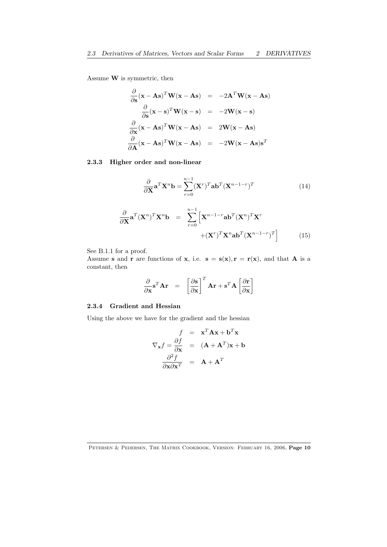Assume W is symmetric, then

$$
\frac{\partial}{\partial s}(\mathbf{x} - \mathbf{A}\mathbf{s})^T \mathbf{W}(\mathbf{x} - \mathbf{A}\mathbf{s}) = -2\mathbf{A}^T \mathbf{W}(\mathbf{x} - \mathbf{A}\mathbf{s})
$$
\n
$$
\frac{\partial}{\partial s}(\mathbf{x} - \mathbf{s})^T \mathbf{W}(\mathbf{x} - \mathbf{s}) = -2\mathbf{W}(\mathbf{x} - \mathbf{s})
$$
\n
$$
\frac{\partial}{\partial x}(\mathbf{x} - \mathbf{A}\mathbf{s})^T \mathbf{W}(\mathbf{x} - \mathbf{A}\mathbf{s}) = 2\mathbf{W}(\mathbf{x} - \mathbf{A}\mathbf{s})
$$
\n
$$
\frac{\partial}{\partial \mathbf{A}}(\mathbf{x} - \mathbf{A}\mathbf{s})^T \mathbf{W}(\mathbf{x} - \mathbf{A}\mathbf{s}) = -2\mathbf{W}(\mathbf{x} - \mathbf{A}\mathbf{s})\mathbf{s}^T
$$

# 2.3.3 Higher order and non-linear

$$
\frac{\partial}{\partial \mathbf{X}} \mathbf{a}^T \mathbf{X}^n \mathbf{b} = \sum_{r=0}^{n-1} (\mathbf{X}^r)^T \mathbf{a} \mathbf{b}^T (\mathbf{X}^{n-1-r})^T
$$
(14)

$$
\frac{\partial}{\partial \mathbf{X}} \mathbf{a}^T (\mathbf{X}^n)^T \mathbf{X}^n \mathbf{b} = \sum_{r=0}^{n-1} \left[ \mathbf{X}^{n-1-r} \mathbf{a} \mathbf{b}^T (\mathbf{X}^n)^T \mathbf{X}^r + (\mathbf{X}^r)^T \mathbf{X}^n \mathbf{a} \mathbf{b}^T (\mathbf{X}^{n-1-r})^T \right]
$$
(15)

See B.1.1 for a proof.

Assume s and r are functions of x, i.e.  $s = s(x), r = r(x)$ , and that A is a constant, then

$$
\frac{\partial}{\partial \mathbf{x}} \mathbf{s}^T \mathbf{A} \mathbf{r} = \begin{bmatrix} \frac{\partial \mathbf{s}}{\partial \mathbf{x}} \end{bmatrix}^T \mathbf{A} \mathbf{r} + \mathbf{s}^T \mathbf{A} \begin{bmatrix} \frac{\partial \mathbf{r}}{\partial \mathbf{x}} \end{bmatrix}
$$

# 2.3.4 Gradient and Hessian

Using the above we have for the gradient and the hessian

$$
f = \mathbf{x}^{T} \mathbf{A} \mathbf{x} + \mathbf{b}^{T} \mathbf{x}
$$

$$
\nabla_{\mathbf{x}} f = \frac{\partial f}{\partial \mathbf{x}} = (\mathbf{A} + \mathbf{A}^{T}) \mathbf{x} + \mathbf{b}
$$

$$
\frac{\partial^{2} f}{\partial \mathbf{x} \partial \mathbf{x}^{T}} = \mathbf{A} + \mathbf{A}^{T}
$$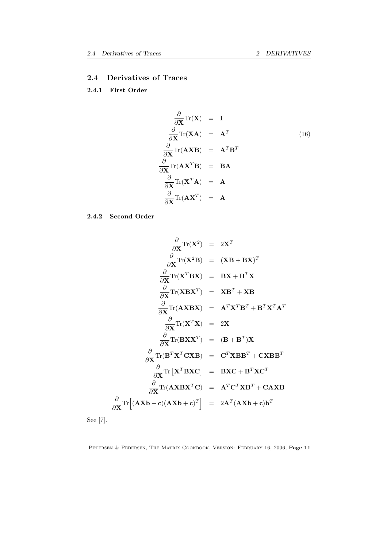# 2.4 Derivatives of Traces

# 2.4.1 First Order

$$
\frac{\partial}{\partial \mathbf{X}} \text{Tr}(\mathbf{X}) = \mathbf{I}
$$
\n
$$
\frac{\partial}{\partial \mathbf{X}} \text{Tr}(\mathbf{X} \mathbf{A}) = \mathbf{A}^T
$$
\n
$$
\frac{\partial}{\partial \mathbf{X}} \text{Tr}(\mathbf{A} \mathbf{X} \mathbf{B}) = \mathbf{A}^T \mathbf{B}^T
$$
\n
$$
\frac{\partial}{\partial \mathbf{X}} \text{Tr}(\mathbf{A} \mathbf{X}^T \mathbf{B}) = \mathbf{B} \mathbf{A}
$$
\n
$$
\frac{\partial}{\partial \mathbf{X}} \text{Tr}(\mathbf{X}^T \mathbf{A}) = \mathbf{A}
$$
\n
$$
\frac{\partial}{\partial \mathbf{X}} \text{Tr}(\mathbf{A} \mathbf{X}^T) = \mathbf{A}
$$
\n(16)

2.4.2 Second Order

$$
\frac{\partial}{\partial \mathbf{X}} \text{Tr}(\mathbf{X}^2) = 2\mathbf{X}^T
$$
\n
$$
\frac{\partial}{\partial \mathbf{X}} \text{Tr}(\mathbf{X}^2 \mathbf{B}) = (\mathbf{X}\mathbf{B} + \mathbf{B}\mathbf{X})^T
$$
\n
$$
\frac{\partial}{\partial \mathbf{X}} \text{Tr}(\mathbf{X}^T \mathbf{B}\mathbf{X}) = \mathbf{B}\mathbf{X} + \mathbf{B}^T \mathbf{X}
$$
\n
$$
\frac{\partial}{\partial \mathbf{X}} \text{Tr}(\mathbf{X}\mathbf{B}\mathbf{X}^T) = \mathbf{X}\mathbf{B}^T + \mathbf{X}\mathbf{B}
$$
\n
$$
\frac{\partial}{\partial \mathbf{X}} \text{Tr}(\mathbf{A}\mathbf{X}\mathbf{B}\mathbf{X}) = \mathbf{A}^T \mathbf{X}^T \mathbf{B}^T + \mathbf{B}^T \mathbf{X}^T \mathbf{A}^T
$$
\n
$$
\frac{\partial}{\partial \mathbf{X}} \text{Tr}(\mathbf{X}^T \mathbf{X}) = 2\mathbf{X}
$$
\n
$$
\frac{\partial}{\partial \mathbf{X}} \text{Tr}(\mathbf{B}\mathbf{X}\mathbf{X}^T) = (\mathbf{B} + \mathbf{B}^T)\mathbf{X}
$$
\n
$$
\frac{\partial}{\partial \mathbf{X}} \text{Tr}(\mathbf{B}^T \mathbf{X}^T \mathbf{C}\mathbf{X}\mathbf{B}) = \mathbf{C}^T \mathbf{X}\mathbf{B}\mathbf{B}^T + \mathbf{C}\mathbf{X}\mathbf{B}\mathbf{B}^T
$$
\n
$$
\frac{\partial}{\partial \mathbf{X}} \text{Tr}[\mathbf{X}^T \mathbf{B}\mathbf{X}\mathbf{C}] = \mathbf{B}\mathbf{X}\mathbf{C} + \mathbf{B}^T \mathbf{X}\mathbf{C}^T
$$
\n
$$
\frac{\partial}{\partial \mathbf{X}} \text{Tr}(\mathbf{A}\mathbf{X}\mathbf{B}\mathbf{X}^T \mathbf{C}) = \mathbf{A}^T \mathbf{C}^T \mathbf{X}\mathbf{B}^T + \mathbf{C}\mathbf{A}\
$$

See [7].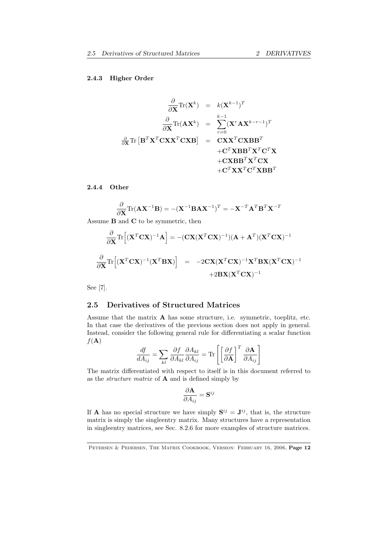#### 2.4.3 Higher Order

$$
\frac{\partial}{\partial \mathbf{X}} \text{Tr}(\mathbf{X}^k) = k(\mathbf{X}^{k-1})^T
$$
\n
$$
\frac{\partial}{\partial \mathbf{X}} \text{Tr}(\mathbf{A}\mathbf{X}^k) = \sum_{r=0}^{k-1} (\mathbf{X}^r \mathbf{A}\mathbf{X}^{k-r-1})^T
$$
\n
$$
\frac{\partial}{\partial \mathbf{X}} \text{Tr} [\mathbf{B}^T \mathbf{X}^T \mathbf{C}\mathbf{X}\mathbf{X}^T \mathbf{C}\mathbf{X}\mathbf{B}] = \mathbf{C}\mathbf{X}\mathbf{X}^T \mathbf{C}\mathbf{X}\mathbf{B}\mathbf{B}^T
$$
\n
$$
+ \mathbf{C}^T \mathbf{X} \mathbf{B} \mathbf{B}^T \mathbf{X}^T \mathbf{C}^T \mathbf{X}
$$
\n
$$
+ \mathbf{C}\mathbf{X}\mathbf{B}\mathbf{B}^T \mathbf{X}^T \mathbf{C}^T \mathbf{X}\mathbf{B}\mathbf{B}^T
$$

#### 2.4.4 Other

$$
\frac{\partial}{\partial \mathbf{X}} \text{Tr}(\mathbf{A} \mathbf{X}^{-1} \mathbf{B}) = -(\mathbf{X}^{-1} \mathbf{B} \mathbf{A} \mathbf{X}^{-1})^T = -\mathbf{X}^{-T} \mathbf{A}^T \mathbf{B}^T \mathbf{X}^{-T}
$$

Assume B and C to be symmetric, then

$$
\frac{\partial}{\partial \mathbf{X}} \text{Tr} \left[ (\mathbf{X}^T \mathbf{C} \mathbf{X})^{-1} \mathbf{A} \right] = -(\mathbf{C} \mathbf{X} (\mathbf{X}^T \mathbf{C} \mathbf{X})^{-1}) (\mathbf{A} + \mathbf{A}^T) (\mathbf{X}^T \mathbf{C} \mathbf{X})^{-1}
$$

$$
\frac{\partial}{\partial \mathbf{X}} \text{Tr} \left[ (\mathbf{X}^T \mathbf{C} \mathbf{X})^{-1} (\mathbf{X}^T \mathbf{B} \mathbf{X}) \right] = -2 \mathbf{C} \mathbf{X} (\mathbf{X}^T \mathbf{C} \mathbf{X})^{-1} \mathbf{X}^T \mathbf{B} \mathbf{X} (\mathbf{X}^T \mathbf{C} \mathbf{X})^{-1}
$$

$$
+ 2 \mathbf{B} \mathbf{X} (\mathbf{X}^T \mathbf{C} \mathbf{X})^{-1}
$$

See [7].

# 2.5 Derivatives of Structured Matrices

Assume that the matrix A has some structure, i.e. symmetric, toeplitz, etc. In that case the derivatives of the previous section does not apply in general. Instead, consider the following general rule for differentiating a scalar function  $f(\mathbf{A})$ 

$$
\frac{df}{dA_{ij}} = \sum_{kl} \frac{\partial f}{\partial A_{kl}} \frac{\partial A_{kl}}{\partial A_{ij}} = \text{Tr} \left[ \left[ \frac{\partial f}{\partial \mathbf{A}} \right]^T \frac{\partial \mathbf{A}}{\partial A_{ij}} \right]
$$

The matrix differentiated with respect to itself is in this document referred to as the *structure matrix* of A and is defined simply by

$$
\frac{\partial \mathbf{A}}{\partial A_{ij}}=\mathbf{S}^{ij}
$$

If **A** has no special structure we have simply  $S^{ij} = J^{ij}$ , that is, the structure matrix is simply the singleentry matrix. Many structures have a representation in singleentry matrices, see Sec. 8.2.6 for more examples of structure matrices.

PETERSEN & PEDERSEN, THE MATRIX COOKBOOK, VERSION: FEBRUARY 16, 2006, Page 12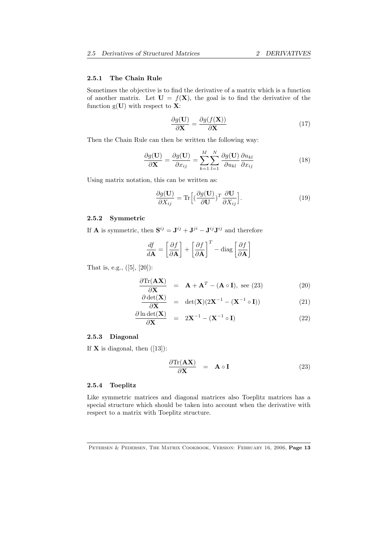#### 2.5.1 The Chain Rule

Sometimes the objective is to find the derivative of a matrix which is a function of another matrix. Let  $U = f(X)$ , the goal is to find the derivative of the function  $g(U)$  with respect to **X**:

$$
\frac{\partial g(\mathbf{U})}{\partial \mathbf{X}} = \frac{\partial g(f(\mathbf{X}))}{\partial \mathbf{X}}
$$
(17)

Then the Chain Rule can then be written the following way:

$$
\frac{\partial g(\mathbf{U})}{\partial \mathbf{X}} = \frac{\partial g(\mathbf{U})}{\partial x_{ij}} = \sum_{k=1}^{M} \sum_{l=1}^{N} \frac{\partial g(\mathbf{U})}{\partial u_{kl}} \frac{\partial u_{kl}}{\partial x_{ij}}
$$
(18)

Using matrix notation, this can be written as:

$$
\frac{\partial g(\mathbf{U})}{\partial X_{ij}} = \text{Tr}\Big[ \left(\frac{\partial g(\mathbf{U})}{\partial \mathbf{U}}\right)^T \frac{\partial \mathbf{U}}{\partial X_{ij}} \Big].
$$
\n(19)

## 2.5.2 Symmetric

If **A** is symmetric, then  $S^{ij} = J^{ij} + J^{ji} - J^{ij}J^{ij}$  and therefore

$$
\frac{df}{d\mathbf{A}} = \left[\frac{\partial f}{\partial \mathbf{A}}\right] + \left[\frac{\partial f}{\partial \mathbf{A}}\right]^T - \text{diag}\left[\frac{\partial f}{\partial \mathbf{A}}\right]
$$

That is, e.g.,  $([5], [20])$ :

$$
\frac{\partial \text{Tr}(\mathbf{A}\mathbf{X})}{\partial \mathbf{X}} = \mathbf{A} + \mathbf{A}^T - (\mathbf{A} \circ \mathbf{I}), \text{ see (23)}
$$
\n(20)

$$
\frac{\partial \det(\mathbf{X})}{\partial \mathbf{X}} = \det(\mathbf{X})(2\mathbf{X}^{-1} - (\mathbf{X}^{-1} \circ \mathbf{I})) \tag{21}
$$

$$
\frac{\partial \ln \det(\mathbf{X})}{\partial \mathbf{X}} = 2\mathbf{X}^{-1} - (\mathbf{X}^{-1} \circ \mathbf{I})
$$
\n(22)

# 2.5.3 Diagonal

If  $X$  is diagonal, then  $([13])$ :

$$
\frac{\partial \text{Tr}(\mathbf{A}\mathbf{X})}{\partial \mathbf{X}} = \mathbf{A} \circ \mathbf{I}
$$
 (23)

#### 2.5.4 Toeplitz

Like symmetric matrices and diagonal matrices also Toeplitz matrices has a special structure which should be taken into account when the derivative with respect to a matrix with Toeplitz structure.

PETERSEN & PEDERSEN, THE MATRIX COOKBOOK, VERSION: FEBRUARY 16, 2006, Page 13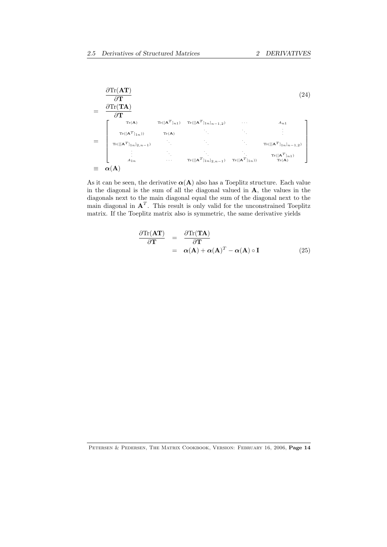

As it can be seen, the derivative  $\alpha(A)$  also has a Toeplitz structure. Each value in the diagonal is the sum of all the diagonal valued in A, the values in the diagonals next to the main diagonal equal the sum of the diagonal next to the main diagonal in  $A<sup>T</sup>$ . This result is only valid for the unconstrained Toeplitz matrix. If the Toeplitz matrix also is symmetric, the same derivative yields

$$
\frac{\partial \text{Tr}(\mathbf{AT})}{\partial \mathbf{T}} = \frac{\partial \text{Tr}(\mathbf{TA})}{\partial \mathbf{T}} \n= \alpha(\mathbf{A}) + \alpha(\mathbf{A})^T - \alpha(\mathbf{A}) \circ \mathbf{I}
$$
\n(25)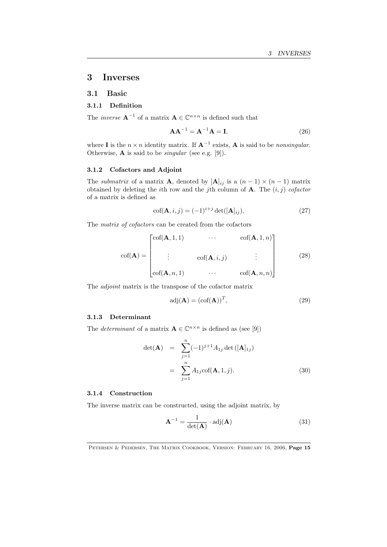# 3 Inverses

#### 3.1 Basic

# 3.1.1 Definition

The *inverse*  $\mathbf{A}^{-1}$  of a matrix  $\mathbf{A} \in \mathbb{C}^{n \times n}$  is defined such that

$$
\mathbf{A}\mathbf{A}^{-1} = \mathbf{A}^{-1}\mathbf{A} = \mathbf{I},\tag{26}
$$

where **I** is the  $n \times n$  identity matrix. If  $A^{-1}$  exists, A is said to be *nonsingular*. Otherwise, A is said to be *singular* (see e.g. [9]).

# 3.1.2 Cofactors and Adjoint

The *submatrix* of a matrix **A**, denoted by  $[\mathbf{A}]_{ij}$  is a  $(n-1) \times (n-1)$  matrix obtained by deleting the *i*th row and the *j*th column of A. The (*i, j*) *cofactor* of a matrix is defined as

$$
\operatorname{cof}(\mathbf{A}, i, j) = (-1)^{i+j} \operatorname{det}([\mathbf{A}]_{ij}),\tag{27}
$$

The *matrix of cofactors* can be created from the cofactors

$$
\operatorname{cof}(\mathbf{A}) = \begin{bmatrix} \operatorname{cof}(\mathbf{A}, 1, 1) & \cdots & \operatorname{cof}(\mathbf{A}, 1, n) \\ \vdots & \operatorname{cof}(\mathbf{A}, i, j) & \vdots \\ \operatorname{cof}(\mathbf{A}, n, 1) & \cdots & \operatorname{cof}(\mathbf{A}, n, n) \end{bmatrix}
$$
(28)

The *adjoint* matrix is the transpose of the cofactor matrix

$$
adj(\mathbf{A}) = (cof(\mathbf{A}))^T,
$$
\n(29)

#### 3.1.3 Determinant

The *determinant* of a matrix  $\mathbf{A} \in \mathbb{C}^{n \times n}$  is defined as (see [9])

$$
\det(\mathbf{A}) = \sum_{j=1}^{n} (-1)^{j+1} A_{1j} \det([\mathbf{A}]_{1j})
$$

$$
= \sum_{j=1}^{n} A_{1j} \operatorname{cof}(\mathbf{A}, 1, j).
$$
(30)

#### 3.1.4 Construction

The inverse matrix can be constructed, using the adjoint matrix, by

$$
\mathbf{A}^{-1} = \frac{1}{\det(\mathbf{A})} \cdot \text{adj}(\mathbf{A}) \tag{31}
$$

PETERSEN & PEDERSEN, THE MATRIX COOKBOOK, VERSION: FEBRUARY 16, 2006, Page 15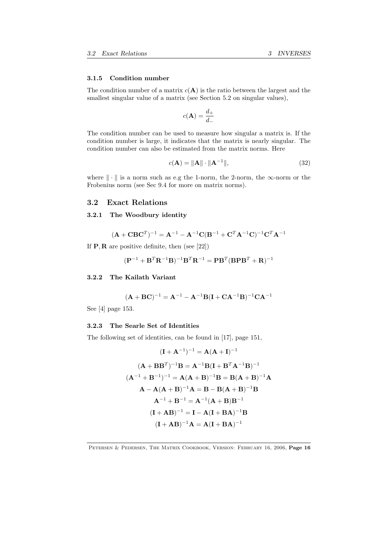#### 3.1.5 Condition number

The condition number of a matrix  $c(A)$  is the ratio between the largest and the smallest singular value of a matrix (see Section 5.2 on singular values),

$$
c(\mathbf{A}) = \frac{d_+}{d_-}
$$

The condition number can be used to measure how singular a matrix is. If the condition number is large, it indicates that the matrix is nearly singular. The condition number can also be estimated from the matrix norms. Here

$$
c(\mathbf{A}) = \|\mathbf{A}\| \cdot \|\mathbf{A}^{-1}\|,\tag{32}
$$

where  $\|\cdot\|$  is a norm such as e.g the 1-norm, the 2-norm, the  $\infty$ -norm or the Frobenius norm (see Sec 9.4 for more on matrix norms).

# 3.2 Exact Relations

#### 3.2.1 The Woodbury identity

$$
(\mathbf{A}+\mathbf{CBC}^T)^{-1}=\mathbf{A}^{-1}-\mathbf{A}^{-1}\mathbf{C}(\mathbf{B}^{-1}+\mathbf{C}^T\mathbf{A}^{-1}\mathbf{C})^{-1}\mathbf{C}^T\mathbf{A}^{-1}
$$

If P*,* R are positive definite, then (see [22])

$$
(\mathbf{P}^{-1} + \mathbf{B}^T \mathbf{R}^{-1} \mathbf{B})^{-1} \mathbf{B}^T \mathbf{R}^{-1} = \mathbf{P} \mathbf{B}^T (\mathbf{B} \mathbf{P} \mathbf{B}^T + \mathbf{R})^{-1}
$$

# 3.2.2 The Kailath Variant

$$
(\mathbf{A} + \mathbf{B}\mathbf{C})^{-1} = \mathbf{A}^{-1} - \mathbf{A}^{-1}\mathbf{B}(\mathbf{I} + \mathbf{C}\mathbf{A}^{-1}\mathbf{B})^{-1}\mathbf{C}\mathbf{A}^{-1}
$$

See [4] page 153.

# 3.2.3 The Searle Set of Identities

The following set of identities, can be found in [17], page 151,

$$
(\mathbf{I} + \mathbf{A}^{-1})^{-1} = \mathbf{A}(\mathbf{A} + \mathbf{I})^{-1}
$$

$$
(\mathbf{A} + \mathbf{B}\mathbf{B}^{T})^{-1}\mathbf{B} = \mathbf{A}^{-1}\mathbf{B}(\mathbf{I} + \mathbf{B}^{T}\mathbf{A}^{-1}\mathbf{B})^{-1}
$$

$$
(\mathbf{A}^{-1} + \mathbf{B}^{-1})^{-1} = \mathbf{A}(\mathbf{A} + \mathbf{B})^{-1}\mathbf{B} = \mathbf{B}(\mathbf{A} + \mathbf{B})^{-1}\mathbf{A}
$$

$$
\mathbf{A} - \mathbf{A}(\mathbf{A} + \mathbf{B})^{-1}\mathbf{A} = \mathbf{B} - \mathbf{B}(\mathbf{A} + \mathbf{B})^{-1}\mathbf{B}
$$

$$
\mathbf{A}^{-1} + \mathbf{B}^{-1} = \mathbf{A}^{-1}(\mathbf{A} + \mathbf{B})\mathbf{B}^{-1}
$$

$$
(\mathbf{I} + \mathbf{A}\mathbf{B})^{-1} = \mathbf{I} - \mathbf{A}(\mathbf{I} + \mathbf{B}\mathbf{A})^{-1}\mathbf{B}
$$

$$
(\mathbf{I} + \mathbf{A}\mathbf{B})^{-1}\mathbf{A} = \mathbf{A}(\mathbf{I} + \mathbf{B}\mathbf{A})^{-1}
$$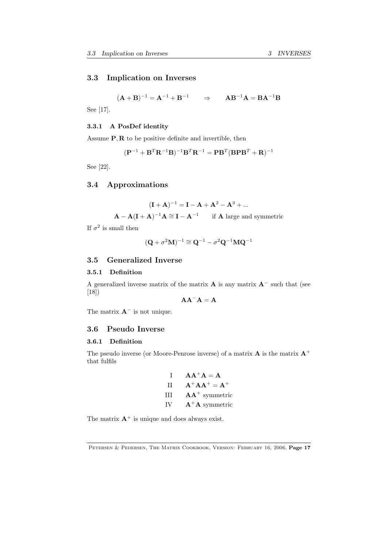# 3.3 Implication on Inverses

$$
(A + B)^{-1} = A^{-1} + B^{-1}
$$
  $\Rightarrow$   $AB^{-1}A = BA^{-1}B$ 

See [17].

# 3.3.1 A PosDef identity

Assume P*,* R to be positive definite and invertible, then

$$
(\mathbf{P}^{-1} + \mathbf{B}^T \mathbf{R}^{-1} \mathbf{B})^{-1} \mathbf{B}^T \mathbf{R}^{-1} = \mathbf{P} \mathbf{B}^T (\mathbf{B} \mathbf{P} \mathbf{B}^T + \mathbf{R})^{-1}
$$

See [22].

# 3.4 Approximations

$$
(\mathbf{I} + \mathbf{A})^{-1} = \mathbf{I} - \mathbf{A} + \mathbf{A}^2 - \mathbf{A}^3 + \dots
$$
  

$$
\mathbf{A} - \mathbf{A}(\mathbf{I} + \mathbf{A})^{-1}\mathbf{A} \cong \mathbf{I} - \mathbf{A}^{-1} \quad \text{if } \mathbf{A} \text{ large and symmetric}
$$

If  $\sigma^2$  is small then

$$
(\mathbf{Q} + \sigma^2 \mathbf{M})^{-1} \cong \mathbf{Q}^{-1} - \sigma^2 \mathbf{Q}^{-1} \mathbf{M} \mathbf{Q}^{-1}
$$

# 3.5 Generalized Inverse

# 3.5.1 Definition

A generalized inverse matrix of the matrix  $\bf{A}$  is any matrix  $\bf{A}^-$  such that (see [18])

 $AA^-A = A$ 

The matrix  $\mathbf{A}^-$  is not unique.

# 3.6 Pseudo Inverse

# 3.6.1 Definition

The pseudo inverse (or Moore-Penrose inverse) of a matrix  $A$  is the matrix  $A^+$ that fulfils

> I  $AA^+A = A$ II  $A^+AA^+ = A^+$ III  $AA^+$  symmetric IV  $\mathbf{A}^+ \mathbf{A}$  symmetric

The matrix  $A^+$  is unique and does always exist.

PETERSEN & PEDERSEN, THE MATRIX COOKBOOK, VERSION: FEBRUARY 16, 2006, Page 17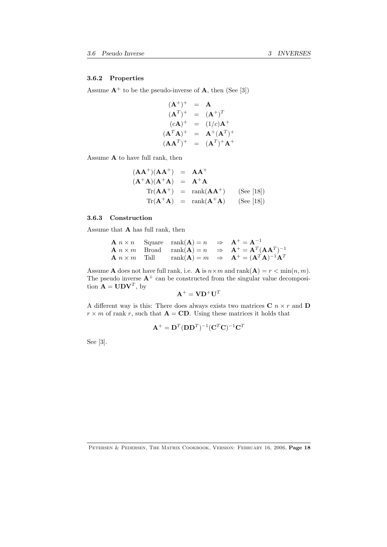## 3.6.2 Properties

Assume  $A^+$  to be the pseudo-inverse of A, then (See [3])

$$
(\mathbf{A}^+)^+ = \mathbf{A}
$$
  
\n
$$
(\mathbf{A}^T)^+ = (\mathbf{A}^+)^T
$$
  
\n
$$
(c\mathbf{A})^+ = (1/c)\mathbf{A}^+
$$
  
\n
$$
(\mathbf{A}^T\mathbf{A})^+ = \mathbf{A}^+(\mathbf{A}^T)^+
$$
  
\n
$$
(\mathbf{A}\mathbf{A}^T)^+ = (\mathbf{A}^T)^+\mathbf{A}^+
$$

Assume A to have full rank, then

$$
(\mathbf{A}\mathbf{A}^+)(\mathbf{A}\mathbf{A}^+) = \mathbf{A}\mathbf{A}^+
$$
  
\n
$$
(\mathbf{A}^+\mathbf{A})(\mathbf{A}^+\mathbf{A}) = \mathbf{A}^+\mathbf{A}
$$
  
\n
$$
\text{Tr}(\mathbf{A}\mathbf{A}^+) = \text{rank}(\mathbf{A}\mathbf{A}^+) \qquad \text{(See [18])}
$$
  
\n
$$
\text{Tr}(\mathbf{A}^+\mathbf{A}) = \text{rank}(\mathbf{A}^+\mathbf{A}) \qquad \text{(See [18])}
$$

# 3.6.3 Construction

Assume that A has full rank, then

**A** 
$$
n \times n
$$
 Square rank(**A**) =  $n \Rightarrow$  **A**<sup>+</sup> = **A**<sup>-1</sup>  
\n**A**  $n \times m$  Broad rank(**A**) =  $n \Rightarrow$  **A**<sup>+</sup> = **A**<sup>T</sup>(**AA**<sup>T</sup>)<sup>-1</sup>  
\n**A**  $n \times m$  Tall rank(**A**) =  $m \Rightarrow$  **A**<sup>+</sup> = (**A**<sup>T</sup>(**AA**<sup>T</sup>)<sup>-1</sup>**A**<sup>T</sup>

Assume **A** does not have full rank, i.e. **A** is  $n \times m$  and  $\text{rank}(\mathbf{A}) = r < \min(n, m)$ . The pseudo inverse  $A^+$  can be constructed from the singular value decomposition  $\mathbf{A} = \mathbf{U} \mathbf{D} \mathbf{V}^T$ , by

$$
\mathbf{A}^+ = \mathbf{V} \mathbf{D}^+ \mathbf{U}^T
$$

A different way is this: There does always exists two matrices  $C$  *n*  $\times$  *r* and **D**  $r \times m$  of rank *r*, such that  $\mathbf{A} = \mathbf{CD}$ . Using these matrices it holds that

$$
\mathbf{A}^+ = \mathbf{D}^T (\mathbf{D} \mathbf{D}^T)^{-1} (\mathbf{C}^T \mathbf{C})^{-1} \mathbf{C}^T
$$

See [3].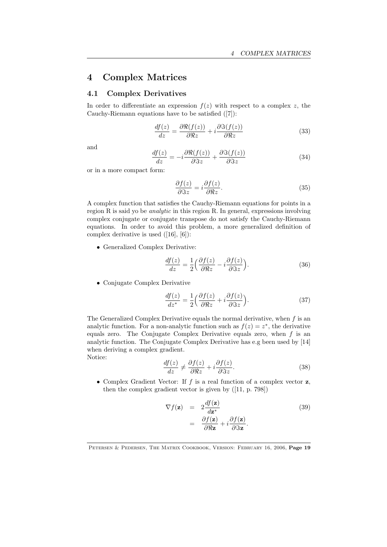# 4 Complex Matrices

# 4.1 Complex Derivatives

In order to differentiate an expression  $f(z)$  with respect to a complex *z*, the Cauchy-Riemann equations have to be satisfied ([7]):

$$
\frac{df(z)}{dz} = \frac{\partial \Re(f(z))}{\partial \Re z} + i \frac{\partial \Im(f(z))}{\partial \Re z} \tag{33}
$$

and

$$
\frac{df(z)}{dz} = -i \frac{\partial \Re(f(z))}{\partial \Im z} + \frac{\partial \Im(f(z))}{\partial \Im z} \tag{34}
$$

or in a more compact form:

$$
\frac{\partial f(z)}{\partial \Im z} = i \frac{\partial f(z)}{\partial \Re z}.
$$
\n(35)

A complex function that satisfies the Cauchy-Riemann equations for points in a region R is said yo be *analytic* in this region R. In general, expressions involving complex conjugate or conjugate transpose do not satisfy the Cauchy-Riemann equations. In order to avoid this problem, a more generalized definition of complex derivative is used ([16], [6]):

*•* Generalized Complex Derivative:

$$
\frac{df(z)}{dz} = \frac{1}{2} \left( \frac{\partial f(z)}{\partial \Re z} - i \frac{\partial f(z)}{\partial \Im z} \right).
$$
 (36)

*•* Conjugate Complex Derivative

$$
\frac{df(z)}{dz^*} = \frac{1}{2} \left( \frac{\partial f(z)}{\partial \Re z} + i \frac{\partial f(z)}{\partial \Im z} \right).
$$
 (37)

The Generalized Complex Derivative equals the normal derivative, when *f* is an analytic function. For a non-analytic function such as  $f(z) = z^*$ , the derivative equals zero. The Conjugate Complex Derivative equals zero, when *f* is an analytic function. The Conjugate Complex Derivative has e.g been used by [14] when deriving a complex gradient. Notice:

$$
\frac{df(z)}{dz} \neq \frac{\partial f(z)}{\partial \Re z} + i \frac{\partial f(z)}{\partial \Im z}.
$$
\n(38)

*•* Complex Gradient Vector: If *f* is a real function of a complex vector z, then the complex gradient vector is given by ([11, p. 798])

$$
\nabla f(\mathbf{z}) = 2 \frac{df(\mathbf{z})}{d\mathbf{z}^*} \n= \frac{\partial f(\mathbf{z})}{\partial \Re \mathbf{z}} + i \frac{\partial f(\mathbf{z})}{\partial \Im \mathbf{z}}.
$$
\n(39)

Petersen & Pedersen, The Matrix Cookbook, Version: February 16, 2006, Page 19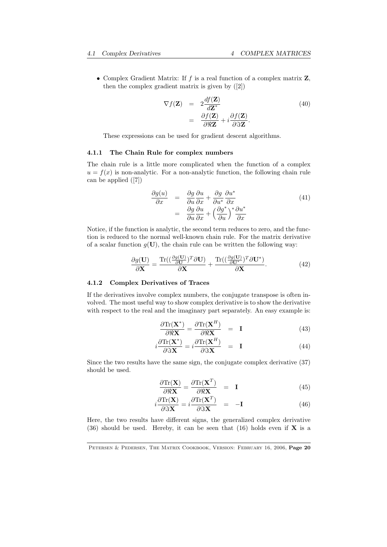*•* Complex Gradient Matrix: If *f* is a real function of a complex matrix Z, then the complex gradient matrix is given by ([2])

$$
\nabla f(\mathbf{Z}) = 2 \frac{df(\mathbf{Z})}{d\mathbf{Z}^*} \n= \frac{\partial f(\mathbf{Z})}{\partial \Re \mathbf{Z}} + i \frac{\partial f(\mathbf{Z})}{\partial \Im \mathbf{Z}}.
$$
\n(40)

These expressions can be used for gradient descent algorithms.

# 4.1.1 The Chain Rule for complex numbers

The chain rule is a little more complicated when the function of a complex  $u = f(x)$  is non-analytic. For a non-analytic function, the following chain rule can be applied ([7])

$$
\frac{\partial g(u)}{\partial x} = \frac{\partial g}{\partial u} \frac{\partial u}{\partial x} + \frac{\partial g}{\partial u^*} \frac{\partial u^*}{\partial x} \n= \frac{\partial g}{\partial u} \frac{\partial u}{\partial x} + \left(\frac{\partial g^*}{\partial u}\right)^* \frac{\partial u^*}{\partial x}
$$
\n(41)

Notice, if the function is analytic, the second term reduces to zero, and the function is reduced to the normal well-known chain rule. For the matrix derivative of a scalar function  $g(U)$ , the chain rule can be written the following way:

$$
\frac{\partial g(\mathbf{U})}{\partial \mathbf{X}} = \frac{\text{Tr}\left((\frac{\partial g(\mathbf{U})}{\partial \mathbf{U}})^T \partial \mathbf{U}\right)}{\partial \mathbf{X}} + \frac{\text{Tr}\left((\frac{\partial g(\mathbf{U})}{\partial \mathbf{U}^*})^T \partial \mathbf{U}^*\right)}{\partial \mathbf{X}}.
$$
(42)

#### 4.1.2 Complex Derivatives of Traces

If the derivatives involve complex numbers, the conjugate transpose is often involved. The most useful way to show complex derivative is to show the derivative with respect to the real and the imaginary part separately. An easy example is:

$$
\frac{\partial \text{Tr}(\mathbf{X}^*)}{\partial \Re \mathbf{X}} = \frac{\partial \text{Tr}(\mathbf{X}^H)}{\partial \Re \mathbf{X}} = \mathbf{I}
$$
(43)

$$
i\frac{\partial \text{Tr}(\mathbf{X}^*)}{\partial \Im \mathbf{X}} = i\frac{\partial \text{Tr}(\mathbf{X}^H)}{\partial \Im \mathbf{X}} = \mathbf{I}
$$
 (44)

Since the two results have the same sign, the conjugate complex derivative (37) should be used.

$$
\frac{\partial \text{Tr}(\mathbf{X})}{\partial \Re \mathbf{X}} = \frac{\partial \text{Tr}(\mathbf{X}^T)}{\partial \Re \mathbf{X}} = \mathbf{I}
$$
(45)

$$
i\frac{\partial \text{Tr}(\mathbf{X})}{\partial \Im \mathbf{X}} = i\frac{\partial \text{Tr}(\mathbf{X}^T)}{\partial \Im \mathbf{X}} = -\mathbf{I}
$$
 (46)

Here, the two results have different signs, the generalized complex derivative (36) should be used. Hereby, it can be seen that (16) holds even if  $X$  is a

PETERSEN & PEDERSEN, THE MATRIX COOKBOOK, VERSION: FEBRUARY 16, 2006, Page 20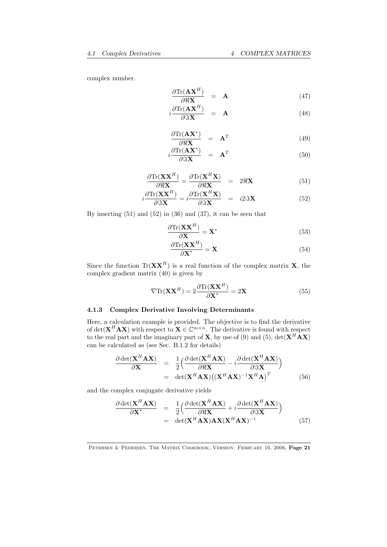complex number.

$$
\frac{\partial \text{Tr}(\mathbf{A}\mathbf{X}^H)}{\partial \Re \mathbf{X}} = \mathbf{A}
$$
 (47)

$$
i\frac{\partial \text{Tr}(\mathbf{A}\mathbf{X}^{H})}{\partial \mathfrak{F}\mathbf{X}} = \mathbf{A}
$$
 (48)

$$
\frac{\partial \text{Tr}(\mathbf{A}\mathbf{X}^*)}{\partial \Re \mathbf{X}} = \mathbf{A}^T
$$
\n(49)

$$
i\frac{\partial \text{Tr}(\mathbf{A}\mathbf{X}^*)}{\partial \Im \mathbf{X}} = \mathbf{A}^T \tag{50}
$$

$$
\frac{\partial \text{Tr}(\mathbf{X}\mathbf{X}^H)}{\partial \Re \mathbf{X}_H} = \frac{\partial \text{Tr}(\mathbf{X}^H \mathbf{X})}{\partial \Re \mathbf{X}_H} = 2\Re \mathbf{X}
$$
(51)

$$
i\frac{\partial \text{Tr}(\mathbf{X}\mathbf{X}^{H})}{\partial \Im \mathbf{X}} = i\frac{\partial \text{Tr}(\mathbf{X}^{H}\mathbf{X})}{\partial \Im \mathbf{X}} = i2\Im \mathbf{X}
$$
 (52)

By inserting  $(51)$  and  $(52)$  in  $(36)$  and  $(37)$ , it can be seen that

$$
\frac{\partial \text{Tr}(\mathbf{X}\mathbf{X}^H)}{\partial \mathbf{X}} = \mathbf{X}^*
$$
\n(53)

$$
\frac{\partial \text{Tr}(\mathbf{X} \mathbf{X}^H)}{\partial \mathbf{X}^*} = \mathbf{X}
$$
 (54)

Since the function  $\text{Tr}(\mathbf{X}\mathbf{X}^H)$  is a real function of the complex matrix **X**, the complex gradient matrix (40) is given by

$$
\nabla \text{Tr}(\mathbf{X} \mathbf{X}^H) = 2 \frac{\partial \text{Tr}(\mathbf{X} \mathbf{X}^H)}{\partial \mathbf{X}^*} = 2\mathbf{X}
$$
 (55)

# 4.1.3 Complex Derivative Involving Determinants

Here, a calculation example is provided. The objective is to find the derivative of det( $X^H A X$ ) with respect to  $X \in \mathbb{C}^{m \times n}$ . The derivative is found with respect to the real part and the imaginary part of **X**, by use of (9) and (5), det $(X^H A X)$ can be calculated as (see Sec. B.1.2 for details)

$$
\frac{\partial \det(\mathbf{X}^H \mathbf{A} \mathbf{X})}{\partial \mathbf{X}} = \frac{1}{2} \Big( \frac{\partial \det(\mathbf{X}^H \mathbf{A} \mathbf{X})}{\partial \Re \mathbf{X}} - i \frac{\partial \det(\mathbf{X}^H \mathbf{A} \mathbf{X})}{\partial \Im \mathbf{X}} \Big) \n= \det(\mathbf{X}^H \mathbf{A} \mathbf{X}) ((\mathbf{X}^H \mathbf{A} \mathbf{X})^{-1} \mathbf{X}^H \mathbf{A})^T
$$
\n(56)

and the complex conjugate derivative yields

$$
\frac{\partial \det(\mathbf{X}^H \mathbf{A} \mathbf{X})}{\partial \mathbf{X}^*} = \frac{1}{2} \Big( \frac{\partial \det(\mathbf{X}^H \mathbf{A} \mathbf{X})}{\partial \Re \mathbf{X}} + i \frac{\partial \det(\mathbf{X}^H \mathbf{A} \mathbf{X})}{\partial \Im \mathbf{X}} \Big) \n= \det(\mathbf{X}^H \mathbf{A} \mathbf{X}) \mathbf{A} \mathbf{X} (\mathbf{X}^H \mathbf{A} \mathbf{X})^{-1}
$$
\n(57)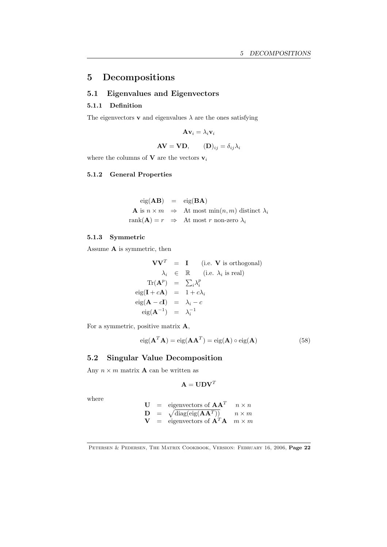# 5 Decompositions

# 5.1 Eigenvalues and Eigenvectors

# 5.1.1 Definition

The eigenvectors **v** and eigenvalues  $\lambda$  are the ones satisfying

$$
\mathbf{A} \mathbf{v}_i = \lambda_i \mathbf{v}_i
$$

$$
AV = VD, \t(D)_{ij} = \delta_{ij} \lambda_i
$$

where the columns of  ${\bf V}$  are the vectors  ${\bf v}_i$ 

# 5.1.2 General Properties

$$
eig(AB) = eig(BA)
$$
  
\n**A** is  $n \times m \Rightarrow$  At most min $(n, m)$  distinct  $\lambda_i$   
\n
$$
rank(A) = r \Rightarrow
$$
 At most  $r$  non-zero  $\lambda_i$ 

# 5.1.3 Symmetric

Assume A is symmetric, then

$$
\mathbf{V}\mathbf{V}^T = \mathbf{I} \quad \text{(i.e. } \mathbf{V} \text{ is orthogonal)}
$$
\n
$$
\lambda_i \in \mathbb{R} \quad \text{(i.e. } \lambda_i \text{ is real)}
$$
\n
$$
\text{Tr}(\mathbf{A}^p) = \sum_i \lambda_i^p
$$
\n
$$
\text{eig}(\mathbf{I} + c\mathbf{A}) = 1 + c\lambda_i
$$
\n
$$
\text{eig}(\mathbf{A} - c\mathbf{I}) = \lambda_i - c
$$
\n
$$
\text{eig}(\mathbf{A}^{-1}) = \lambda_i^{-1}
$$

For a symmetric, positive matrix A,

$$
eig(\mathbf{A}^T\mathbf{A}) = eig(\mathbf{A}\mathbf{A}^T) = eig(\mathbf{A}) \circ eig(\mathbf{A})
$$
\n(58)

# 5.2 Singular Value Decomposition

Any  $n \times m$  matrix **A** can be written as

$$
\mathbf{A} = \mathbf{U} \mathbf{D} \mathbf{V}^T
$$

where

$$
\begin{array}{rcl}\n\mathbf{U} & = & \text{eigenvectors of } \mathbf{A}\mathbf{A}^T & n \times n \\
\mathbf{D} & = & \sqrt{\text{diag}(\text{eig}(\mathbf{A}\mathbf{A}^T))} & n \times m \\
\mathbf{V} & = & \text{eigenvectors of } \mathbf{A}^T \mathbf{A} & m \times m\n\end{array}
$$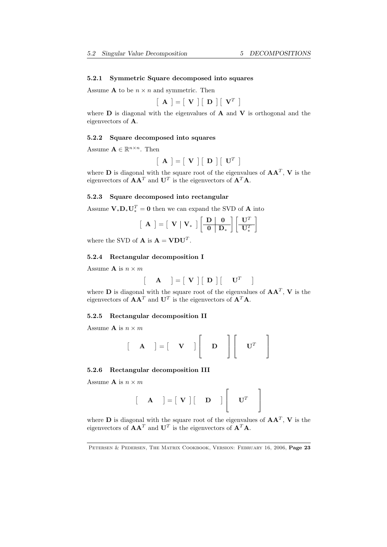#### 5.2.1 Symmetric Square decomposed into squares

Assume **A** to be  $n \times n$  and symmetric. Then

$$
\left[\begin{array}{c} \mathbf{A} \end{array}\right] = \left[\begin{array}{c} \mathbf{V} \end{array}\right] \left[\begin{array}{c} \mathbf{D} \end{array}\right] \left[\begin{array}{c} \mathbf{V}^T \end{array}\right]
$$

where  $\bf{D}$  is diagonal with the eigenvalues of  $\bf{A}$  and  $\bf{V}$  is orthogonal and the eigenvectors of A.

#### 5.2.2 Square decomposed into squares

Assume  $\mathbf{A} \in \mathbb{R}^{n \times n}$ . Then

$$
\left[\begin{array}{c} \mathbf{A} \end{array}\right] = \left[\begin{array}{c} \mathbf{V} \end{array}\right] \left[\begin{array}{c} \mathbf{D} \end{array}\right] \left[\begin{array}{c} \mathbf{U}^T \end{array}\right]
$$

where D is diagonal with the square root of the eigenvalues of AA*<sup>T</sup>* , V is the eigenvectors of  $\mathbf{A}\mathbf{A}^T$  and  $\mathbf{U}^T$  is the eigenvectors of  $\mathbf{A}^T\mathbf{A}$ .

#### 5.2.3 Square decomposed into rectangular

Assume  $\mathbf{V}_{*}\mathbf{D}_{*}\mathbf{U}_{*}^{T}=\mathbf{0}$  then we can expand the SVD of **A** into

$$
\left[\begin{array}{c} \mathbf{A} \end{array}\right] = \left[\begin{array}{c} \mathbf{V} & \mathbf{V}_{*} \end{array}\right] \left[\begin{array}{c} \mathbf{D} & \mathbf{0} \\ \hline \mathbf{0} & \mathbf{D}_{*} \end{array}\right] \left[\begin{array}{c} \mathbf{U}^{T} \\ \mathbf{U}_{*}^{T} \end{array}\right]
$$

where the SVD of **A** is  $A = VDU<sup>T</sup>$ .

#### 5.2.4 Rectangular decomposition I

Assume **A** is  $n \times m$ 

$$
\begin{bmatrix} \mathbf{A} \end{bmatrix} = \begin{bmatrix} \mathbf{V} \end{bmatrix} \begin{bmatrix} \mathbf{D} \end{bmatrix} \begin{bmatrix} \mathbf{U}^T \end{bmatrix}
$$

where **D** is diagonal with the square root of the eigenvalues of  $AA<sup>T</sup>$ , **V** is the eigenvectors of  $AA<sup>T</sup>$  and  $U<sup>T</sup>$  is the eigenvectors of  $A<sup>T</sup>A$ .

# 5.2.5 Rectangular decomposition II

Assume **A** is  $n \times m$ 

$$
\begin{bmatrix} \mathbf{A} \end{bmatrix} = \begin{bmatrix} \mathbf{V} \end{bmatrix} \begin{bmatrix} \mathbf{D} \end{bmatrix} \begin{bmatrix} \mathbf{U}^T \end{bmatrix}
$$

#### 5.2.6 Rectangular decomposition III

Assume **A** is  $n \times m$ 

$$
\begin{bmatrix} \mathbf{A} \end{bmatrix} = \begin{bmatrix} \mathbf{V} \end{bmatrix} \begin{bmatrix} \mathbf{D} \end{bmatrix} \begin{bmatrix} \mathbf{U}^T \end{bmatrix}
$$

where **D** is diagonal with the square root of the eigenvalues of  $AA<sup>T</sup>$ , **V** is the eigenvectors of  $\mathbf{A}\mathbf{A}^T$  and  $\mathbf{U}^T$  is the eigenvectors of  $\mathbf{A}^T\mathbf{A}$ .

PETERSEN & PEDERSEN, THE MATRIX COOKBOOK, VERSION: FEBRUARY 16, 2006, Page 23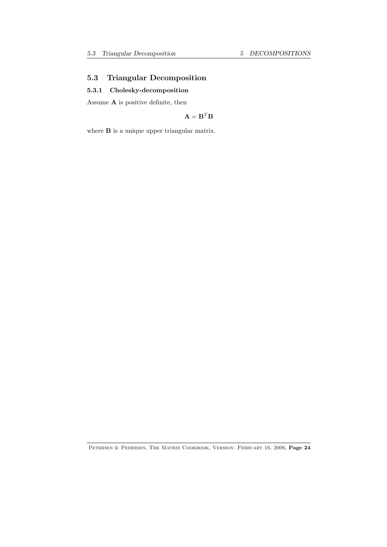# 5.3 Triangular Decomposition

# 5.3.1 Cholesky-decomposition

Assume  ${\bf A}$  is positive definite, then

$$
\mathbf{A} = \mathbf{B}^T \mathbf{B}
$$

where **B** is a unique upper triangular matrix.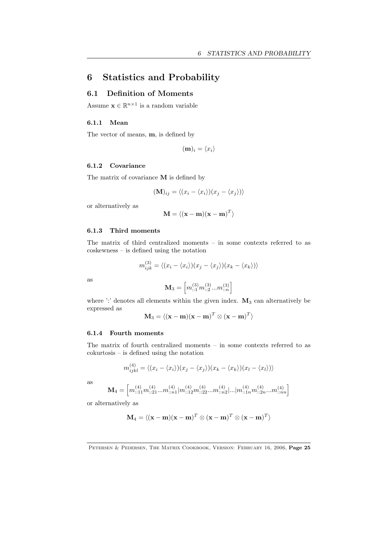# 6 Statistics and Probability

# 6.1 Definition of Moments

Assume  $\mathbf{x} \in \mathbb{R}^{n \times 1}$  is a random variable

# 6.1.1 Mean

The vector of means, m, is defined by

$$
(\mathbf{m})_i = \langle x_i \rangle
$$

#### 6.1.2 Covariance

The matrix of covariance M is defined by

$$
(\mathbf{M})_{ij} = \langle (x_i - \langle x_i \rangle)(x_j - \langle x_j \rangle) \rangle
$$

or alternatively as

$$
\mathbf{M} = \langle (\mathbf{x} - \mathbf{m})(\mathbf{x} - \mathbf{m})^T \rangle
$$

#### 6.1.3 Third moments

The matrix of third centralized moments – in some contexts referred to as coskewness – is defined using the notation

$$
m_{ijk}^{(3)} = \langle (x_i - \langle x_i \rangle)(x_j - \langle x_j \rangle)(x_k - \langle x_k \rangle) \rangle
$$

as

$$
\mathbf{M}_{3}=\left[m_{::1}^{(3)}m_{::2}^{(3)}...m_{::n}^{(3)}\right]
$$

where ':' denotes all elements within the given index.  $\mathbf{M}_3$  can alternatively be expressed as

$$
\mathbf{M}_3 = \langle (\mathbf{x} - \mathbf{m})(\mathbf{x} - \mathbf{m})^T \otimes (\mathbf{x} - \mathbf{m})^T \rangle
$$

# 6.1.4 Fourth moments

The matrix of fourth centralized moments – in some contexts referred to as cokurtosis – is defined using the notation

$$
m_{ijkl}^{(4)} = \langle (x_i - \langle x_i \rangle)(x_j - \langle x_j \rangle)(x_k - \langle x_k \rangle)(x_l - \langle x_l \rangle)\rangle
$$

as

$$
\mathbf{M}_4 = \left[ m^{(4)}_{::11} m^{(4)}_{::21} ... m^{(4)}_{::n1} | m^{(4)}_{::12} m^{(4)}_{::22} ... m^{(4)}_{::n2} |... | m^{(4)}_{::1n} m^{(4)}_{::2n} ... m^{(4)}_{::nn} \right]
$$

or alternatively as

$$
\mathbf{M}_4 = \langle (\mathbf{x} - \mathbf{m})(\mathbf{x} - \mathbf{m})^T \otimes (\mathbf{x} - \mathbf{m})^T \otimes (\mathbf{x} - \mathbf{m})^T \rangle
$$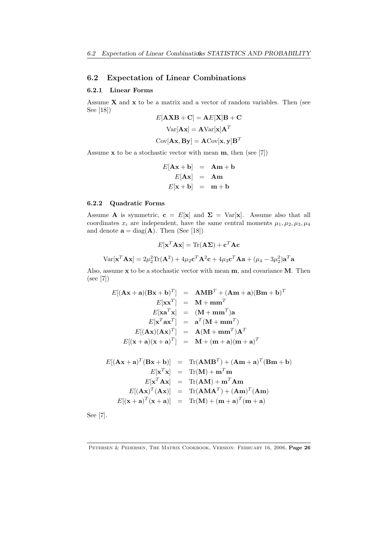# 6.2 Expectation of Linear Combinations

# 6.2.1 Linear Forms

Assume  $X$  and  $X$  to be a matrix and a vector of random variables. Then (see See [18])

$$
E[AXB + C] = AE[X] B + C
$$

$$
Var[Ax] = AVar[x] AT
$$

$$
Cov[Ax, By] = ACov[x, y] BT
$$

Assume  $x$  to be a stochastic vector with mean  $m$ , then (see [7])

$$
E[\mathbf{A}\mathbf{x} + \mathbf{b}] = \mathbf{A}\mathbf{m} + \mathbf{b}
$$
  

$$
E[\mathbf{A}\mathbf{x}] = \mathbf{A}\mathbf{m}
$$
  

$$
E[\mathbf{x} + \mathbf{b}] = \mathbf{m} + \mathbf{b}
$$

#### 6.2.2 Quadratic Forms

Assume **A** is symmetric,  $\mathbf{c} = E[\mathbf{x}]$  and  $\Sigma = Var[\mathbf{x}]$ . Assume also that all coordinates  $x_i$  are independent, have the same central moments  $\mu_1, \mu_2, \mu_3, \mu_4$ and denote  $\mathbf{a} = \text{diag}(\mathbf{A})$ . Then (See [18])

$$
E[\mathbf{x}^T \mathbf{A} \mathbf{x}] = \text{Tr}(\mathbf{A} \boldsymbol{\Sigma}) + \mathbf{c}^T \mathbf{A} \mathbf{c}
$$

$$
\text{Var}[\mathbf{x}^T \mathbf{A} \mathbf{x}] = 2\mu_2^2 \text{Tr}(\mathbf{A}^2) + 4\mu_2 \mathbf{c}^T \mathbf{A}^2 \mathbf{c} + 4\mu_3 \mathbf{c}^T \mathbf{A} \mathbf{a} + (\mu_4 - 3\mu_2^2) \mathbf{a}^T \mathbf{a}
$$

Also, assume x to be a stochastic vector with mean m, and covariance M. Then (see [7])

$$
E[(\mathbf{A}\mathbf{x} + \mathbf{a})(\mathbf{B}\mathbf{x} + \mathbf{b})^T] = \mathbf{A}\mathbf{M}\mathbf{B}^T + (\mathbf{A}\mathbf{m} + \mathbf{a})(\mathbf{B}\mathbf{m} + \mathbf{b})^T
$$
  
\n
$$
E[\mathbf{x}\mathbf{x}^T] = \mathbf{M} + \mathbf{m}\mathbf{m}^T
$$
  
\n
$$
E[\mathbf{x}\mathbf{a}^T\mathbf{x}] = (\mathbf{M} + \mathbf{m}\mathbf{m}^T)\mathbf{a}
$$
  
\n
$$
E[\mathbf{x}^T\mathbf{a}\mathbf{x}^T] = \mathbf{a}^T(\mathbf{M} + \mathbf{m}\mathbf{m}^T)
$$
  
\n
$$
E[(\mathbf{A}\mathbf{x})(\mathbf{A}\mathbf{x})^T] = \mathbf{A}(\mathbf{M} + \mathbf{m}\mathbf{m}^T)\mathbf{A}^T
$$
  
\n
$$
E[(\mathbf{x} + \mathbf{a})(\mathbf{x} + \mathbf{a})^T] = \mathbf{M} + (\mathbf{m} + \mathbf{a})(\mathbf{m} + \mathbf{a})^T
$$

$$
E[(\mathbf{A}\mathbf{x} + \mathbf{a})^T (\mathbf{B}\mathbf{x} + \mathbf{b})] = \text{Tr}(\mathbf{A}\mathbf{M}\mathbf{B}^T) + (\mathbf{A}\mathbf{m} + \mathbf{a})^T (\mathbf{B}\mathbf{m} + \mathbf{b})
$$
  
\n
$$
E[\mathbf{x}^T \mathbf{x}] = \text{Tr}(\mathbf{M}) + \mathbf{m}^T \mathbf{m}
$$
  
\n
$$
E[\mathbf{x}^T \mathbf{A}\mathbf{x}] = \text{Tr}(\mathbf{A}\mathbf{M}) + \mathbf{m}^T \mathbf{A}\mathbf{m}
$$
  
\n
$$
E[(\mathbf{A}\mathbf{x})^T (\mathbf{A}\mathbf{x})] = \text{Tr}(\mathbf{A}\mathbf{M}\mathbf{A}^T) + (\mathbf{A}\mathbf{m})^T (\mathbf{A}\mathbf{m})
$$
  
\n
$$
E[(\mathbf{x} + \mathbf{a})^T (\mathbf{x} + \mathbf{a})] = \text{Tr}(\mathbf{M}) + (\mathbf{m} + \mathbf{a})^T (\mathbf{m} + \mathbf{a})
$$

See [7].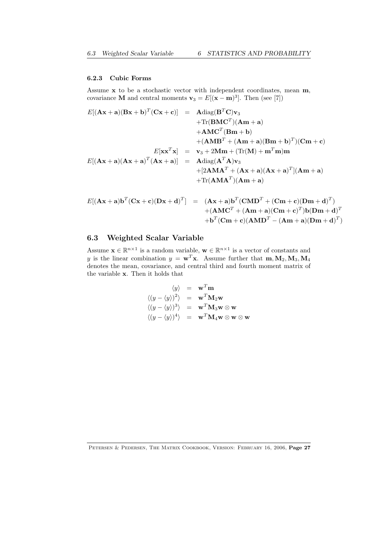# 6.2.3 Cubic Forms

Assume x to be a stochastic vector with independent coordinates, mean m, covariance **M** and central moments  $\mathbf{v}_3 = E[(\mathbf{x} - \mathbf{m})^3]$ . Then (see [7])

$$
E[(\mathbf{A}\mathbf{x} + \mathbf{a})(\mathbf{B}\mathbf{x} + \mathbf{b})^T(\mathbf{C}\mathbf{x} + \mathbf{c})] = \mathbf{A}\text{diag}(\mathbf{B}^T\mathbf{C})\mathbf{v}_3
$$
  
+Tr(\mathbf{B}\mathbf{M}\mathbf{C}^T)(\mathbf{A}\mathbf{m} + \mathbf{a})  
+AM\mathbf{C}^T(\mathbf{B}\mathbf{m} + \mathbf{b})  
+ (\mathbf{A}\mathbf{M}\mathbf{B}^T + (\mathbf{A}\mathbf{m} + \mathbf{a})(\mathbf{B}\mathbf{m} + \mathbf{b})^T)(\mathbf{C}\mathbf{m} + \mathbf{c})  

$$
E[\mathbf{x}\mathbf{x}^T\mathbf{x}] = \mathbf{v}_3 + 2M\mathbf{m} + (\text{Tr}(\mathbf{M}) + \mathbf{m}^T\mathbf{m})\mathbf{m}
$$
  

$$
E[(\mathbf{A}\mathbf{x} + \mathbf{a})(\mathbf{A}\mathbf{x} + \mathbf{a})^T(\mathbf{A}\mathbf{x} + \mathbf{a})] = \mathbf{A}\text{diag}(\mathbf{A}^T\mathbf{A})\mathbf{v}_3
$$
  
+ [2\mathbf{A}\mathbf{M}\mathbf{A}^T + (\mathbf{A}\mathbf{x} + \mathbf{a})(\mathbf{A}\mathbf{x} + \mathbf{a})^T](\mathbf{A}\mathbf{m} + \mathbf{a})  
+ \text{Tr}(\mathbf{A}\mathbf{M}\mathbf{A}^T)(\mathbf{A}\mathbf{m} + \mathbf{a})

$$
E[(\mathbf{A}\mathbf{x} + \mathbf{a})\mathbf{b}^T(\mathbf{C}\mathbf{x} + \mathbf{c})(\mathbf{D}\mathbf{x} + \mathbf{d})^T] = (\mathbf{A}\mathbf{x} + \mathbf{a})\mathbf{b}^T(\mathbf{C}\mathbf{M}\mathbf{D}^T + (\mathbf{C}\mathbf{m} + \mathbf{c})(\mathbf{D}\mathbf{m} + \mathbf{d})^T) + (\mathbf{A}\mathbf{M}\mathbf{C}^T + (\mathbf{A}\mathbf{m} + \mathbf{a})(\mathbf{C}\mathbf{m} + \mathbf{c})^T)\mathbf{b}(\mathbf{D}\mathbf{m} + \mathbf{d})^T
$$
  
+
$$
\mathbf{b}^T(\mathbf{C}\mathbf{m} + \mathbf{c})(\mathbf{A}\mathbf{M}\mathbf{D}^T - (\mathbf{A}\mathbf{m} + \mathbf{a})(\mathbf{D}\mathbf{m} + \mathbf{d})^T)
$$

# 6.3 Weighted Scalar Variable

Assume  $\mathbf{x} \in \mathbb{R}^{n \times 1}$  is a random variable,  $\mathbf{w} \in \mathbb{R}^{n \times 1}$  is a vector of constants and *y* is the linear combination  $y = \mathbf{w}^T \mathbf{x}$ . Assume further that  $\mathbf{m}, \mathbf{M}_2, \mathbf{M}_3, \mathbf{M}_4$ denotes the mean, covariance, and central third and fourth moment matrix of the variable x. Then it holds that

$$
\langle y \rangle = \mathbf{w}^T \mathbf{m}
$$
  

$$
\langle (y - \langle y \rangle)^2 \rangle = \mathbf{w}^T \mathbf{M}_2 \mathbf{w}
$$
  

$$
\langle (y - \langle y \rangle)^3 \rangle = \mathbf{w}^T \mathbf{M}_3 \mathbf{w} \otimes \mathbf{w}
$$
  

$$
\langle (y - \langle y \rangle)^4 \rangle = \mathbf{w}^T \mathbf{M}_4 \mathbf{w} \otimes \mathbf{w} \otimes \mathbf{w}
$$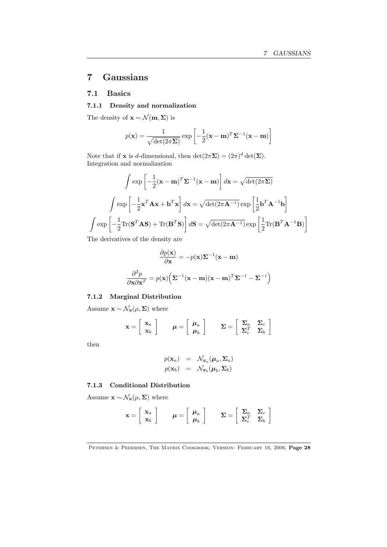# 7 Gaussians

# 7.1 Basics

# 7.1.1 Density and normalization

The density of  $\mathbf{x} \sim \mathcal{N}(\mathbf{m}, \mathbf{\Sigma})$  is

$$
p(\mathbf{x}) = \frac{1}{\sqrt{\det(2\pi\mathbf{\Sigma})}} \exp\left[-\frac{1}{2}(\mathbf{x} - \mathbf{m})^T \mathbf{\Sigma}^{-1}(\mathbf{x} - \mathbf{m})\right]
$$

Note that if **x** is *d*-dimensional, then  $\det(2\pi\Sigma) = (2\pi)^d \det(\Sigma)$ . Integration and normalization

$$
\int \exp\left[-\frac{1}{2}(\mathbf{x} - \mathbf{m})^T \Sigma^{-1}(\mathbf{x} - \mathbf{m})\right] d\mathbf{x} = \sqrt{\det(2\pi\Sigma)}
$$

$$
\int \exp\left[-\frac{1}{2}\mathbf{x}^T \mathbf{A} \mathbf{x} + \mathbf{b}^T \mathbf{x}\right] d\mathbf{x} = \sqrt{\det(2\pi\mathbf{A}^{-1})} \exp\left[\frac{1}{2}\mathbf{b}^T \mathbf{A}^{-1} \mathbf{b}\right]
$$

$$
\int \exp\left[-\frac{1}{2}\text{Tr}(\mathbf{S}^T \mathbf{A} \mathbf{S}) + \text{Tr}(\mathbf{B}^T \mathbf{S})\right] d\mathbf{S} = \sqrt{\det(2\pi\mathbf{A}^{-1})} \exp\left[\frac{1}{2}\text{Tr}(\mathbf{B}^T \mathbf{A}^{-1} \mathbf{B})\right]
$$

The derivatives of the density are

$$
\frac{\partial p(\mathbf{x})}{\partial \mathbf{x}} = -p(\mathbf{x})\mathbf{\Sigma}^{-1}(\mathbf{x} - \mathbf{m})
$$

$$
\frac{\partial^2 p}{\partial \mathbf{x} \partial \mathbf{x}^T} = p(\mathbf{x})\left(\mathbf{\Sigma}^{-1}(\mathbf{x} - \mathbf{m})(\mathbf{x} - \mathbf{m})^T \mathbf{\Sigma}^{-1} - \mathbf{\Sigma}^{-1}\right)
$$

# 7.1.2 Marginal Distribution

Assume  $\mathbf{x} \sim \mathcal{N}_{\mathbf{x}}(\mu, \Sigma)$  where

$$
\mathbf{x} = \begin{bmatrix} \mathbf{x}_a \\ \mathbf{x}_b \end{bmatrix} \qquad \boldsymbol{\mu} = \begin{bmatrix} \boldsymbol{\mu}_a \\ \boldsymbol{\mu}_b \end{bmatrix} \qquad \boldsymbol{\Sigma} = \begin{bmatrix} \boldsymbol{\Sigma}_a & \boldsymbol{\Sigma}_c \\ \boldsymbol{\Sigma}_c^T & \boldsymbol{\Sigma}_b \end{bmatrix}
$$

then

$$
p(\mathbf{x}_a) = \mathcal{N}_{\mathbf{x}_a}(\boldsymbol{\mu}_a, \boldsymbol{\Sigma}_a)
$$
  

$$
p(\mathbf{x}_b) = \mathcal{N}_{\mathbf{x}_b}(\boldsymbol{\mu}_b, \boldsymbol{\Sigma}_b)
$$

## 7.1.3 Conditional Distribution

Assume  $\mathbf{x} \sim \mathcal{N}_{\mathbf{x}}(\mu, \Sigma)$  where

$$
\mathbf{x} = \begin{bmatrix} \mathbf{x}_a \\ \mathbf{x}_b \end{bmatrix} \qquad \boldsymbol{\mu} = \begin{bmatrix} \boldsymbol{\mu}_a \\ \boldsymbol{\mu}_b \end{bmatrix} \qquad \boldsymbol{\Sigma} = \begin{bmatrix} \boldsymbol{\Sigma}_a & \boldsymbol{\Sigma}_c \\ \boldsymbol{\Sigma}_c^T & \boldsymbol{\Sigma}_b \end{bmatrix}
$$

PETERSEN & PEDERSEN, THE MATRIX COOKBOOK, VERSION: FEBRUARY 16, 2006, Page 28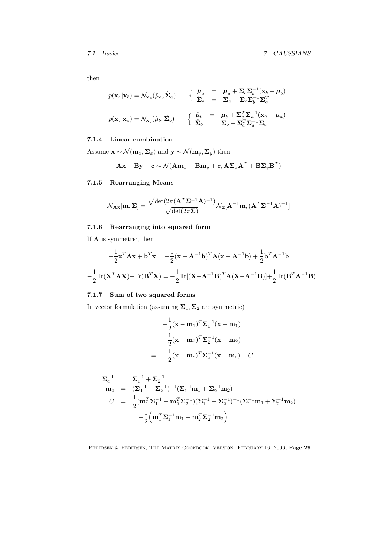then

$$
p(\mathbf{x}_a|\mathbf{x}_b) = \mathcal{N}_{\mathbf{x}_a}(\hat{\mu}_a, \hat{\Sigma}_a) \qquad \begin{cases} \hat{\mu}_a = \mu_a + \Sigma_c \Sigma_b^{-1}(\mathbf{x}_b - \mu_b) \\ \hat{\Sigma}_a = \Sigma_a - \Sigma_c \Sigma_b^{-1} \Sigma_c^T \end{cases}
$$

$$
p(\mathbf{x}_b|\mathbf{x}_a) = \mathcal{N}_{\mathbf{x}_b}(\hat{\mu}_b, \hat{\Sigma}_b) \qquad \begin{cases} \hat{\mu}_b = \mu_b + \Sigma_c^T \Sigma_a^{-1}(\mathbf{x}_a - \mu_a) \\ \hat{\Sigma}_b = \Sigma_b - \Sigma_c^T \Sigma_a^{-1} \Sigma_c \end{cases}
$$

# 7.1.4 Linear combination

Assume  $\mathbf{x} \sim \mathcal{N}(\mathbf{m}_x, \Sigma_x)$  and  $\mathbf{y} \sim \mathcal{N}(\mathbf{m}_y, \Sigma_y)$  then

$$
\mathbf{A}\mathbf{x} + \mathbf{B}\mathbf{y} + \mathbf{c} \sim \mathcal{N}(\mathbf{A}\mathbf{m}_x + \mathbf{B}\mathbf{m}_y + \mathbf{c}, \mathbf{A}\mathbf{\Sigma}_x\mathbf{A}^T + \mathbf{B}\mathbf{\Sigma}_y\mathbf{B}^T)
$$

# 7.1.5 Rearranging Means

$$
\mathcal{N}_{\mathbf{A}\mathbf{x}}[\mathbf{m},\boldsymbol{\Sigma}] = \frac{\sqrt{\det(2\pi(\mathbf{A}^T\boldsymbol{\Sigma}^{-1}\mathbf{A})^{-1})}}{\sqrt{\det(2\pi\boldsymbol{\Sigma})}} \mathcal{N}_{\mathbf{x}}[\mathbf{A}^{-1}\mathbf{m},(\mathbf{A}^T\boldsymbol{\Sigma}^{-1}\mathbf{A})^{-1}]
$$

# 7.1.6 Rearranging into squared form

If A is symmetric, then

$$
-\frac{1}{2}\mathbf{x}^T \mathbf{A} \mathbf{x} + \mathbf{b}^T \mathbf{x} = -\frac{1}{2}(\mathbf{x} - \mathbf{A}^{-1} \mathbf{b})^T \mathbf{A} (\mathbf{x} - \mathbf{A}^{-1} \mathbf{b}) + \frac{1}{2} \mathbf{b}^T \mathbf{A}^{-1} \mathbf{b}
$$

$$
-\frac{1}{2} \text{Tr}(\mathbf{X}^T \mathbf{A} \mathbf{X}) + \text{Tr}(\mathbf{B}^T \mathbf{X}) = -\frac{1}{2} \text{Tr}[(\mathbf{X} - \mathbf{A}^{-1} \mathbf{B})^T \mathbf{A} (\mathbf{X} - \mathbf{A}^{-1} \mathbf{B})] + \frac{1}{2} \text{Tr}(\mathbf{B}^T \mathbf{A}^{-1} \mathbf{B})
$$

# 7.1.7 Sum of two squared forms

In vector formulation (assuming  $\boldsymbol{\Sigma}_1, \boldsymbol{\Sigma}_2$  are symmetric)

$$
-\frac{1}{2}(\mathbf{x} - \mathbf{m}_1)^T \mathbf{\Sigma}_1^{-1}(\mathbf{x} - \mathbf{m}_1)
$$

$$
-\frac{1}{2}(\mathbf{x} - \mathbf{m}_2)^T \mathbf{\Sigma}_2^{-1}(\mathbf{x} - \mathbf{m}_2)
$$

$$
= -\frac{1}{2}(\mathbf{x} - \mathbf{m}_c)^T \mathbf{\Sigma}_c^{-1}(\mathbf{x} - \mathbf{m}_c) + C
$$

$$
\Sigma_c^{-1} = \Sigma_1^{-1} + \Sigma_2^{-1}
$$
  
\n
$$
\mathbf{m}_c = (\Sigma_1^{-1} + \Sigma_2^{-1})^{-1} (\Sigma_1^{-1} \mathbf{m}_1 + \Sigma_2^{-1} \mathbf{m}_2)
$$
  
\n
$$
C = \frac{1}{2} (\mathbf{m}_1^T \Sigma_1^{-1} + \mathbf{m}_2^T \Sigma_2^{-1}) (\Sigma_1^{-1} + \Sigma_2^{-1})^{-1} (\Sigma_1^{-1} \mathbf{m}_1 + \Sigma_2^{-1} \mathbf{m}_2)
$$
  
\n
$$
-\frac{1}{2} (\mathbf{m}_1^T \Sigma_1^{-1} \mathbf{m}_1 + \mathbf{m}_2^T \Sigma_2^{-1} \mathbf{m}_2)
$$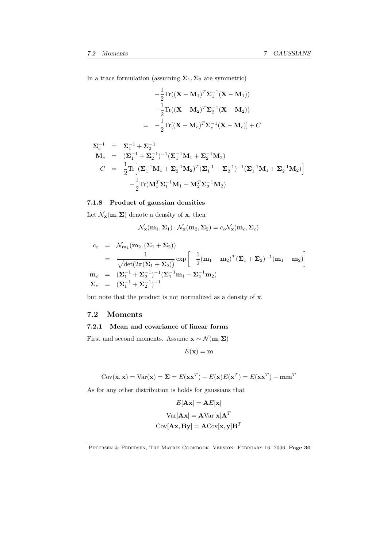In a trace formulation (assuming  $\Sigma_1, \Sigma_2$  are symmetric)

$$
-\frac{1}{2}\text{Tr}((\mathbf{X}-\mathbf{M}_1)^T\mathbf{\Sigma}_1^{-1}(\mathbf{X}-\mathbf{M}_1))
$$

$$
-\frac{1}{2}\text{Tr}((\mathbf{X}-\mathbf{M}_2)^T\mathbf{\Sigma}_2^{-1}(\mathbf{X}-\mathbf{M}_2))
$$

$$
=-\frac{1}{2}\text{Tr}[(\mathbf{X}-\mathbf{M}_c)^T\mathbf{\Sigma}_c^{-1}(\mathbf{X}-\mathbf{M}_c)] + C
$$

$$
\Sigma_c^{-1} = \Sigma_1^{-1} + \Sigma_2^{-1}
$$
  
\n
$$
\mathbf{M}_c = (\Sigma_1^{-1} + \Sigma_2^{-1})^{-1} (\Sigma_1^{-1} \mathbf{M}_1 + \Sigma_2^{-1} \mathbf{M}_2)
$$
  
\n
$$
C = \frac{1}{2} \text{Tr} \Big[ (\Sigma_1^{-1} \mathbf{M}_1 + \Sigma_2^{-1} \mathbf{M}_2)^T (\Sigma_1^{-1} + \Sigma_2^{-1})^{-1} (\Sigma_1^{-1} \mathbf{M}_1 + \Sigma_2^{-1} \mathbf{M}_2) \Big] - \frac{1}{2} \text{Tr}(\mathbf{M}_1^T \Sigma_1^{-1} \mathbf{M}_1 + \mathbf{M}_2^T \Sigma_2^{-1} \mathbf{M}_2)
$$

# 7.1.8 Product of gaussian densities

Let  $\mathcal{N}_{\mathbf{x}}(\mathbf{m}, \Sigma)$  denote a density of **x**, then

$$
\mathcal{N}_{\mathbf{x}}(\mathbf{m}_1, \mathbf{\Sigma}_1) \cdot \mathcal{N}_{\mathbf{x}}(\mathbf{m}_2, \mathbf{\Sigma}_2) = c_c \mathcal{N}_{\mathbf{x}}(\mathbf{m}_c, \mathbf{\Sigma}_c)
$$

$$
c_c = \mathcal{N}_{\mathbf{m}_1}(\mathbf{m}_2, (\Sigma_1 + \Sigma_2))
$$
  
= 
$$
\frac{1}{\sqrt{\det(2\pi(\Sigma_1 + \Sigma_2))}} \exp\left[-\frac{1}{2}(\mathbf{m}_1 - \mathbf{m}_2)^T(\Sigma_1 + \Sigma_2)^{-1}(\mathbf{m}_1 - \mathbf{m}_2)\right]
$$
  

$$
\mathbf{m}_c = (\Sigma_1^{-1} + \Sigma_2^{-1})^{-1}(\Sigma_1^{-1}\mathbf{m}_1 + \Sigma_2^{-1}\mathbf{m}_2)
$$
  

$$
\Sigma_c = (\Sigma_1^{-1} + \Sigma_2^{-1})^{-1}
$$

but note that the product is not normalized as a density of x.

# 7.2 Moments

# 7.2.1 Mean and covariance of linear forms

First and second moments. Assume  $\mathbf{x} \sim \mathcal{N}(\mathbf{m}, \Sigma)$ 

 $E(\mathbf{x}) = \mathbf{m}$ 

$$
Cov(\mathbf{x}, \mathbf{x}) = Var(\mathbf{x}) = \mathbf{\Sigma} = E(\mathbf{x}\mathbf{x}^T) - E(\mathbf{x})E(\mathbf{x}^T) = E(\mathbf{x}\mathbf{x}^T) - \mathbf{m}\mathbf{m}^T
$$

As for any other distribution is holds for gaussians that

$$
E[\mathbf{A}\mathbf{x}] = \mathbf{A}E[\mathbf{x}]
$$

$$
Var[\mathbf{A}\mathbf{x}] = \mathbf{A}Var[\mathbf{x}]\mathbf{A}^T
$$

$$
Cov[\mathbf{A}\mathbf{x}, \mathbf{B}\mathbf{y}] = \mathbf{A}Cov[\mathbf{x}, \mathbf{y}]\mathbf{B}^T
$$

PETERSEN & PEDERSEN, THE MATRIX COOKBOOK, VERSION: FEBRUARY 16, 2006, Page 30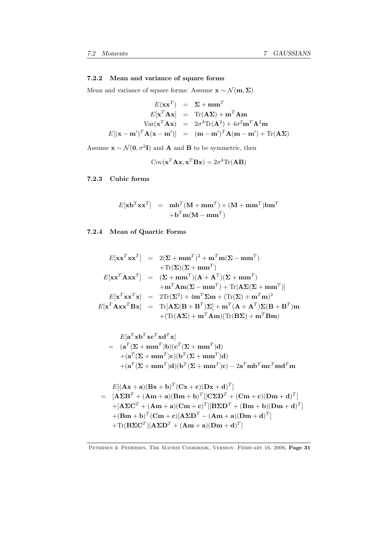# 7.2.2 Mean and variance of square forms

Mean and variance of square forms: Assume  $\mathbf{x} \sim \mathcal{N}(\mathbf{m}, \boldsymbol{\Sigma})$ 

$$
E(\mathbf{x}\mathbf{x}^T) = \Sigma + \mathbf{m}\mathbf{m}^T
$$
  
\n
$$
E[\mathbf{x}^T \mathbf{A}\mathbf{x}] = \text{Tr}(\mathbf{A}\Sigma) + \mathbf{m}^T \mathbf{A}\mathbf{m}
$$
  
\n
$$
\text{Var}(\mathbf{x}^T \mathbf{A}\mathbf{x}) = 2\sigma^4 \text{Tr}(\mathbf{A}^2) + 4\sigma^2 \mathbf{m}^T \mathbf{A}^2 \mathbf{m}
$$
  
\n
$$
E[(\mathbf{x} - \mathbf{m}')^T \mathbf{A}(\mathbf{x} - \mathbf{m}')] = (\mathbf{m} - \mathbf{m}')^T \mathbf{A}(\mathbf{m} - \mathbf{m}') + \text{Tr}(\mathbf{A}\Sigma)
$$

Assume  $\mathbf{x} \sim \mathcal{N}(\mathbf{0}, \sigma^2 \mathbf{I})$  and **A** and **B** to be symmetric, then

$$
Cov(\mathbf{x}^T \mathbf{A} \mathbf{x}, \mathbf{x}^T \mathbf{B} \mathbf{x}) = 2\sigma^4 \text{Tr}(\mathbf{A} \mathbf{B})
$$

7.2.3 Cubic forms

$$
E[\mathbf{x}\mathbf{b}^T \mathbf{x}\mathbf{x}^T] = \mathbf{m}\mathbf{b}^T (\mathbf{M} + \mathbf{m}\mathbf{m}^T) + (\mathbf{M} + \mathbf{m}\mathbf{m}^T) \mathbf{b}\mathbf{m}^T
$$

$$
+ \mathbf{b}^T \mathbf{m} (\mathbf{M} - \mathbf{m}\mathbf{m}^T)
$$

# 7.2.4 Mean of Quartic Forms

$$
E[\mathbf{x}\mathbf{x}^T\mathbf{x}\mathbf{x}^T] = 2(\mathbf{\Sigma} + \mathbf{m}\mathbf{m}^T)^2 + \mathbf{m}^T\mathbf{m}(\mathbf{\Sigma} - \mathbf{m}\mathbf{m}^T) + \text{Tr}(\mathbf{\Sigma})(\mathbf{\Sigma} + \mathbf{m}\mathbf{m}^T) E[\mathbf{x}\mathbf{x}^T\mathbf{A}\mathbf{x}\mathbf{x}^T] = (\mathbf{\Sigma} + \mathbf{m}\mathbf{m}^T)(\mathbf{A} + \mathbf{A}^T)(\mathbf{\Sigma} + \mathbf{m}\mathbf{m}^T) + \mathbf{m}^T\mathbf{A}\mathbf{m}(\mathbf{\Sigma} - \mathbf{m}\mathbf{m}^T) + \text{Tr}[\mathbf{A}\mathbf{\Sigma}(\mathbf{\Sigma} + \mathbf{m}\mathbf{m}^T)] E[\mathbf{x}^T\mathbf{x}\mathbf{x}^T\mathbf{x}] = 2\text{Tr}(\mathbf{\Sigma}^2) + 4\mathbf{m}^T\mathbf{\Sigma}\mathbf{m} + (\text{Tr}(\mathbf{\Sigma}) + \mathbf{m}^T\mathbf{m})^2 E[\mathbf{x}^T\mathbf{A}\mathbf{x}\mathbf{x}^T\mathbf{B}\mathbf{x}] = \text{Tr}[\mathbf{A}\mathbf{\Sigma}(\mathbf{B} + \mathbf{B}^T)\mathbf{\Sigma}] + \mathbf{m}^T(\mathbf{A} + \mathbf{A}^T)\mathbf{\Sigma}(\mathbf{B} + \mathbf{B}^T)\mathbf{m} + (\text{Tr}(\mathbf{A}\mathbf{\Sigma}) + \mathbf{m}^T\mathbf{A}\mathbf{m})(\text{Tr}(\mathbf{B}\mathbf{\Sigma}) + \mathbf{m}^T\mathbf{B}\mathbf{m})
$$

$$
E[\mathbf{a}^T \mathbf{x} \mathbf{b}^T \mathbf{x} \mathbf{c}^T \mathbf{x} \mathbf{d}^T \mathbf{x}]
$$
  
=  $(\mathbf{a}^T (\Sigma + \mathbf{m} \mathbf{m}^T) \mathbf{b}) (\mathbf{c}^T (\Sigma + \mathbf{m} \mathbf{m}^T) \mathbf{d})$   
+ $(\mathbf{a}^T (\Sigma + \mathbf{m} \mathbf{m}^T) \mathbf{c}) (\mathbf{b}^T (\Sigma + \mathbf{m} \mathbf{m}^T) \mathbf{d})$   
+ $(\mathbf{a}^T (\Sigma + \mathbf{m} \mathbf{m}^T) \mathbf{d}) (\mathbf{b}^T (\Sigma + \mathbf{m} \mathbf{m}^T) \mathbf{c}) - 2 \mathbf{a}^T \mathbf{m} \mathbf{b}^T \mathbf{m} \mathbf{c}^T \mathbf{m} \mathbf{d}^T \mathbf{m}$ 

$$
E[(\mathbf{A}\mathbf{x} + \mathbf{a})(\mathbf{B}\mathbf{x} + \mathbf{b})^T(\mathbf{C}\mathbf{x} + \mathbf{c})(\mathbf{D}\mathbf{x} + \mathbf{d})^T]
$$
\n
$$
= [\mathbf{A}\boldsymbol{\Sigma}\mathbf{B}^T + (\mathbf{A}\mathbf{m} + \mathbf{a})(\mathbf{B}\mathbf{m} + \mathbf{b})^T][\mathbf{C}\boldsymbol{\Sigma}\mathbf{D}^T + (\mathbf{C}\mathbf{m} + \mathbf{c})(\mathbf{D}\mathbf{m} + \mathbf{d})^T]
$$
\n
$$
+ [\mathbf{A}\boldsymbol{\Sigma}\mathbf{C}^T + (\mathbf{A}\mathbf{m} + \mathbf{a})(\mathbf{C}\mathbf{m} + \mathbf{c})^T][\mathbf{B}\boldsymbol{\Sigma}\mathbf{D}^T + (\mathbf{B}\mathbf{m} + \mathbf{b})(\mathbf{D}\mathbf{m} + \mathbf{d})^T]
$$
\n
$$
+ (\mathbf{B}\mathbf{m} + \mathbf{b})^T(\mathbf{C}\mathbf{m} + \mathbf{c})[\mathbf{A}\boldsymbol{\Sigma}\mathbf{D}^T - (\mathbf{A}\mathbf{m} + \mathbf{a})(\mathbf{D}\mathbf{m} + \mathbf{d})^T]
$$
\n
$$
+ \text{Tr}(\mathbf{B}\boldsymbol{\Sigma}\mathbf{C}^T)[\mathbf{A}\boldsymbol{\Sigma}\mathbf{D}^T + (\mathbf{A}\mathbf{m} + \mathbf{a})(\mathbf{D}\mathbf{m} + \mathbf{d})^T]
$$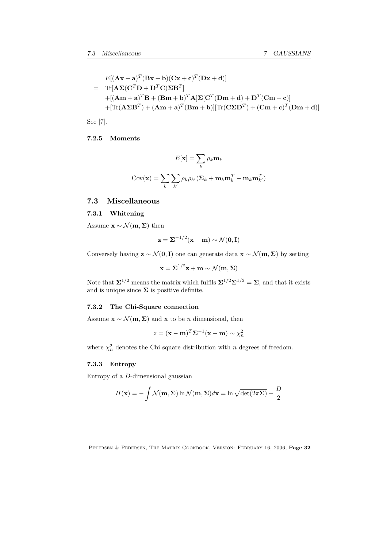$$
E[(\mathbf{A}\mathbf{x} + \mathbf{a})^T (\mathbf{B}\mathbf{x} + \mathbf{b})(\mathbf{C}\mathbf{x} + \mathbf{c})^T (\mathbf{D}\mathbf{x} + \mathbf{d})]
$$
  
= Tr[ $\mathbf{A}\mathbf{\Sigma}(\mathbf{C}^T\mathbf{D} + \mathbf{D}^T\mathbf{C})\mathbf{\Sigma}\mathbf{B}^T$ ]  
+[( $\mathbf{A}\mathbf{m} + \mathbf{a}$ )<sup>T</sup> $\mathbf{B}$  + ( $\mathbf{B}\mathbf{m} + \mathbf{b}$ )<sup>T</sup> $\mathbf{A}$ ] $\mathbf{\Sigma}[\mathbf{C}^T (\mathbf{D}\mathbf{m} + \mathbf{d}) + \mathbf{D}^T (\mathbf{C}\mathbf{m} + \mathbf{c})]$   
+[Tr( $\mathbf{A}\mathbf{\Sigma}\mathbf{B}^T$ ) + ( $\mathbf{A}\mathbf{m} + \mathbf{a}$ )<sup>T</sup>( $\mathbf{B}\mathbf{m} + \mathbf{b}$ )][Tr( $\mathbf{\Sigma}\mathbf{\Sigma}\mathbf{D}^T$ ) + ( $\mathbf{C}\mathbf{m} + \mathbf{c}$ )<sup>T</sup>( $\mathbf{D}\mathbf{m} + \mathbf{d}$ )]

See [7].

# 7.2.5 Moments

$$
E[\mathbf{x}] = \sum_{k} \rho_k \mathbf{m}_k
$$

$$
Cov(\mathbf{x}) = \sum_{k} \sum_{k'} \rho_k \rho_{k'} (\mathbf{\Sigma}_k + \mathbf{m}_k \mathbf{m}_k^T - \mathbf{m}_k \mathbf{m}_{k'}^T)
$$

# 7.3 Miscellaneous

## 7.3.1 Whitening

Assume  $\mathbf{x} \sim \mathcal{N}(\mathbf{m}, \mathbf{\Sigma})$  then

$$
\mathbf{z} = \mathbf{\Sigma}^{-1/2}(\mathbf{x} - \mathbf{m}) \sim \mathcal{N}(\mathbf{0}, \mathbf{I})
$$

Conversely having  $\mathbf{z} \sim \mathcal{N}(\mathbf{0}, \mathbf{I})$  one can generate data  $\mathbf{x} \sim \mathcal{N}(\mathbf{m}, \mathbf{\Sigma})$  by setting

$$
\mathbf{x} = \mathbf{\Sigma}^{1/2} \mathbf{z} + \mathbf{m} \sim \mathcal{N}(\mathbf{m}, \mathbf{\Sigma})
$$

Note that  $\Sigma^{1/2}$  means the matrix which fulfils  $\Sigma^{1/2}\Sigma^{1/2} = \Sigma$ , and that it exists and is unique since  $\boldsymbol{\Sigma}$  is positive definite.

# 7.3.2 The Chi-Square connection

Assume  $\mathbf{x} \sim \mathcal{N}(\mathbf{m}, \Sigma)$  and  $\mathbf{x}$  to be *n* dimensional, then

$$
z = (\mathbf{x} - \mathbf{m})^T \mathbf{\Sigma}^{-1} (\mathbf{x} - \mathbf{m}) \sim \chi_n^2
$$

where  $\chi^2_n$  denotes the Chi square distribution with *n* degrees of freedom.

#### 7.3.3 Entropy

Entropy of a *D*-dimensional gaussian

$$
H(\mathbf{x}) = -\int \mathcal{N}(\mathbf{m}, \Sigma) \ln \mathcal{N}(\mathbf{m}, \Sigma) d\mathbf{x} = \ln \sqrt{\det(2\pi\Sigma)} + \frac{D}{2}
$$

PETERSEN & PEDERSEN, THE MATRIX COOKBOOK, VERSION: FEBRUARY 16, 2006, Page 32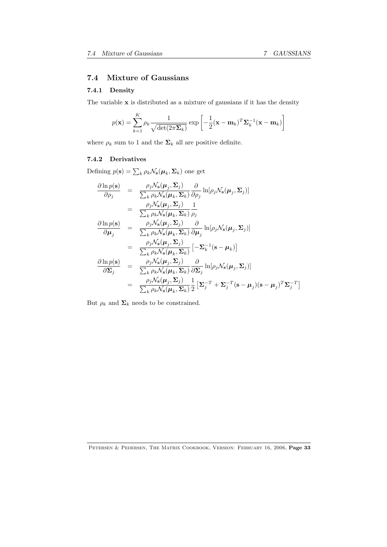# 7.4 Mixture of Gaussians

# 7.4.1 Density

The variable  ${\bf x}$  is distributed as a mixture of gaussians if it has the density

$$
p(\mathbf{x}) = \sum_{k=1}^{K} \rho_k \frac{1}{\sqrt{\det(2\pi \Sigma_k)}} \exp\left[-\frac{1}{2}(\mathbf{x} - \mathbf{m}_k)^T \Sigma_k^{-1}(\mathbf{x} - \mathbf{m}_k)\right]
$$

where  $\rho_k$  sum to 1 and the  $\pmb{\Sigma}_k$  all are positive definite.

# 7.4.2 Derivatives

Defining  $p(\mathbf{s}) = \sum_{k} \rho_k \mathcal{N}_\mathbf{s}(\boldsymbol{\mu}_k, \boldsymbol{\Sigma}_k)$  one get

$$
\frac{\partial \ln p(\mathbf{s})}{\partial \rho_j} = \frac{\rho_j \mathcal{N}_\mathbf{s}(\boldsymbol{\mu}_j, \boldsymbol{\Sigma}_j)}{\sum_k \rho_k \mathcal{N}_\mathbf{s}(\boldsymbol{\mu}_k, \boldsymbol{\Sigma}_k)} \frac{\partial}{\partial \rho_j} \ln[\rho_j \mathcal{N}_\mathbf{s}(\boldsymbol{\mu}_j, \boldsymbol{\Sigma}_j)] \n= \frac{\rho_j \mathcal{N}_\mathbf{s}(\boldsymbol{\mu}_j, \boldsymbol{\Sigma}_j)}{\sum_k \rho_k \mathcal{N}_\mathbf{s}(\boldsymbol{\mu}_k, \boldsymbol{\Sigma}_k)} \frac{1}{\rho_j} \n\frac{\partial \ln p(\mathbf{s})}{\partial \boldsymbol{\mu}_j} = \frac{\rho_j \mathcal{N}_\mathbf{s}(\boldsymbol{\mu}_j, \boldsymbol{\Sigma}_j)}{\sum_k \rho_k \mathcal{N}_\mathbf{s}(\boldsymbol{\mu}_k, \boldsymbol{\Sigma}_k)} \frac{\partial}{\partial \boldsymbol{\mu}_j} \ln[\rho_j \mathcal{N}_\mathbf{s}(\boldsymbol{\mu}_j, \boldsymbol{\Sigma}_j)] \n= \frac{\rho_j \mathcal{N}_\mathbf{s}(\boldsymbol{\mu}_j, \boldsymbol{\Sigma}_j)}{\sum_k \rho_k \mathcal{N}_\mathbf{s}(\boldsymbol{\mu}_k, \boldsymbol{\Sigma}_k)} \left[-\boldsymbol{\Sigma}_k^{-1}(\mathbf{s} - \boldsymbol{\mu}_k)\right] \n\frac{\partial \ln p(\mathbf{s})}{\partial \boldsymbol{\Sigma}_j} = \frac{\rho_j \mathcal{N}_\mathbf{s}(\boldsymbol{\mu}_j, \boldsymbol{\Sigma}_j)}{\sum_k \rho_k \mathcal{N}_\mathbf{s}(\boldsymbol{\mu}_k, \boldsymbol{\Sigma}_k)} \frac{\partial}{\partial \boldsymbol{\Sigma}_j} \ln[\rho_j \mathcal{N}_\mathbf{s}(\boldsymbol{\mu}_j, \boldsymbol{\Sigma}_j)] \n= \frac{\rho_j \mathcal{N}_\mathbf{s}(\boldsymbol{\mu}_j, \boldsymbol{\Sigma}_j)}{\sum_k \rho_k \mathcal{N}_\mathbf{s}(\boldsymbol{\mu}_k, \boldsymbol{\Sigma}_k)} \frac{1}{2} \left[\boldsymbol{\Sigma}_j^{-T} + \boldsymbol{\Sigma}_j^{-T}(\mathbf{s} - \boldsymbol{\mu}_j)(\mathbf{s} - \boldsymbol{\mu}_j)^T \boldsymbol{\Sigma}_j^{-T}\right]
$$

But  $\rho_k$  and  $\Sigma_k$  needs to be constrained.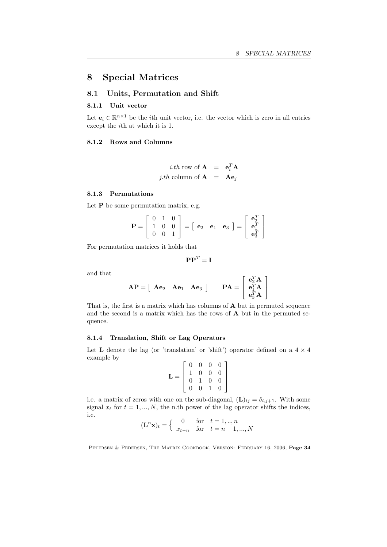# 8 Special Matrices

# 8.1 Units, Permutation and Shift

#### 8.1.1 Unit vector

Let  $\mathbf{e}_i \in \mathbb{R}^{n \times 1}$  be the *i*th unit vector, i.e. the vector which is zero in all entries except the *i*th at which it is 1.

#### 8.1.2 Rows and Columns

*i.th* row of **A** = 
$$
\mathbf{e}_i^T \mathbf{A}
$$
  
*j.th* column of **A** =  $\mathbf{A} \mathbf{e}_j$ 

# 8.1.3 Permutations

Let  $P$  be some permutation matrix, e.g.

$$
\mathbf{P} = \left[ \begin{array}{ccc} 0 & 1 & 0 \\ 1 & 0 & 0 \\ 0 & 0 & 1 \end{array} \right] = \left[ \begin{array}{ccc} \mathbf{e}_2 & \mathbf{e}_1 & \mathbf{e}_3 \end{array} \right] = \left[ \begin{array}{c} \mathbf{e}_2^T \\ \mathbf{e}_1^T \\ \mathbf{e}_3^T \end{array} \right]
$$

For permutation matrices it holds that

$$
\mathbf{P}\mathbf{P}^T = \mathbf{I}
$$

and that

$$
\mathbf{AP} = \left[ \begin{array}{cc} \mathbf{A}\mathbf{e}_2 & \mathbf{A}\mathbf{e}_1 & \mathbf{A}\mathbf{e}_3 \end{array} \right] \qquad \mathbf{PA} = \left[ \begin{array}{c} \mathbf{e}_2^T\mathbf{A} \\ \mathbf{e}_1^T\mathbf{A} \\ \mathbf{e}_3^T\mathbf{A} \end{array} \right]
$$

That is, the first is a matrix which has columns of A but in permuted sequence and the second is a matrix which has the rows of A but in the permuted sequence.

#### 8.1.4 Translation, Shift or Lag Operators

Let L denote the lag (or 'translation' or 'shift') operator defined on a  $4 \times 4$ example by

$$
\mathbf{L} = \left[ \begin{array}{cccc} 0 & 0 & 0 & 0 \\ 1 & 0 & 0 & 0 \\ 0 & 1 & 0 & 0 \\ 0 & 0 & 1 & 0 \end{array} \right]
$$

i.e. a matrix of zeros with one on the sub-diagonal,  $(L)_{ij} = \delta_{i,j+1}$ . With some signal  $x_t$  for  $t = 1, ..., N$ , the n.th power of the lag operator shifts the indices, i.e.

$$
(\mathbf{L}^n \mathbf{x})_t = \begin{cases} 0 & \text{for } t = 1,..,n \\ x_{t-n} & \text{for } t = n+1,...,N \end{cases}
$$

PETERSEN & PEDERSEN, THE MATRIX COOKBOOK, VERSION: FEBRUARY 16, 2006, Page 34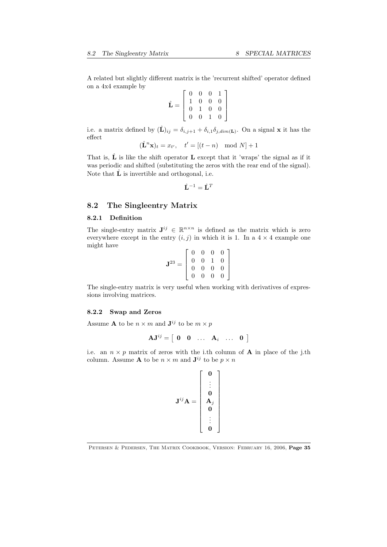A related but slightly different matrix is the 'recurrent shifted' operator defined on a 4x4 example by

$$
\hat{\mathbf{L}} = \left[ \begin{array}{cccc} 0 & 0 & 0 & 1 \\ 1 & 0 & 0 & 0 \\ 0 & 1 & 0 & 0 \\ 0 & 0 & 1 & 0 \end{array} \right]
$$

i.e. a matrix defined by  $(\hat{\mathbf{L}})_{ij} = \delta_{i,j+1} + \delta_{i,1}\delta_{j,dim(\mathbf{L})}$ . On a signal **x** it has the  $effect$ 

$$
(\hat{\mathbf{L}}^n \mathbf{x})_t = x_{t'}, \quad t' = [(t - n) \mod N] + 1
$$

That is,  $\hat{\mathbf{L}}$  is like the shift operator **L** except that it 'wraps' the signal as if it was periodic and shifted (substituting the zeros with the rear end of the signal). Note that  $\hat{\mathbf{L}}$  is invertible and orthogonal, i.e.

$$
\hat{\mathbf{L}}^{-1} = \hat{\mathbf{L}}^{T}
$$

# 8.2 The Singleentry Matrix

#### 8.2.1 Definition

The single-entry matrix  $J^{ij} \in \mathbb{R}^{n \times n}$  is defined as the matrix which is zero everywhere except in the entry  $(i, j)$  in which it is 1. In a  $4 \times 4$  example one might have

$$
\mathbf{J}^{23} = \left[ \begin{array}{cccc} 0 & 0 & 0 & 0 \\ 0 & 0 & 1 & 0 \\ 0 & 0 & 0 & 0 \\ 0 & 0 & 0 & 0 \end{array} \right]
$$

The single-entry matrix is very useful when working with derivatives of expressions involving matrices.

#### 8.2.2 Swap and Zeros

Assume **A** to be  $n \times m$  and  $\mathbf{J}^{ij}$  to be  $m \times p$ 

$$
\mathbf{A}\mathbf{J}^{ij} = \left[ \begin{array}{cccc} \mathbf{0} & \mathbf{0} & \dots & \mathbf{A}_i & \dots & \mathbf{0} \end{array} \right]
$$

i.e. an  $n \times p$  matrix of zeros with the i.th column of **A** in place of the j.th column. Assume **A** to be  $n \times m$  and  $\mathbf{J}^{ij}$  to be  $p \times n$ 

> 3  $\mathbf{1}$  $\overline{1}$  $\overline{1}$  $\overline{1}$  $\overline{1}$  $\overline{1}$  $\overline{1}$  $\mathbf{I}$  $\mathbf{r}$  $\overline{1}$  $\overline{1}$

$$
\mathbf{J}^{ij}\mathbf{A} = \begin{bmatrix} \mathbf{0} \\ \vdots \\ \mathbf{0} \\ \mathbf{A}_j \\ \mathbf{0} \\ \vdots \\ \mathbf{0} \end{bmatrix}
$$

PETERSEN & PEDERSEN, THE MATRIX COOKBOOK, VERSION: FEBRUARY 16, 2006, Page 35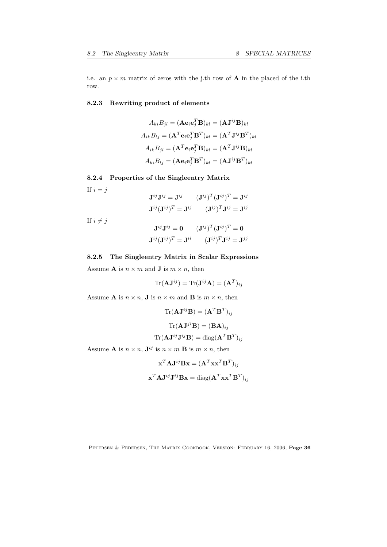i.e. an  $p \times m$  matrix of zeros with the j.th row of **A** in the placed of the i.th row.

# 8.2.3 Rewriting product of elements

$$
A_{ki}B_{jl} = (\mathbf{A}\mathbf{e}_i\mathbf{e}_j^T\mathbf{B})_{kl} = (\mathbf{A}\mathbf{J}^{ij}\mathbf{B})_{kl}
$$

$$
A_{ik}B_{lj} = (\mathbf{A}^T\mathbf{e}_i\mathbf{e}_j^T\mathbf{B}^T)_{kl} = (\mathbf{A}^T\mathbf{J}^{ij}\mathbf{B}^T)_{kl}
$$

$$
A_{ik}B_{jl} = (\mathbf{A}^T\mathbf{e}_i\mathbf{e}_j^T\mathbf{B})_{kl} = (\mathbf{A}^T\mathbf{J}^{ij}\mathbf{B})_{kl}
$$

$$
A_{ki}B_{lj} = (\mathbf{A}\mathbf{e}_i\mathbf{e}_j^T\mathbf{B}^T)_{kl} = (\mathbf{A}\mathbf{J}^{ij}\mathbf{B}^T)_{kl}
$$

# 8.2.4 Properties of the Singleentry Matrix

If  $i = j$ 

$$
\mathbf{J}^{ij}\mathbf{J}^{ij} = \mathbf{J}^{ij} \qquad (\mathbf{J}^{ij})^T (\mathbf{J}^{ij})^T = \mathbf{J}^{ij}
$$

$$
\mathbf{J}^{ij} (\mathbf{J}^{ij})^T = \mathbf{J}^{ij} \qquad (\mathbf{J}^{ij})^T \mathbf{J}^{ij} = \mathbf{J}^{ij}
$$

If  $i \neq j$ 

$$
\mathbf{J}^{ij}\mathbf{J}^{ij} = \mathbf{0} \qquad (\mathbf{J}^{ij})^T (\mathbf{J}^{ij})^T = \mathbf{0}
$$

$$
\mathbf{J}^{ij} (\mathbf{J}^{ij})^T = \mathbf{J}^{ii} \qquad (\mathbf{J}^{ij})^T \mathbf{J}^{ij} = \mathbf{J}^{jj}
$$

# 8.2.5 The Singleentry Matrix in Scalar Expressions

Assume **A** is  $n \times m$  and **J** is  $m \times n$ , then

 $\text{Tr}(\mathbf{A}\mathbf{J}^{ij}) = \text{Tr}(\mathbf{J}^{ij}\mathbf{A}) = (\mathbf{A}^T)_{ij}$ 

Assume **A** is  $n \times n$ , **J** is  $n \times m$  and **B** is  $m \times n$ , then

$$
\text{Tr}(\mathbf{A}\mathbf{J}^{ij}\mathbf{B}) = (\mathbf{A}^T\mathbf{B}^T)_{ij}
$$

$$
\text{Tr}(\mathbf{A}\mathbf{J}^{ji}\mathbf{B}) = (\mathbf{B}\mathbf{A})_{ij}
$$

$$
\text{Tr}(\mathbf{A}\mathbf{J}^{ij}\mathbf{J}^{ij}\mathbf{B}) = \text{diag}(\mathbf{A}^T\mathbf{B}^T)_{ij}
$$

Assume **A** is  $n \times n$ ,  $\mathbf{J}^{ij}$  is  $n \times m$  **B** is  $m \times n$ , then

$$
\mathbf{x}^T \mathbf{A} \mathbf{J}^{ij} \mathbf{B} \mathbf{x} = (\mathbf{A}^T \mathbf{x} \mathbf{x}^T \mathbf{B}^T)_{ij}
$$

$$
\mathbf{x}^T \mathbf{A} \mathbf{J}^{ij} \mathbf{J}^{ij} \mathbf{B} \mathbf{x} = \text{diag}(\mathbf{A}^T \mathbf{x} \mathbf{x}^T \mathbf{B}^T)_{ij}
$$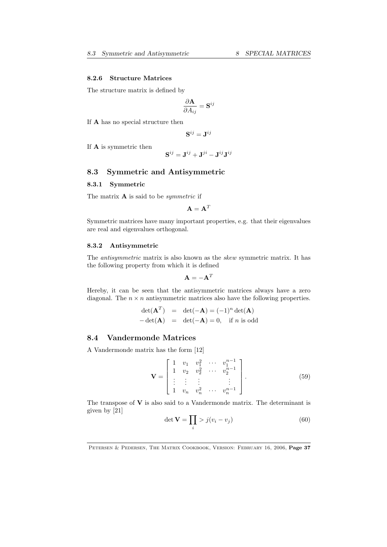#### 8.2.6 Structure Matrices

The structure matrix is defined by

$$
\frac{\partial \mathbf{A}}{\partial A_{ij}} = \mathbf{S}^{ij}
$$

If A has no special structure then

$$
\mathbf{S}^{ij}=\mathbf{J}^{ij}
$$

If A is symmetric then

$$
\mathbf{S}^{ij} = \mathbf{J}^{ij} + \mathbf{J}^{ji} - \mathbf{J}^{ij}\mathbf{J}^{ij}
$$

# 8.3 Symmetric and Antisymmetric

# 8.3.1 Symmetric

The matrix A is said to be *symmetric* if

 $A = A^T$ 

Symmetric matrices have many important properties, e.g. that their eigenvalues are real and eigenvalues orthogonal.

#### 8.3.2 Antisymmetric

The *antisymmetric* matrix is also known as the *skew* symmetric matrix. It has the following property from which it is defined

$$
\mathbf{A} = -\mathbf{A}^T
$$

Hereby, it can be seen that the antisymmetric matrices always have a zero diagonal. The  $n \times n$  antisymmetric matrices also have the following properties.

$$
\det(\mathbf{A}^T) = \det(-\mathbf{A}) = (-1)^n \det(\mathbf{A})
$$
  
-
$$
-\det(\mathbf{A}) = \det(-\mathbf{A}) = 0, \text{ if } n \text{ is odd}
$$

# 8.4 Vandermonde Matrices

A Vandermonde matrix has the form [12]

$$
\mathbf{V} = \begin{bmatrix} 1 & v_1 & v_1^2 & \cdots & v_1^{n-1} \\ 1 & v_2 & v_2^2 & \cdots & v_2^{n-1} \\ \vdots & \vdots & \vdots & & \vdots \\ 1 & v_n & v_n^2 & \cdots & v_n^{n-1} \end{bmatrix} .
$$
 (59)

The transpose of  $V$  is also said to a Vandermonde matrix. The determinant is given by [21]

$$
\det \mathbf{V} = \prod_{i} > j(v_i - v_j) \tag{60}
$$

PETERSEN & PEDERSEN, THE MATRIX COOKBOOK, VERSION: FEBRUARY 16, 2006, Page 37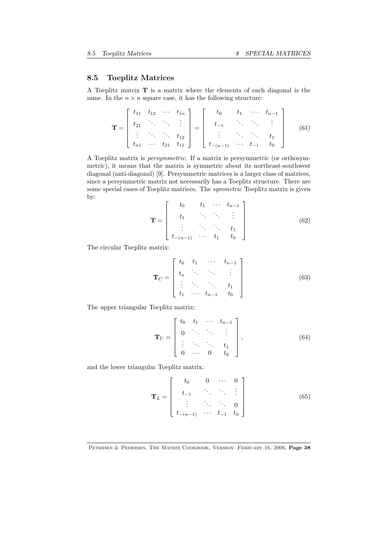# 8.5 Toeplitz Matrices

A Toeplitz matrix T is a matrix where the elements of each diagonal is the same. In the  $n \times n$  square case, it has the following structure:

$$
\mathbf{T} = \begin{bmatrix} t_{11} & t_{12} & \cdots & t_{1n} \\ t_{21} & \cdots & \cdots & \vdots \\ \vdots & \ddots & \ddots & \vdots \\ t_{n1} & \cdots & t_{21} & t_{11} \end{bmatrix} = \begin{bmatrix} t_0 & t_1 & \cdots & t_{n-1} \\ t_{-1} & \cdots & \ddots & \vdots \\ \vdots & \ddots & \ddots & t_1 \\ t_{-(n-1)} & \cdots & t_{-1} & t_0 \end{bmatrix}
$$
(61)

A Toeplitz matrix is *persymmetric*. If a matrix is persymmetric (or orthosymmetric), it means that the matrix is symmetric about its northeast-southwest diagonal (anti-diagonal) [9]. Persymmetric matrices is a larger class of matrices, since a persymmetric matrix not necessarily has a Toeplitz structure. There are some special cases of Toeplitz matrices. The *symmetric* Toeplitz matrix is given by:

$$
\mathbf{T} = \begin{bmatrix} t_0 & t_1 & \cdots & t_{n-1} \\ t_1 & \ddots & \ddots & \vdots \\ \vdots & \ddots & \ddots & t_1 \\ t_{-(n-1)} & \cdots & t_1 & t_0 \end{bmatrix}
$$
(62)

The circular Toeplitz matrix:

$$
\mathbf{T}_C = \begin{bmatrix} t_0 & t_1 & \cdots & t_{n-1} \\ t_n & \ddots & \ddots & \vdots \\ \vdots & \ddots & \ddots & t_1 \\ t_1 & \cdots & t_{n-1} & t_0 \end{bmatrix}
$$
 (63)

The upper triangular Toeplitz matrix:

$$
\mathbf{T}_U = \begin{bmatrix} t_0 & t_1 & \cdots & t_{n-1} \\ 0 & \ddots & \ddots & \vdots \\ \vdots & \ddots & \ddots & t_1 \\ 0 & \cdots & 0 & t_0 \end{bmatrix}, \tag{64}
$$

and the lower triangular Toeplitz matrix:

$$
\mathbf{T}_L = \begin{bmatrix} t_0 & 0 & \cdots & 0 \\ t_{-1} & \ddots & \ddots & \vdots \\ \vdots & \ddots & \ddots & 0 \\ t_{-(n-1)} & \cdots & t_{-1} & t_0 \end{bmatrix}
$$
(65)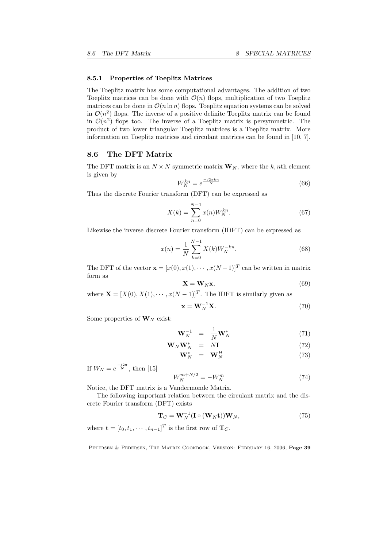#### 8.5.1 Properties of Toeplitz Matrices

The Toeplitz matrix has some computational advantages. The addition of two Toeplitz matrices can be done with  $\mathcal{O}(n)$  flops, multiplication of two Toeplitz matrices can be done in  $\mathcal{O}(n \ln n)$  flops. Toeplitz equation systems can be solved in  $\mathcal{O}(n^2)$  flops. The inverse of a positive definite Toeplitz matrix can be found in  $\mathcal{O}(n^2)$  flops too. The inverse of a Toeplitz matrix is persymmetric. The product of two lower triangular Toeplitz matrices is a Toeplitz matrix. More information on Toeplitz matrices and circulant matrices can be found in [10, 7].

# 8.6 The DFT Matrix

The DFT matrix is an  $N \times N$  symmetric matrix  $\mathbf{W}_N$ , where the *k*, *n*th element is given by

$$
W_N^{kn} = e^{\frac{-j2\pi kn}{N}}\tag{66}
$$

Thus the discrete Fourier transform (DFT) can be expressed as

$$
X(k) = \sum_{n=0}^{N-1} x(n)W_N^{kn}.
$$
 (67)

Likewise the inverse discrete Fourier transform (IDFT) can be expressed as

$$
x(n) = \frac{1}{N} \sum_{k=0}^{N-1} X(k) W_N^{-kn}.
$$
 (68)

The DFT of the vector  $\mathbf{x} = [x(0), x(1), \cdots, x(N-1)]^T$  can be written in matrix form as

$$
\mathbf{X} = \mathbf{W}_N \mathbf{x},\tag{69}
$$

where  $\mathbf{X} = [X(0), X(1), \cdots, x(N-1)]^T$ . The IDFT is similarly given as

$$
\mathbf{x} = \mathbf{W}_N^{-1} \mathbf{X}.\tag{70}
$$

Some properties of  $\mathbf{W}_N$  exist:

$$
\mathbf{W}_N^{-1} = \frac{1}{N} \mathbf{W}_N^* \tag{71}
$$

$$
\mathbf{W}_N \mathbf{W}_N^* = N \mathbf{I} \tag{72}
$$

$$
\mathbf{W}_N^* = \mathbf{W}_N^H \tag{73}
$$

If  $W_N = e^{\frac{-j2\pi}{N}}$ , then [15]

$$
W_N^{m+N/2} = -W_N^m \tag{74}
$$

Notice, the DFT matrix is a Vandermonde Matrix.

The following important relation between the circulant matrix and the discrete Fourier transform (DFT) exists

$$
\mathbf{T}_C = \mathbf{W}_N^{-1} (\mathbf{I} \circ (\mathbf{W}_N \mathbf{t})) \mathbf{W}_N, \tag{75}
$$

where  $\mathbf{t} = [t_0, t_1, \cdots, t_{n-1}]^T$  is the first row of  $\mathbf{T}_C$ .

PETERSEN & PEDERSEN, THE MATRIX COOKBOOK, VERSION: FEBRUARY 16, 2006, Page 39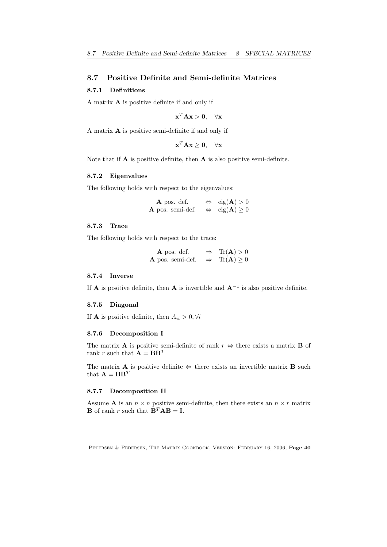# 8.7 Positive Definite and Semi-definite Matrices

# 8.7.1 Definitions

A matrix A is positive definite if and only if

$$
\mathbf{x}^T \mathbf{A} \mathbf{x} > \mathbf{0}, \quad \forall \mathbf{x}
$$

A matrix A is positive semi-definite if and only if

$$
\mathbf{x}^T \mathbf{A} \mathbf{x} \ge \mathbf{0}, \quad \forall \mathbf{x}
$$

Note that if  $A$  is positive definite, then  $A$  is also positive semi-definite.

#### 8.7.2 Eigenvalues

The following holds with respect to the eigenvalues:

**A** pos. def.  $\Leftrightarrow$  eig(**A**) > 0 **A** pos. semi-def.  $\Leftrightarrow$  eig(**A**)  $\geq 0$ 

#### 8.7.3 Trace

The following holds with respect to the trace:

**A** pos. def.  $\Rightarrow$  Tr(**A**) > 0 **A** pos. semi-def.  $\Rightarrow$  Tr(**A**) > 0

#### 8.7.4 Inverse

If **A** is positive definite, then **A** is invertible and  $A^{-1}$  is also positive definite.

#### 8.7.5 Diagonal

If **A** is positive definite, then  $A_{ii} > 0, \forall i$ 

#### 8.7.6 Decomposition I

The matrix **A** is positive semi-definite of rank  $r \Leftrightarrow$  there exists a matrix **B** of rank *r* such that  $\mathbf{A} = \mathbf{B}\mathbf{B}^T$ 

The matrix **A** is positive definite  $\Leftrightarrow$  there exists an invertible matrix **B** such that  $\mathbf{A} = \mathbf{B}\mathbf{B}^T$ 

#### 8.7.7 Decomposition II

Assume **A** is an  $n \times n$  positive semi-definite, then there exists an  $n \times r$  matrix **B** of rank *r* such that  $\mathbf{B}^T \mathbf{A} \mathbf{B} = \mathbf{I}$ .

PETERSEN & PEDERSEN, THE MATRIX COOKBOOK, VERSION: FEBRUARY 16, 2006, Page 40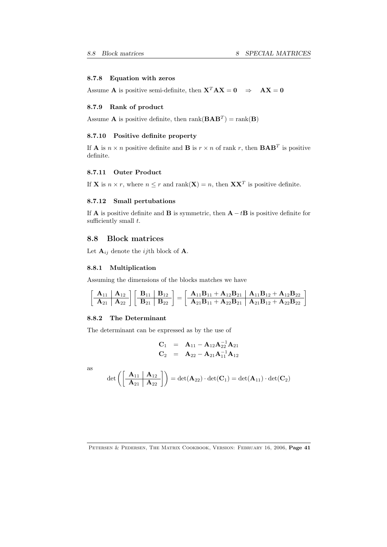# 8.7.8 Equation with zeros

Assume **A** is positive semi-definite, then  $X^T A X = 0 \Rightarrow AX = 0$ 

#### 8.7.9 Rank of product

Assume **A** is positive definite, then  $\text{rank}(\mathbf{BAB}^T) = \text{rank}(\mathbf{B})$ 

# 8.7.10 Positive definite property

If **A** is  $n \times n$  positive definite and **B** is  $r \times n$  of rank *r*, then **BAB**<sup>*T*</sup> is positive definite.

#### 8.7.11 Outer Product

If **X** is  $n \times r$ , where  $n \leq r$  and rank(**X**) = *n*, then **XX**<sup>*T*</sup> is positive definite.

#### 8.7.12 Small pertubations

If **A** is positive definite and **B** is symmetric, then  $\mathbf{A} - t\mathbf{B}$  is positive definite for sufficiently small  $t$ .

# 8.8 Block matrices

Let  $\mathbf{A}_{ij}$  denote the *ij*th block of **A**.

#### 8.8.1 Multiplication

Assuming the dimensions of the blocks matches we have

$$
\left[\begin{array}{c|c|c} \bf{A}_{11} & \bf{A}_{12} \\ \hline \bf{A}_{21} & \bf{A}_{22} \end{array}\right]\left[\begin{array}{c|c|c} \bf{B}_{11} & \bf{B}_{12} \\ \hline \bf{B}_{21} & \bf{B}_{22} \end{array}\right]=\left[\begin{array}{c|c|c} \bf{A}_{11}\bf{B}_{11}+\bf{A}_{12}\bf{B}_{21} & \bf{A}_{11}\bf{B}_{12}+\bf{A}_{12}\bf{B}_{22} \\ \hline \bf{A}_{21}\bf{B}_{11}+\bf{A}_{22}\bf{B}_{21} & \bf{A}_{21}\bf{B}_{12}+\bf{A}_{22}\bf{B}_{22} \end{array}\right]
$$

#### 8.8.2 The Determinant

The determinant can be expressed as by the use of

$$
\begin{array}{ccc} \mathbf{C}_1 & = & \mathbf{A}_{11} - \mathbf{A}_{12}\mathbf{A}_{22}^{-1}\mathbf{A}_{21} \\ \mathbf{C}_2 & = & \mathbf{A}_{22} - \mathbf{A}_{21}\mathbf{A}_{11}^{-1}\mathbf{A}_{12} \end{array}
$$

as

$$
\det\left(\left[\begin{array}{c|c}\mathbf{A}_{11} & \mathbf{A}_{12} \\ \hline \mathbf{A}_{21} & \mathbf{A}_{22}\end{array}\right]\right) = \det(\mathbf{A}_{22}) \cdot \det(\mathbf{C}_1) = \det(\mathbf{A}_{11}) \cdot \det(\mathbf{C}_2)
$$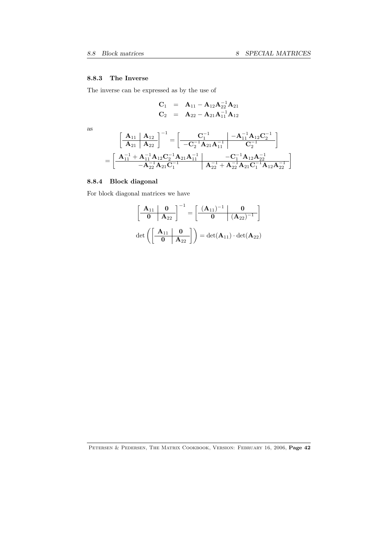# 8.8.3 The Inverse

The inverse can be expressed as by the use of

$$
\begin{array}{rcl}\n\mathbf{C}_1 & = & \mathbf{A}_{11} - \mathbf{A}_{12} \mathbf{A}_{22}^{-1} \mathbf{A}_{21} \\
\mathbf{C}_2 & = & \mathbf{A}_{22} - \mathbf{A}_{21} \mathbf{A}_{11}^{-1} \mathbf{A}_{12}\n\end{array}
$$

as

$$
\begin{aligned}&\left[\begin{array}{c|c}\mathbf{A}_{11} & \mathbf{A}_{12} \\ \hline \mathbf{A}_{21} & \mathbf{A}_{22}\end{array}\right]^{-1} = \left[\begin{array}{c|c} \mathbf{C}_1^{-1} & -\mathbf{A}_{11}^{-1}\mathbf{A}_{12}\mathbf{C}_2^{-1} \\ \hline -\mathbf{C}_2^{-1}\mathbf{A}_{21}\mathbf{A}_{11}^{-1} & \mathbf{C}_2^{-1}\end{array}\right] \\ &=\left[\begin{array}{c|c}\mathbf{A}_{11}^{-1}+\mathbf{A}_{11}^{-1}\mathbf{A}_{12}\mathbf{C}_2^{-1}\mathbf{A}_{21}\mathbf{A}_{11}^{-1} & -\mathbf{C}_1^{-1}\mathbf{A}_{12}\mathbf{A}_{22}^{-1} \\ \hline -\mathbf{A}_{22}^{-1}\mathbf{A}_{21}\mathbf{C}_1^{-1} & \mathbf{A}_{22}^{-1}+\mathbf{A}_{22}^{-1}\mathbf{A}_{21}\mathbf{C}_1^{-1}\mathbf{A}_{12}\mathbf{A}_{22}^{-1}\end{array}\right]\end{aligned}
$$

# 8.8.4 Block diagonal

For block diagonal matrices we have

$$
\begin{bmatrix} \begin{array}{|c|c|c|} \hline \mathbf{A}_{11} & \mathbf{0} \\ \hline \mathbf{0} & \mathbf{A}_{22} \end{array} \end{bmatrix}^{-1} = \begin{bmatrix} \begin{array}{|c|c|c|} \hline (\mathbf{A}_{11})^{-1} & \mathbf{0} \\ \hline \mathbf{0} & (\mathbf{A}_{22})^{-1} \end{array} \end{bmatrix}
$$
  
det  $\left( \begin{bmatrix} \begin{array}{|c|c|} \mathbf{A}_{11} & \mathbf{0} \\ \hline \mathbf{0} & \mathbf{A}_{22} \end{array} \right) = \det(\mathbf{A}_{11}) \cdot \det(\mathbf{A}_{22})$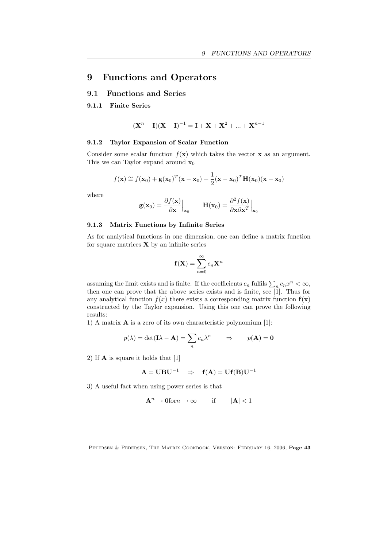# 9 Functions and Operators

# 9.1 Functions and Series

## 9.1.1 Finite Series

$$
(Xn - I)(X – I)-1 = I + X + X2 + ... + Xn-1
$$

# 9.1.2 Taylor Expansion of Scalar Function

Consider some scalar function  $f(\mathbf{x})$  which takes the vector **x** as an argument. This we can Taylor expand around  $\mathbf{x}_0$ 

$$
f(\mathbf{x}) \approx f(\mathbf{x}_0) + \mathbf{g}(\mathbf{x}_0)^T(\mathbf{x} - \mathbf{x}_0) + \frac{1}{2}(\mathbf{x} - \mathbf{x}_0)^T \mathbf{H}(\mathbf{x}_0) (\mathbf{x} - \mathbf{x}_0)
$$

where

$$
\mathbf{g}(\mathbf{x}_0) = \frac{\partial f(\mathbf{x})}{\partial \mathbf{x}} \Big|_{\mathbf{x}_0} \qquad \mathbf{H}(\mathbf{x}_0) = \frac{\partial^2 f(\mathbf{x})}{\partial \mathbf{x} \partial \mathbf{x}^T} \Big|_{\mathbf{x}_0}
$$

# 9.1.3 Matrix Functions by Infinite Series

As for analytical functions in one dimension, one can define a matrix function for square matrices  $X$  by an infinite series

$$
\mathbf{f}(\mathbf{X}) = \sum_{n=0}^{\infty} c_n \mathbf{X}^n
$$

assuming the limit exists and is finite. If the coefficients  $c_n$  fulfils  $\sum_n c_n x^n < \infty$ , then one can prove that the above series exists and is finite, see [1]. Thus for any analytical function  $f(x)$  there exists a corresponding matrix function  $f(x)$ constructed by the Taylor expansion. Using this one can prove the following results:

1) A matrix A is a zero of its own characteristic polynomium [1]:

$$
p(\lambda) = \det(\mathbf{I}\lambda - \mathbf{A}) = \sum_{n} c_n \lambda^n \qquad \Rightarrow \qquad p(\mathbf{A}) = \mathbf{0}
$$

2) If A is square it holds that [1]

$$
A = UBU^{-1} \quad \Rightarrow \quad f(A) = Uf(B)U^{-1}
$$

3) A useful fact when using power series is that

$$
\mathbf{A}^n \to \mathbf{0} \text{for} n \to \infty \qquad \text{if} \qquad |\mathbf{A}| < 1
$$

PETERSEN & PEDERSEN, THE MATRIX COOKBOOK, VERSION: FEBRUARY 16, 2006, Page 43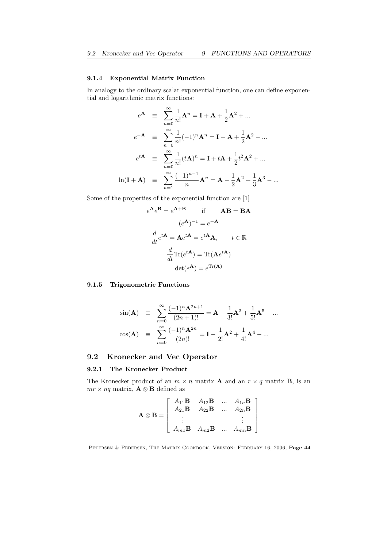# 9.1.4 Exponential Matrix Function

In analogy to the ordinary scalar exponential function, one can define exponential and logarithmic matrix functions:

$$
e^{\mathbf{A}} = \sum_{n=0}^{\infty} \frac{1}{n!} \mathbf{A}^{n} = \mathbf{I} + \mathbf{A} + \frac{1}{2} \mathbf{A}^{2} + \dots
$$
  
\n
$$
e^{-\mathbf{A}} = \sum_{n=0}^{\infty} \frac{1}{n!} (-1)^{n} \mathbf{A}^{n} = \mathbf{I} - \mathbf{A} + \frac{1}{2} \mathbf{A}^{2} - \dots
$$
  
\n
$$
e^{t\mathbf{A}} = \sum_{n=0}^{\infty} \frac{1}{n!} (t\mathbf{A})^{n} = \mathbf{I} + t\mathbf{A} + \frac{1}{2} t^{2} \mathbf{A}^{2} + \dots
$$
  
\n
$$
\ln(\mathbf{I} + \mathbf{A}) = \sum_{n=1}^{\infty} \frac{(-1)^{n-1}}{n} \mathbf{A}^{n} = \mathbf{A} - \frac{1}{2} \mathbf{A}^{2} + \frac{1}{3} \mathbf{A}^{3} - \dots
$$

Some of the properties of the exponential function are [1]

$$
e^{\mathbf{A}}e^{\mathbf{B}} = e^{\mathbf{A} + \mathbf{B}} \quad \text{if} \quad \mathbf{AB} = \mathbf{BA}
$$

$$
(e^{\mathbf{A}})^{-1} = e^{-\mathbf{A}}
$$

$$
\frac{d}{dt}e^{t\mathbf{A}} = \mathbf{A}e^{t\mathbf{A}} = e^{t\mathbf{A}}\mathbf{A}, \quad t \in \mathbb{R}
$$

$$
\frac{d}{dt}\text{Tr}(e^{t\mathbf{A}}) = \text{Tr}(\mathbf{A}e^{t\mathbf{A}})
$$

$$
\text{det}(e^{\mathbf{A}}) = e^{\text{Tr}(\mathbf{A})}
$$

# 9.1.5 Trigonometric Functions

$$
\sin(\mathbf{A}) = \sum_{n=0}^{\infty} \frac{(-1)^n \mathbf{A}^{2n+1}}{(2n+1)!} = \mathbf{A} - \frac{1}{3!} \mathbf{A}^3 + \frac{1}{5!} \mathbf{A}^5 - \dots
$$

$$
\cos(\mathbf{A}) = \sum_{n=0}^{\infty} \frac{(-1)^n \mathbf{A}^{2n}}{(2n)!} = \mathbf{I} - \frac{1}{2!} \mathbf{A}^2 + \frac{1}{4!} \mathbf{A}^4 - \dots
$$

# 9.2 Kronecker and Vec Operator

#### 9.2.1 The Kronecker Product

The Kronecker product of an  $m \times n$  matrix **A** and an  $r \times q$  matrix **B**, is an  $mr \times nq$  matrix,  $\mathbf{A} \otimes \mathbf{B}$  defined as

$$
\mathbf{A} \otimes \mathbf{B} = \left[ \begin{array}{cccc} A_{11}\mathbf{B} & A_{12}\mathbf{B} & \dots & A_{1n}\mathbf{B} \\ A_{21}\mathbf{B} & A_{22}\mathbf{B} & \dots & A_{2n}\mathbf{B} \\ \vdots & & & \vdots \\ A_{m1}\mathbf{B} & A_{m2}\mathbf{B} & \dots & A_{mn}\mathbf{B} \end{array} \right]
$$

PETERSEN & PEDERSEN, THE MATRIX COOKBOOK, VERSION: FEBRUARY 16, 2006, Page 44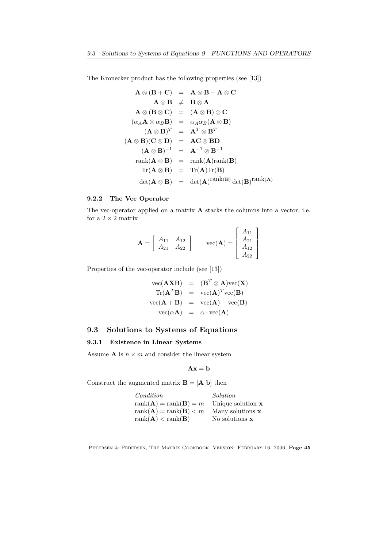The Kronecker product has the following properties (see [13])

$$
\mathbf{A} \otimes (\mathbf{B} + \mathbf{C}) = \mathbf{A} \otimes \mathbf{B} + \mathbf{A} \otimes \mathbf{C}
$$
  
\n
$$
\mathbf{A} \otimes \mathbf{B} \neq \mathbf{B} \otimes \mathbf{A}
$$
  
\n
$$
\mathbf{A} \otimes (\mathbf{B} \otimes \mathbf{C}) = (\mathbf{A} \otimes \mathbf{B}) \otimes \mathbf{C}
$$
  
\n
$$
(\alpha_A \mathbf{A} \otimes \alpha_B \mathbf{B}) = \alpha_A \alpha_B (\mathbf{A} \otimes \mathbf{B})
$$
  
\n
$$
(\mathbf{A} \otimes \mathbf{B})^T = \mathbf{A}^T \otimes \mathbf{B}^T
$$
  
\n
$$
(\mathbf{A} \otimes \mathbf{B})(\mathbf{C} \otimes \mathbf{D}) = \mathbf{A}\mathbf{C} \otimes \mathbf{B}\mathbf{D}
$$
  
\n
$$
(\mathbf{A} \otimes \mathbf{B})^{-1} = \mathbf{A}^{-1} \otimes \mathbf{B}^{-1}
$$
  
\n
$$
rank(\mathbf{A} \otimes \mathbf{B}) = rank(\mathbf{A})rank(\mathbf{B})
$$
  
\n
$$
Tr(\mathbf{A} \otimes \mathbf{B}) = Tr(\mathbf{A})Tr(\mathbf{B})
$$
  
\n
$$
det(\mathbf{A} \otimes \mathbf{B}) = det(\mathbf{A})^{rank(\mathbf{B})} det(\mathbf{B})^{rank(\mathbf{A})}
$$

# 9.2.2 The Vec Operator

The vec-operator applied on a matrix A stacks the columns into a vector, i.e. for a  $2\times 2$  matrix

$$
\mathbf{A} = \left[ \begin{array}{cc} A_{11} & A_{12} \\ A_{21} & A_{22} \end{array} \right] \qquad \text{vec}(\mathbf{A}) = \left[ \begin{array}{c} A_{11} \\ A_{21} \\ A_{12} \\ A_{22} \end{array} \right]
$$

Properties of the vec-operator include (see [13])

$$
\begin{array}{rcl}\n\text{vec}(\mathbf{A}\mathbf{X}\mathbf{B}) & = & (\mathbf{B}^T \otimes \mathbf{A})\text{vec}(\mathbf{X}) \\
\text{Tr}(\mathbf{A}^T\mathbf{B}) & = & \text{vec}(\mathbf{A})^T \text{vec}(\mathbf{B}) \\
\text{vec}(\mathbf{A} + \mathbf{B}) & = & \text{vec}(\mathbf{A}) + \text{vec}(\mathbf{B}) \\
\text{vec}(\alpha \mathbf{A}) & = & \alpha \cdot \text{vec}(\mathbf{A})\n\end{array}
$$

# 9.3 Solutions to Systems of Equations

#### 9.3.1 Existence in Linear Systems

Assume  ${\bf A}$  is  $n \times m$  and consider the linear system

$$
\mathbf{A}\mathbf{x}=\mathbf{b}
$$

Construct the augmented matrix  $\mathbf{B} = [\mathbf{A} \mathbf{b}]$  then

| Condition                                 | Solution           |
|-------------------------------------------|--------------------|
| $rank(\mathbf{A}) = rank(\mathbf{B}) = m$ | Unique solution x  |
| $rank(\mathbf{A}) = rank(\mathbf{B}) < m$ | Many solutions $x$ |
| $rank(\mathbf{A}) < rank(\mathbf{B})$     | No solutions $x$   |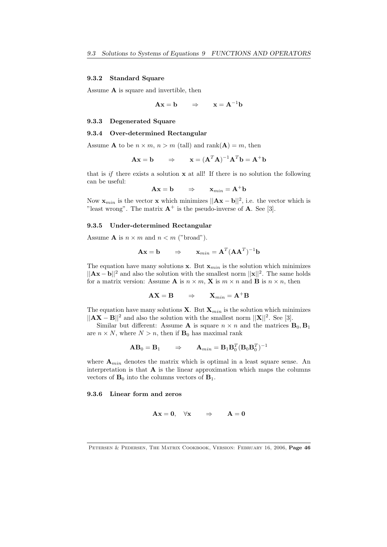#### 9.3.2 Standard Square

Assume A is square and invertible, then

$$
Ax = b \qquad \Rightarrow \qquad x = A^{-1}b
$$

#### 9.3.3 Degenerated Square

#### 9.3.4 Over-determined Rectangular

Assume **A** to be  $n \times m$ ,  $n > m$  (tall) and rank(**A**) = *m*, then

$$
\mathbf{A}\mathbf{x} = \mathbf{b} \qquad \Rightarrow \qquad \mathbf{x} = (\mathbf{A}^T \mathbf{A})^{-1} \mathbf{A}^T \mathbf{b} = \mathbf{A}^+ \mathbf{b}
$$

that is  $if$  there exists a solution  $x$  at all! If there is no solution the following can be useful:

$$
Ax = b \qquad \Rightarrow \qquad x_{min} = A^+b
$$

Now  $\mathbf{x}_{min}$  is the vector **x** which minimizes  $||\mathbf{A}\mathbf{x} - \mathbf{b}||^2$ , i.e. the vector which is "least wrong". The matrix  $A^+$  is the pseudo-inverse of A. See [3].

#### 9.3.5 Under-determined Rectangular

Assume **A** is  $n \times m$  and  $n < m$  ("broad").

$$
\mathbf{A}\mathbf{x} = \mathbf{b} \qquad \Rightarrow \qquad \mathbf{x}_{min} = \mathbf{A}^T (\mathbf{A}\mathbf{A}^T)^{-1} \mathbf{b}
$$

The equation have many solutions  $x$ . But  $x_{min}$  is the solution which minimizes  $||Ax - b||^2$  and also the solution with the smallest norm  $||x||^2$ . The same holds for a matrix version: Assume **A** is  $n \times m$ , **X** is  $m \times n$  and **B** is  $n \times n$ , then

$$
AX = B \qquad \Rightarrow \qquad X_{min} = A^{+}B
$$

The equation have many solutions  $X$ . But  $X_{min}$  is the solution which minimizes  $||AX - B||^2$  and also the solution with the smallest norm  $||X||^2$ . See [3].

Similar but different: Assume **A** is square  $n \times n$  and the matrices  $\mathbf{B}_0, \mathbf{B}_1$ are  $n \times N$ , where  $N > n$ , then if  $\mathbf{B}_0$  has maximal rank

$$
\mathbf{A}\mathbf{B}_0 = \mathbf{B}_1 \qquad \Rightarrow \qquad \mathbf{A}_{min} = \mathbf{B}_1 \mathbf{B}_0^T (\mathbf{B}_0 \mathbf{B}_0^T)^{-1}
$$

where  $A_{min}$  denotes the matrix which is optimal in a least square sense. An interpretation is that  $\bf{A}$  is the linear approximation which maps the columns vectors of  $\mathbf{B}_0$  into the columns vectors of  $\mathbf{B}_1$ .

# 9.3.6 Linear form and zeros

$$
Ax = 0, \quad \forall x \qquad \Rightarrow \qquad A = 0
$$

Petersen & Pedersen, The Matrix Cookbook, Version: February 16, 2006, Page 46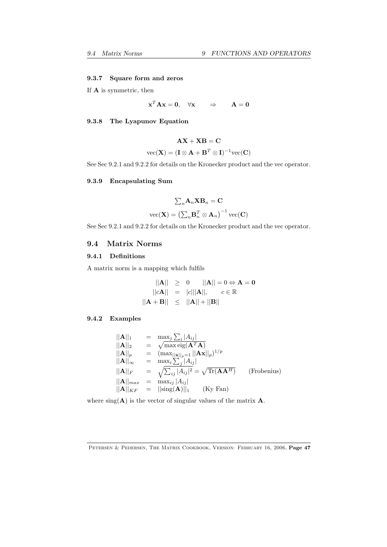#### 9.3.7 Square form and zeros

If A is symmetric, then

$$
\mathbf{x}^T \mathbf{A} \mathbf{x} = \mathbf{0}, \quad \forall \mathbf{x} \qquad \Rightarrow \qquad \mathbf{A} = \mathbf{0}
$$

# 9.3.8 The Lyapunov Equation

$$
\mathbf{AX} + \mathbf{XB} = \mathbf{C}
$$

$$
\text{vec}(\mathbf{X}) = (\mathbf{I} \otimes \mathbf{A} + \mathbf{B}^T \otimes \mathbf{I})^{-1} \text{vec}(\mathbf{C})
$$

See Sec 9.2.1 and 9.2.2 for details on the Kronecker product and the vec operator.

# 9.3.9 Encapsulating Sum

$$
\sum_{n} \mathbf{A}_{n} \mathbf{X} \mathbf{B}_{n} = \mathbf{C}
$$

$$
\text{vec}(\mathbf{X}) = \left(\sum_{n} \mathbf{B}_{n}^{T} \otimes \mathbf{A}_{n}\right)^{-1} \text{vec}(\mathbf{C})
$$

See Sec 9.2.1 and 9.2.2 for details on the Kronecker product and the vec operator.

# 9.4 Matrix Norms

# 9.4.1 Definitions

A matrix norm is a mapping which fulfils

$$
||\mathbf{A}|| \ge 0 \t ||\mathbf{A}|| = 0 \Leftrightarrow \mathbf{A} = \mathbf{0}
$$
  
 
$$
||c\mathbf{A}|| = |c|||\mathbf{A}||, \t c \in \mathbb{R}
$$
  
 
$$
||\mathbf{A} + \mathbf{B}|| \le ||\mathbf{A}|| + ||\mathbf{B}||
$$

# 9.4.2 Examples

$$
\|\mathbf{A}\|_{1} = \max_{j} \sum_{i} |A_{ij}|
$$
  
\n
$$
\|\mathbf{A}\|_{2} = \sqrt{\max_{i} \operatorname{eig}(\mathbf{A}^{T} \mathbf{A})}
$$
  
\n
$$
\|\mathbf{A}\|_{p} = (\max_{\|\mathbf{x}\|_{p}} \| \mathbf{A} \|\mathbf{x}\|_{p})^{1/p}
$$
  
\n
$$
\|\mathbf{A}\|_{\infty} = \max_{i} \sum_{j} |A_{ij}|
$$
  
\n
$$
\|\mathbf{A}\|_{F} = \sqrt{\sum_{ij} |A_{ij}|^{2}} = \sqrt{\text{Tr}(\mathbf{A}\mathbf{A}^{H})}
$$
 (Frobenius)  
\n
$$
\|\mathbf{A}\|_{max} = \max_{ij} |A_{ij}|
$$
  
\n
$$
\|\mathbf{A}\|_{KF} = ||\text{sing}(\mathbf{A})||_{1}
$$
 (Ky Fan)

where  $sing(A)$  is the vector of singular values of the matrix  $A$ .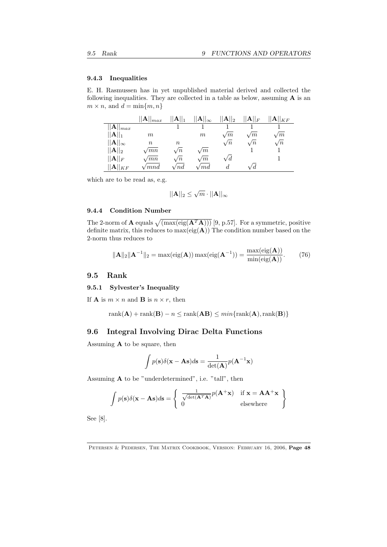#### 9.4.3 Inequalities

E. H. Rasmussen has in yet unpublished material derived and collected the following inequalities. They are collected in a table as below, assuming  $A$  is an  $m \times n$ , and  $d = \min\{m, n\}$ 

|                           | $  \mathbf{A}  _{max}$ | $  \mathbf{A}  _1$ | $\ {\bf A}\ _\infty$          | $  \mathbf{A}  _2$ | $\ {\mathbf A}\ _F$ | $\ {\mathbf A}\ _{KF}$ |
|---------------------------|------------------------|--------------------|-------------------------------|--------------------|---------------------|------------------------|
| $  {\bf A}  _{max}$       |                        |                    |                               |                    |                     |                        |
| $  \mathbf{A}  _1$        | $m\,$                  |                    | m                             | $\sqrt{m}$         | $\sqrt{m}$          | /m                     |
| $  \mathbf{A}  _{\infty}$ | $\, n$                 | $\it n$            |                               | $\sqrt{n}$         | $\sqrt{n}$          | $\sqrt{n}$             |
| $  \mathbf{A}  _2$        | $\sqrt{mn}$            | $\sqrt{n}$         | $\sqrt{m}$                    |                    |                     |                        |
| $  \mathbf{A}  _F$        | $\sqrt{mn}$            | $\sqrt{n}$         | $\sqrt{m}$                    | $\sqrt{d}$         |                     |                        |
| $  {\bf A}  _{KF}$        | $\it 'mnd$             | $^{\prime}$ nd     | $\hspace{.1cm}\mathit{f}$ and | d.                 | d                   |                        |

which are to be read as, e.g.

$$
||\mathbf{A}||_2 \leq \sqrt{m} \cdot ||\mathbf{A}||_{\infty}
$$

#### 9.4.4 Condition Number

The 2-norm of **A** equals  $\sqrt{\max(\text{eig}(\mathbf{A}^T\mathbf{A})))}$  [9, p.57]. For a symmetric, positive definite matrix, this reduces to  $max(eig(A))$  The condition number based on the 2-norm thus reduces to

$$
\|\mathbf{A}\|_2 \|\mathbf{A}^{-1}\|_2 = \max(\text{eig}(\mathbf{A})) \max(\text{eig}(\mathbf{A}^{-1})) = \frac{\max(\text{eig}(\mathbf{A}))}{\min(\text{eig}(\mathbf{A}))}. \tag{76}
$$

# 9.5 Rank

#### 9.5.1 Sylvester's Inequality

If **A** is  $m \times n$  and **B** is  $n \times r$ , then

 $rank(\mathbf{A}) + rank(\mathbf{B}) - n \leq rank(\mathbf{AB}) \leq min\{rank(\mathbf{A}),rank(\mathbf{B})\}$ 

# 9.6 Integral Involving Dirac Delta Functions

Assuming A to be square, then

$$
\int p(\mathbf{s})\delta(\mathbf{x} - \mathbf{A}\mathbf{s})d\mathbf{s} = \frac{1}{\det(\mathbf{A})}p(\mathbf{A}^{-1}\mathbf{x})
$$

Assuming A to be "underdetermined", i.e. "tall", then

$$
\int p(\mathbf{s}) \delta(\mathbf{x} - \mathbf{A}\mathbf{s}) d\mathbf{s} = \begin{cases} \frac{1}{\sqrt{\det(\mathbf{A}^T \mathbf{A})}} p(\mathbf{A}^+ \mathbf{x}) & \text{if } \mathbf{x} = \mathbf{A} \mathbf{A}^+ \mathbf{x} \\ 0 & \text{elsewhere} \end{cases}
$$

See [8].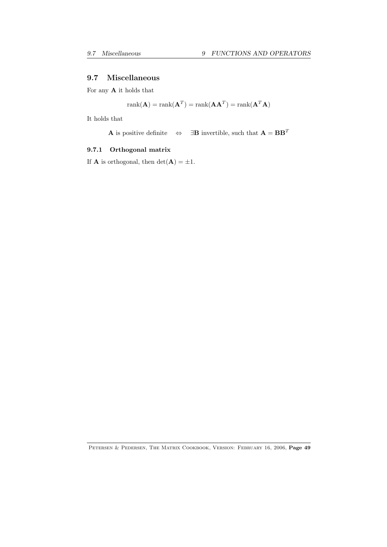# 9.7 Miscellaneous

For any  ${\bf A}$  it holds that

$$
rank(\mathbf{A}) = rank(\mathbf{A}^T) = rank(\mathbf{A}\mathbf{A}^T) = rank(\mathbf{A}^T\mathbf{A})
$$

It holds that

**A** is positive definite 
$$
\Leftrightarrow \exists B
$$
 invertible, such that **A** = **BB**<sup>T</sup>

# 9.7.1 Orthogonal matrix

If **A** is orthogonal, then  $det(\mathbf{A}) = \pm 1$ .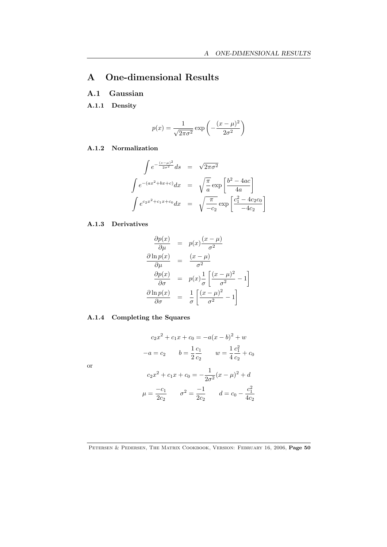# A One-dimensional Results

# A.1 Gaussian

A.1.1 Density

$$
p(x) = \frac{1}{\sqrt{2\pi\sigma^2}} \exp\left(-\frac{(x-\mu)^2}{2\sigma^2}\right)
$$

# A.1.2 Normalization

$$
\int e^{-\frac{(s-\mu)^2}{2\sigma^2}} ds = \sqrt{2\pi\sigma^2}
$$

$$
\int e^{-(ax^2+bx+c)} dx = \sqrt{\frac{\pi}{a}} \exp\left[\frac{b^2-4ac}{4a}\right]
$$

$$
\int e^{c_2x^2+c_1x+c_0} dx = \sqrt{\frac{\pi}{-c_2}} \exp\left[\frac{c_1^2-4c_2c_0}{-4c_2}\right]
$$

# A.1.3 Derivatives

or

$$
\frac{\partial p(x)}{\partial \mu} = p(x) \frac{(x - \mu)}{\sigma^2}
$$

$$
\frac{\partial \ln p(x)}{\partial \mu} = \frac{(x - \mu)}{\sigma^2}
$$

$$
\frac{\partial p(x)}{\partial \sigma} = p(x) \frac{1}{\sigma} \left[ \frac{(x - \mu)^2}{\sigma^2} - 1 \right]
$$

$$
\frac{\partial \ln p(x)}{\partial \sigma} = \frac{1}{\sigma} \left[ \frac{(x - \mu)^2}{\sigma^2} - 1 \right]
$$

# A.1.4 Completing the Squares

$$
c_2x^2 + c_1x + c_0 = -a(x - b)^2 + w
$$

$$
-a = c_2 \qquad b = \frac{1}{2}\frac{c_1}{c_2} \qquad w = \frac{1}{4}\frac{c_1^2}{c_2} + c_0
$$

$$
c_2x^2 + c_1x + c_0 = -\frac{1}{2\sigma^2}(x - \mu)^2 + d
$$

$$
\mu = \frac{-c_1}{2c_2} \qquad \sigma^2 = \frac{-1}{2c_2} \qquad d = c_0 - \frac{c_1^2}{4c_2}
$$

PETERSEN & PEDERSEN, THE MATRIX COOKBOOK, VERSION: FEBRUARY 16, 2006, Page 50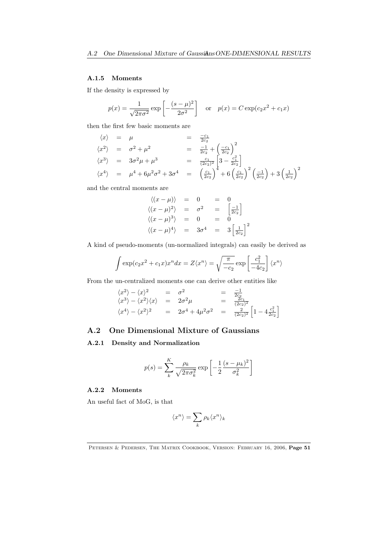# A.1.5 Moments

If the density is expressed by

$$
p(x) = {1 \over \sqrt{2\pi\sigma^2}} \exp \left[ -{(s-\mu)^2 \over 2\sigma^2} \right]
$$
 or  $p(x) = C \exp(c_2 x^2 + c_1 x)$ 

then the first few basic moments are

$$
\langle x \rangle = \mu = \frac{-c_1}{2c_2}
$$
  
\n
$$
\langle x^2 \rangle = \sigma^2 + \mu^2 = \frac{-1}{2c_2} + \left(\frac{-c_1}{2c_2}\right)^2
$$
  
\n
$$
\langle x^3 \rangle = 3\sigma^2 \mu + \mu^3 = \frac{c_1}{(2c_2)^2} \left[3 - \frac{c_1^2}{2c_2}\right]
$$
  
\n
$$
\langle x^4 \rangle = \mu^4 + 6\mu^2 \sigma^2 + 3\sigma^4 = \left(\frac{c_1}{2c_2}\right)^4 + 6\left(\frac{c_1}{2c_2}\right)^2 \left(\frac{-1}{2c_2}\right) + 3\left(\frac{1}{2c_2}\right)^2
$$

and the central moments are

$$
\langle (x - \mu) \rangle = 0 = 0
$$
  

$$
\langle (x - \mu)^2 \rangle = \sigma^2 = \begin{bmatrix} -1 \\ 2c_2 \end{bmatrix}
$$
  

$$
\langle (x - \mu)^3 \rangle = 0 = 0
$$
  

$$
\langle (x - \mu)^4 \rangle = 3\sigma^4 = 3\left[\frac{1}{2c_2}\right]^2
$$

A kind of pseudo-moments (un-normalized integrals) can easily be derived as

$$
\int \exp(c_2 x^2 + c_1 x) x^n dx = Z \langle x^n \rangle = \sqrt{\frac{\pi}{-c_2}} \exp\left[\frac{c_1^2}{-4c_2}\right] \langle x^n \rangle
$$

From the un-centralized moments one can derive other entities like

$$
\langle x^2 \rangle - \langle x \rangle^2 = \sigma^2 = \frac{-1}{2c_2}
$$
  
\n
$$
\langle x^3 \rangle - \langle x^2 \rangle \langle x \rangle = 2\sigma^2 \mu = \frac{2c_1}{(2c_2)^2}
$$
  
\n
$$
\langle x^4 \rangle - \langle x^2 \rangle^2 = 2\sigma^4 + 4\mu^2 \sigma^2 = \frac{2}{(2c_2)^2} \left[ 1 - 4 \frac{c_1^2}{2c_2} \right]
$$

# A.2 One Dimensional Mixture of Gaussians

# A.2.1 Density and Normalization

$$
p(s) = \sum_{k}^{K} \frac{\rho_k}{\sqrt{2\pi\sigma_k^2}} \exp\left[-\frac{1}{2}\frac{(s-\mu_k)^2}{\sigma_k^2}\right]
$$

# A.2.2 Moments

An useful fact of MoG, is that

$$
\langle x^n\rangle=\sum_k\rho_k\langle x^n\rangle_k
$$

PETERSEN & PEDERSEN, THE MATRIX COOKBOOK, VERSION: FEBRUARY 16, 2006, Page 51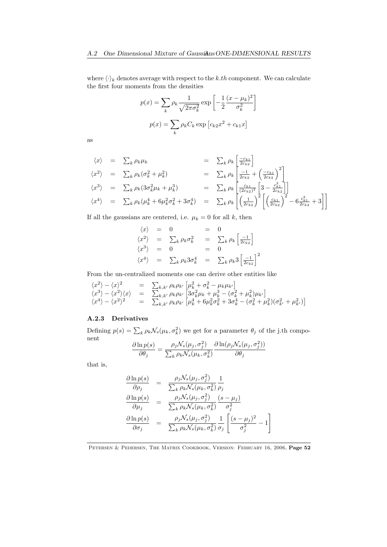where  $\langle \cdot \rangle_k$  denotes average with respect to the *k.th* component. We can calculate the first four moments from the densities

$$
p(x) = \sum_{k} \rho_k \frac{1}{\sqrt{2\pi\sigma_k^2}} \exp\left[-\frac{1}{2}\frac{(x-\mu_k)^2}{\sigma_k^2}\right]
$$

$$
p(x) = \sum_{k} \rho_k C_k \exp\left[c_k x^2 + c_{k1} x\right]
$$

as

$$
\langle x \rangle = \sum_{k} \rho_{k} \mu_{k} = \sum_{k} \rho_{k} \left[ \frac{-c_{k1}}{2c_{k2}} \right]
$$
  
\n
$$
\langle x^{2} \rangle = \sum_{k} \rho_{k} (\sigma_{k}^{2} + \mu_{k}^{2}) = \sum_{k} \rho_{k} \left[ \frac{-1}{2c_{k2}} + \left( \frac{-c_{k1}}{2c_{k2}} \right)^{2} \right]
$$
  
\n
$$
\langle x^{3} \rangle = \sum_{k} \rho_{k} (3\sigma_{k}^{2} \mu_{k} + \mu_{k}^{3}) = \sum_{k} \rho_{k} \left[ \frac{c_{k1}}{(2c_{k2})^{2}} \left[ 3 - \frac{c_{k1}^{2}}{2c_{k2}} \right] \right]
$$
  
\n
$$
\langle x^{4} \rangle = \sum_{k} \rho_{k} (\mu_{k}^{4} + 6\mu_{k}^{2} \sigma_{k}^{2} + 3\sigma_{k}^{4}) = \sum_{k} \rho_{k} \left[ \left( \frac{1}{2c_{k2}} \right)^{2} \left[ \left( \frac{c_{k1}}{2c_{k2}} \right)^{2} - 6 \frac{c_{k1}^{2}}{2c_{k2}} + 3 \right] \right]
$$

If all the gaussians are centered, i.e.  $\mu_k = 0$  for all *k*, then

$$
\langle x \rangle = 0 = 0
$$
  
\n
$$
\langle x^2 \rangle = \sum_k \rho_k \sigma_k^2 = \sum_k \rho_k \left[ \frac{-1}{2c_{k2}} \right]
$$
  
\n
$$
\langle x^3 \rangle = 0 = 0
$$
  
\n
$$
\langle x^4 \rangle = \sum_k \rho_k 3 \sigma_k^4 = \sum_k \rho_k 3 \left[ \frac{-1}{2c_{k2}} \right]^2
$$

From the un-centralized moments one can derive other entities like

$$
\begin{array}{rcl}\n\langle x^2 \rangle - \langle x \rangle^2 & = & \sum_{k,k'} \rho_k \rho_{k'} \left[ \mu_k^2 + \sigma_k^2 - \mu_k \mu_{k'} \right] \\
\langle x^3 \rangle - \langle x^2 \rangle \langle x \rangle & = & \sum_{k,k'} \rho_k \rho_{k'} \left[ 3\sigma_k^2 \mu_k + \mu_k^3 - (\sigma_k^2 + \mu_k^2) \mu_{k'} \right] \\
\langle x^4 \rangle - \langle x^2 \rangle^2 & = & \sum_{k,k'} \rho_k \rho_{k'} \left[ \mu_k^4 + 6\mu_k^2 \sigma_k^2 + 3\sigma_k^4 - (\sigma_k^2 + \mu_k^2) (\sigma_k^2 + \mu_{k'}^2) \right]\n\end{array}
$$

# A.2.3 Derivatives

Defining  $p(s) = \sum_{k} \rho_k \mathcal{N}_s(\mu_k, \sigma_k^2)$  we get for a parameter  $\theta_j$  of the j.th component

$$
\frac{\partial \ln p(s)}{\partial \theta_j} = \frac{\rho_j \mathcal{N}_s(\mu_j, \sigma_j^2)}{\sum_k \rho_k \mathcal{N}_s(\mu_k, \sigma_k^2)} \frac{\partial \ln(\rho_j \mathcal{N}_s(\mu_j, \sigma_j^2))}{\partial \theta_j}
$$

that is,

$$
\frac{\partial \ln p(s)}{\partial \rho_j} = \frac{\rho_j \mathcal{N}_s(\mu_j, \sigma_j^2)}{\sum_k \rho_k \mathcal{N}_s(\mu_k, \sigma_k^2)} \frac{1}{\rho_j}
$$
\n
$$
\frac{\partial \ln p(s)}{\partial \mu_j} = \frac{\rho_j \mathcal{N}_s(\mu_j, \sigma_j^2)}{\sum_k \rho_k \mathcal{N}_s(\mu_k, \sigma_k^2)} \frac{(s - \mu_j)}{\sigma_j^2}
$$
\n
$$
\frac{\partial \ln p(s)}{\partial \sigma_j} = \frac{\rho_j \mathcal{N}_s(\mu_j, \sigma_j^2)}{\sum_k \rho_k \mathcal{N}_s(\mu_k, \sigma_k^2)} \frac{1}{\sigma_j} \left[ \frac{(s - \mu_j)^2}{\sigma_j^2} - 1 \right]
$$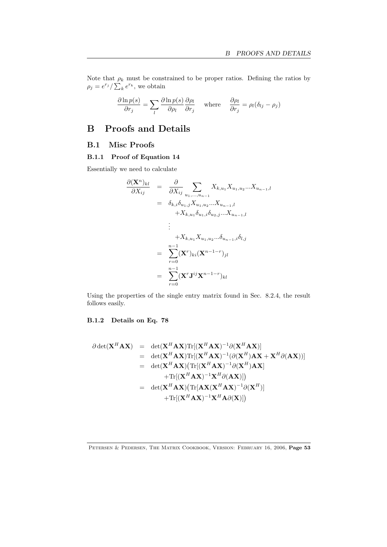Note that  $\rho_k$  must be constrained to be proper ratios. Defining the ratios by  $\rho_j = e^{r_j} / \sum_k e^{r_k}$ , we obtain

$$
\frac{\partial \ln p(s)}{\partial r_j} = \sum_l \frac{\partial \ln p(s)}{\partial \rho_l} \frac{\partial \rho_l}{\partial r_j} \quad \text{where} \quad \frac{\partial \rho_l}{\partial r_j} = \rho_l (\delta_{lj} - \rho_j)
$$

# B Proofs and Details

# B.1 Misc Proofs

# B.1.1 Proof of Equation 14

Essentially we need to calculate

$$
\frac{\partial (\mathbf{X}^{n})_{kl}}{\partial X_{ij}} = \frac{\partial}{\partial X_{ij}} \sum_{u_1, ..., u_{n-1}} X_{k, u_1} X_{u_1, u_2} ... X_{u_{n-1}, l}
$$
  
\n
$$
= \delta_{k,i} \delta_{u_1,j} X_{u_1, u_2} ... X_{u_{n-1}, l}
$$
  
\n
$$
+ X_{k, u_1} \delta_{u_1,i} \delta_{u_2,j} ... X_{u_{n-1}, l}
$$
  
\n:  
\n
$$
+ X_{k, u_1} X_{u_1, u_2} ... \delta_{u_{n-1},i} \delta_{l,j}
$$
  
\n
$$
= \sum_{r=0}^{n-1} (\mathbf{X}^{r})_{ki} (\mathbf{X}^{n-1-r})_{jl}
$$
  
\n
$$
= \sum_{r=0}^{n-1} (\mathbf{X}^{r} \mathbf{J}^{ij} \mathbf{X}^{n-1-r})_{kl}
$$

Using the properties of the single entry matrix found in Sec. 8.2.4, the result follows easily.

# B.1.2 Details on Eq. 78

$$
\partial \det(\mathbf{X}^{H} \mathbf{A} \mathbf{X}) = \det(\mathbf{X}^{H} \mathbf{A} \mathbf{X}) \text{Tr}[(\mathbf{X}^{H} \mathbf{A} \mathbf{X})^{-1} \partial (\mathbf{X}^{H} \mathbf{A} \mathbf{X})]
$$
\n
$$
= \det(\mathbf{X}^{H} \mathbf{A} \mathbf{X}) \text{Tr}[(\mathbf{X}^{H} \mathbf{A} \mathbf{X})^{-1} (\partial (\mathbf{X}^{H}) \mathbf{A} \mathbf{X} + \mathbf{X}^{H} \partial (\mathbf{A} \mathbf{X}))]
$$
\n
$$
= \det(\mathbf{X}^{H} \mathbf{A} \mathbf{X}) (\text{Tr}[(\mathbf{X}^{H} \mathbf{A} \mathbf{X})^{-1} \partial (\mathbf{X}^{H}) \mathbf{A} \mathbf{X}]
$$
\n
$$
+ \text{Tr}[(\mathbf{X}^{H} \mathbf{A} \mathbf{X})^{-1} \mathbf{X}^{H} \partial (\mathbf{A} \mathbf{X})]]
$$
\n
$$
= \det(\mathbf{X}^{H} \mathbf{A} \mathbf{X}) (\text{Tr}[\mathbf{A} \mathbf{X} (\mathbf{X}^{H} \mathbf{A} \mathbf{X})^{-1} \partial (\mathbf{X}^{H})]
$$
\n
$$
+ \text{Tr}[(\mathbf{X}^{H} \mathbf{A} \mathbf{X})^{-1} \mathbf{X}^{H} \mathbf{A} \partial (\mathbf{X})])
$$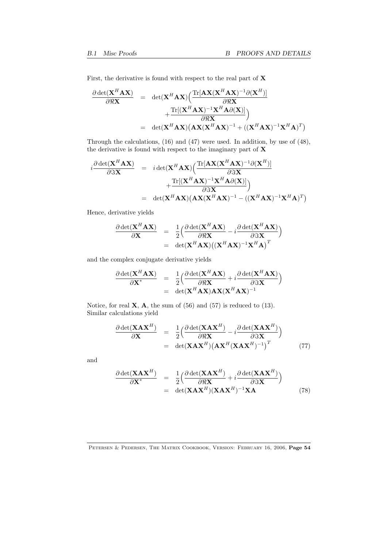First, the derivative is found with respect to the real part of  $X$ 

$$
\frac{\partial \det(\mathbf{X}^H \mathbf{A} \mathbf{X})}{\partial \Re \mathbf{X}} = \det(\mathbf{X}^H \mathbf{A} \mathbf{X}) \Big( \frac{\text{Tr}[\mathbf{A} \mathbf{X} (\mathbf{X}^H \mathbf{A} \mathbf{X})^{-1} \partial (\mathbf{X}^H)]}{\partial \Re \mathbf{X}} + \frac{\text{Tr}[(\mathbf{X}^H \mathbf{A} \mathbf{X})^{-1} \mathbf{X}^H \mathbf{A} \partial (\mathbf{X})]}{\partial \Re \mathbf{X}} \Big)
$$
\n
$$
= \det(\mathbf{X}^H \mathbf{A} \mathbf{X}) (\mathbf{A} \mathbf{X} (\mathbf{X}^H \mathbf{A} \mathbf{X})^{-1} + ((\mathbf{X}^H \mathbf{A} \mathbf{X})^{-1} \mathbf{X}^H \mathbf{A})^T)
$$

Through the calculations, (16) and (47) were used. In addition, by use of (48), the derivative is found with respect to the imaginary part of  $\mathbf X$ 

$$
i\frac{\partial \det(\mathbf{X}^{H}\mathbf{A}\mathbf{X})}{\partial \Im \mathbf{X}} = i\det(\mathbf{X}^{H}\mathbf{A}\mathbf{X}) \left( \frac{\text{Tr}[\mathbf{A}\mathbf{X}(\mathbf{X}^{H}\mathbf{A}\mathbf{X})^{-1}\partial(\mathbf{X}^{H})]}{\partial \Im \mathbf{X}} + \frac{\text{Tr}[(\mathbf{X}^{H}\mathbf{A}\mathbf{X})^{-1}\mathbf{X}^{H}\mathbf{A}\partial(\mathbf{X})]}{\partial \Im \mathbf{X}} \right)
$$
  
= det( $\mathbf{X}^{H}\mathbf{A}\mathbf{X}$ )( $\mathbf{A}\mathbf{X}(\mathbf{X}^{H}\mathbf{A}\mathbf{X})^{-1} - ((\mathbf{X}^{H}\mathbf{A}\mathbf{X})^{-1}\mathbf{X}^{H}\mathbf{A})^{T}$ )

Hence, derivative yields

$$
\frac{\partial \det(\mathbf{X}^H \mathbf{A} \mathbf{X})}{\partial \mathbf{X}} = \frac{1}{2} \Big( \frac{\partial \det(\mathbf{X}^H \mathbf{A} \mathbf{X})}{\partial \Re \mathbf{X}} - i \frac{\partial \det(\mathbf{X}^H \mathbf{A} \mathbf{X})}{\partial \Im \mathbf{X}} \Big)
$$
  
= det( $\mathbf{X}^H \mathbf{A} \mathbf{X}$ ) (( $\mathbf{X}^H \mathbf{A} \mathbf{X}$ )<sup>-1</sup> $\mathbf{X}^H \mathbf{A}$ )<sup>T</sup>

and the complex conjugate derivative yields

$$
\frac{\partial \det(\mathbf{X}^H \mathbf{A} \mathbf{X})}{\partial \mathbf{X}^*} = \frac{1}{2} \Big( \frac{\partial \det(\mathbf{X}^H \mathbf{A} \mathbf{X})}{\partial \Re \mathbf{X}} + i \frac{\partial \det(\mathbf{X}^H \mathbf{A} \mathbf{X})}{\partial \Im \mathbf{X}} \Big) \n= \det(\mathbf{X}^H \mathbf{A} \mathbf{X}) \mathbf{A} \mathbf{X} (\mathbf{X}^H \mathbf{A} \mathbf{X})^{-1}
$$

Notice, for real  $X$ ,  $A$ , the sum of (56) and (57) is reduced to (13). Similar calculations yield

$$
\frac{\partial \det(\mathbf{X} \mathbf{A} \mathbf{X}^H)}{\partial \mathbf{X}} = \frac{1}{2} \Big( \frac{\partial \det(\mathbf{X} \mathbf{A} \mathbf{X}^H)}{\partial \Re \mathbf{X}} - i \frac{\partial \det(\mathbf{X} \mathbf{A} \mathbf{X}^H)}{\partial \Im \mathbf{X}} \Big) \n= \det(\mathbf{X} \mathbf{A} \mathbf{X}^H) \big( \mathbf{A} \mathbf{X}^H (\mathbf{X} \mathbf{A} \mathbf{X}^H)^{-1} \big)^T
$$
\n(77)

and

$$
\frac{\partial \det(\mathbf{X} \mathbf{A} \mathbf{X}^H)}{\partial \mathbf{X}^*} = \frac{1}{2} \Big( \frac{\partial \det(\mathbf{X} \mathbf{A} \mathbf{X}^H)}{\partial \Re \mathbf{X}} + i \frac{\partial \det(\mathbf{X} \mathbf{A} \mathbf{X}^H)}{\partial \Im \mathbf{X}} \Big) \n= \det(\mathbf{X} \mathbf{A} \mathbf{X}^H)(\mathbf{X} \mathbf{A} \mathbf{X}^H)^{-1} \mathbf{X} \mathbf{A}
$$
\n(78)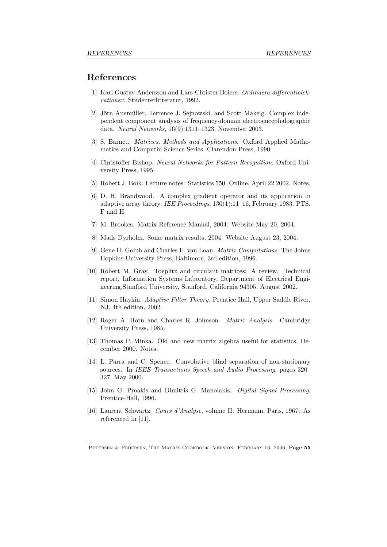# References

- [1] Karl Gustav Andersson and Lars-Christer Boiers. *Ordinaera differentialekvationer*. Studenterlitteratur, 1992.
- [2] Jörn Anemüller, Terrence J. Sejnowski, and Scott Makeig. Complex independent component analysis of frequency-domain electroencephalographic data. *Neural Networks*, 16(9):1311–1323, November 2003.
- [3] S. Barnet. *Matrices. Methods and Applications*. Oxford Applied Mathematics and Computin Science Series. Clarendon Press, 1990.
- [4] Christoffer Bishop. *Neural Networks for Pattern Recognition*. Oxford University Press, 1995.
- [5] Robert J. Boik. Lecture notes: Statistics 550. Online, April 22 2002. Notes.
- [6] D. H. Brandwood. A complex gradient operator and its application in adaptive array theory. *IEE Proceedings*, 130(1):11–16, February 1983. PTS. F and H.
- [7] M. Brookes. Matrix Reference Manual, 2004. Website May 20, 2004.
- [8] Mads Dyrholm. Some matrix results, 2004. Website August 23, 2004.
- [9] Gene H. Golub and Charles F. van Loan. *Matrix Computations*. The Johns Hopkins University Press, Baltimore, 3rd edition, 1996.
- [10] Robert M. Gray. Toeplitz and circulant matrices: A review. Technical report, Information Systems Laboratory, Department of Electrical Engineering,Stanford University, Stanford, California 94305, August 2002.
- [11] Simon Haykin. *Adaptive Filter Theory*. Prentice Hall, Upper Saddle River, NJ, 4th edition, 2002.
- [12] Roger A. Horn and Charles R. Johnson. *Matrix Analysis*. Cambridge University Press, 1985.
- [13] Thomas P. Minka. Old and new matrix algebra useful for statistics, December 2000. Notes.
- [14] L. Parra and C. Spence. Convolutive blind separation of non-stationary sources. In *IEEE Transactions Speech and Audio Processing*, pages 320– 327, May 2000.
- [15] John G. Proakis and Dimitris G. Manolakis. *Digital Signal Processing*. Prentice-Hall, 1996.
- [16] Laurent Schwartz. *Cours d'Analyse*, volume II. Hermann, Paris, 1967. As referenced in [11].

Petersen & Pedersen, The Matrix Cookbook, Version: February 16, 2006, Page 55